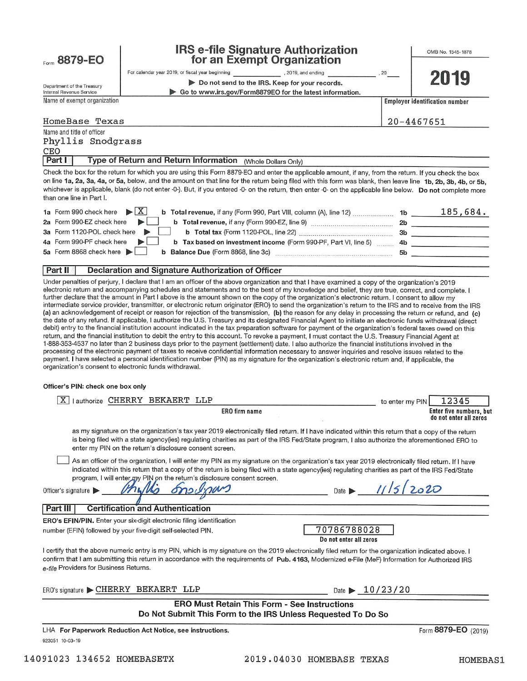| Form 8879-EO                                           | <b>IRS e-file Signature Authorization</b><br>for an Exempt Organization                                                                                                                                                                                                                                                                                                                                                                                                                                                                                                                                                                                                                                                                                                                                                                                                                                                                                                                             |                 | OMB No. 1545-1878                     |
|--------------------------------------------------------|-----------------------------------------------------------------------------------------------------------------------------------------------------------------------------------------------------------------------------------------------------------------------------------------------------------------------------------------------------------------------------------------------------------------------------------------------------------------------------------------------------------------------------------------------------------------------------------------------------------------------------------------------------------------------------------------------------------------------------------------------------------------------------------------------------------------------------------------------------------------------------------------------------------------------------------------------------------------------------------------------------|-----------------|---------------------------------------|
|                                                        | For calendar year 2019, or fiscal year beginning The Manus (2019, and ending<br>$\overline{\phantom{a}}$ , 20                                                                                                                                                                                                                                                                                                                                                                                                                                                                                                                                                                                                                                                                                                                                                                                                                                                                                       |                 | 2019                                  |
| Department of the Treasury<br>Internal Revenue Service | Do not send to the IRS. Keep for your records.<br>▶ Go to www.irs.gov/Form8879EO for the latest information.                                                                                                                                                                                                                                                                                                                                                                                                                                                                                                                                                                                                                                                                                                                                                                                                                                                                                        |                 |                                       |
| Name of exempt organization                            |                                                                                                                                                                                                                                                                                                                                                                                                                                                                                                                                                                                                                                                                                                                                                                                                                                                                                                                                                                                                     |                 | <b>Employer identification number</b> |
| HomeBase Texas                                         |                                                                                                                                                                                                                                                                                                                                                                                                                                                                                                                                                                                                                                                                                                                                                                                                                                                                                                                                                                                                     |                 | 20-4467651                            |
| Name and title of officer                              |                                                                                                                                                                                                                                                                                                                                                                                                                                                                                                                                                                                                                                                                                                                                                                                                                                                                                                                                                                                                     |                 |                                       |
| Phyllis Snodgrass<br>CEO                               |                                                                                                                                                                                                                                                                                                                                                                                                                                                                                                                                                                                                                                                                                                                                                                                                                                                                                                                                                                                                     |                 |                                       |
| Part I                                                 | Type of Return and Return Information (Whole Dollars Only)                                                                                                                                                                                                                                                                                                                                                                                                                                                                                                                                                                                                                                                                                                                                                                                                                                                                                                                                          |                 |                                       |
| than one line in Part I.                               | Check the box for the return for which you are using this Form 8879-EO and enter the applicable amount, if any, from the return. If you check the box<br>on line 1a, 2a, 3a, 4a, or 5a, below, and the amount on that line for the return being filed with this form was blank, then leave line 1b, 2b, 3b, 4b, or 5b,<br>whichever is applicable, blank (do not enter -0-). But, if you entered -0- on the return, then enter -0- on the applicable line below. Do not complete more                                                                                                                                                                                                                                                                                                                                                                                                                                                                                                               |                 |                                       |
| 1a Form 990 check here                                 | $\blacktriangleright$ $\mid$ X                                                                                                                                                                                                                                                                                                                                                                                                                                                                                                                                                                                                                                                                                                                                                                                                                                                                                                                                                                      |                 |                                       |
| 2a Form 990-EZ check here                              |                                                                                                                                                                                                                                                                                                                                                                                                                                                                                                                                                                                                                                                                                                                                                                                                                                                                                                                                                                                                     |                 |                                       |
| 3a Form 1120-POL check here                            |                                                                                                                                                                                                                                                                                                                                                                                                                                                                                                                                                                                                                                                                                                                                                                                                                                                                                                                                                                                                     |                 |                                       |
| 4a Form 990-PF check here<br>5a Form 8868 check here   | b Tax based on investment income (Form 990-PF, Part VI, line 5)  4b _____________________                                                                                                                                                                                                                                                                                                                                                                                                                                                                                                                                                                                                                                                                                                                                                                                                                                                                                                           |                 |                                       |
|                                                        |                                                                                                                                                                                                                                                                                                                                                                                                                                                                                                                                                                                                                                                                                                                                                                                                                                                                                                                                                                                                     |                 | 5b                                    |
| Part II                                                | Declaration and Signature Authorization of Officer                                                                                                                                                                                                                                                                                                                                                                                                                                                                                                                                                                                                                                                                                                                                                                                                                                                                                                                                                  |                 |                                       |
| Officer's PIN: check one box only                      | the date of any refund. If applicable, I authorize the U.S. Treasury and its designated Financial Agent to initiate an electronic funds withdrawal (direct<br>debit) entry to the financial institution account indicated in the tax preparation software for payment of the organization's federal taxes owed on this<br>return, and the financial institution to debit the entry to this account. To revoke a payment, I must contact the U.S. Treasury Financial Agent at<br>1-888-353-4537 no later than 2 business days prior to the payment (settlement) date. I also authorize the financial institutions involved in the<br>processing of the electronic payment of taxes to receive confidential information necessary to answer inquiries and resolve issues related to the<br>payment. I have selected a personal identification number (PIN) as my signature for the organization's electronic return and, if applicable, the<br>organization's consent to electronic funds withdrawal. |                 |                                       |
|                                                        |                                                                                                                                                                                                                                                                                                                                                                                                                                                                                                                                                                                                                                                                                                                                                                                                                                                                                                                                                                                                     |                 |                                       |
|                                                        | X   Lauthorize CHERRY BEKAERT LLP<br><b>ERO</b> firm name                                                                                                                                                                                                                                                                                                                                                                                                                                                                                                                                                                                                                                                                                                                                                                                                                                                                                                                                           | to enter my PIN | 12345<br>Enter five numbers, but      |
|                                                        |                                                                                                                                                                                                                                                                                                                                                                                                                                                                                                                                                                                                                                                                                                                                                                                                                                                                                                                                                                                                     |                 | do not enter all zeros                |
|                                                        | as my signature on the organization's tax year 2019 electronically filed return. If I have indicated within this return that a copy of the return<br>is being filed with a state agency(ies) regulating charities as part of the IRS Fed/State program, I also authorize the aforementioned ERO to<br>enter my PIN on the return's disclosure consent screen.                                                                                                                                                                                                                                                                                                                                                                                                                                                                                                                                                                                                                                       |                 |                                       |
| Officer's signature                                    | As an officer of the organization, I will enter my PIN as my signature on the organization's tax year 2019 electronically filed return. If I have<br>indicated within this return that a copy of the return is being filed with a state agency(ies) regulating charities as part of the IRS Fed/State<br>program, I will enter my PIN on the return's disclosure consent screen.<br>Date                                                                                                                                                                                                                                                                                                                                                                                                                                                                                                                                                                                                            | $11/5$ 2020     |                                       |
| Part III                                               | <b>Certification and Authentication</b>                                                                                                                                                                                                                                                                                                                                                                                                                                                                                                                                                                                                                                                                                                                                                                                                                                                                                                                                                             |                 |                                       |
|                                                        | ERO's EFIN/PIN. Enter your six-digit electronic filing identification<br>70786788028<br>number (EFIN) followed by your five-digit self-selected PIN.<br>Do not enter all zeros                                                                                                                                                                                                                                                                                                                                                                                                                                                                                                                                                                                                                                                                                                                                                                                                                      |                 |                                       |
| e-file Providers for Business Returns.                 | l certify that the above numeric entry is my PIN, which is my signature on the 2019 electronically filed return for the organization indicated above. I<br>confirm that I am submitting this return in accordance with the requirements of Pub. 4163, Modernized e-File (MeF) Information for Authorized IRS                                                                                                                                                                                                                                                                                                                                                                                                                                                                                                                                                                                                                                                                                        |                 |                                       |
|                                                        | ERO's signature CHERRY BEKAERT LLP<br>Date $\geq 10/23/20$                                                                                                                                                                                                                                                                                                                                                                                                                                                                                                                                                                                                                                                                                                                                                                                                                                                                                                                                          |                 |                                       |
|                                                        | <b>ERO Must Retain This Form - See Instructions</b><br>Do Not Submit This Form to the IRS Unless Requested To Do So                                                                                                                                                                                                                                                                                                                                                                                                                                                                                                                                                                                                                                                                                                                                                                                                                                                                                 |                 |                                       |
|                                                        | LHA For Paperwork Reduction Act Notice, see instructions.                                                                                                                                                                                                                                                                                                                                                                                                                                                                                                                                                                                                                                                                                                                                                                                                                                                                                                                                           |                 | Form 8879-EO (2019)                   |
| 923051 10-03-19                                        |                                                                                                                                                                                                                                                                                                                                                                                                                                                                                                                                                                                                                                                                                                                                                                                                                                                                                                                                                                                                     |                 |                                       |

HOMEBAS1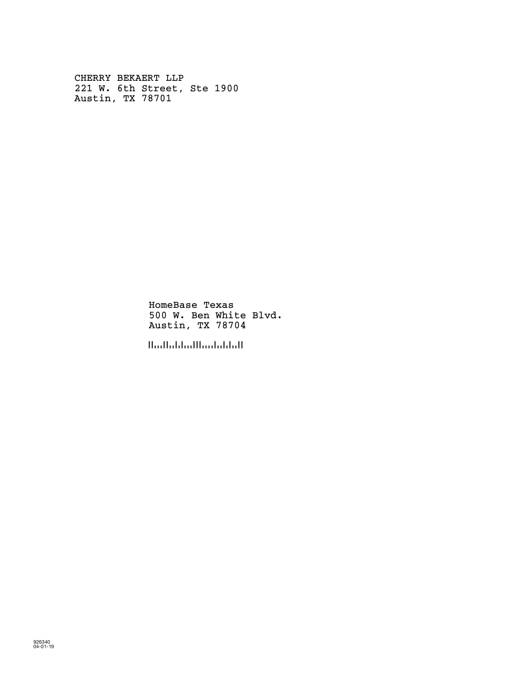CHERRY BEKAERT LLP 221 W. 6th Street, Ste 1900 Austin, TX 78701

> HomeBase Texas 500 W. Ben White Blvd. Austin, TX 78704

!787044!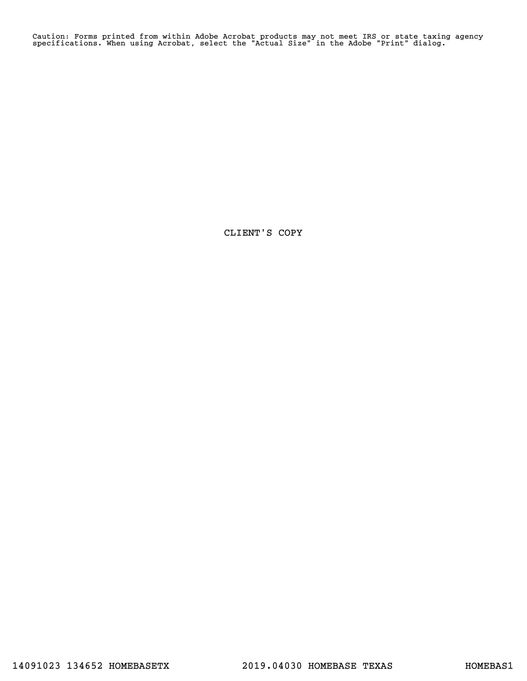Caution: Forms printed from within Adobe Acrobat products may not meet IRS or state taxing agency specifications. When using Acrobat, select the "Actual Size" in the Adobe "Print" dialog.

CLIENT'S COPY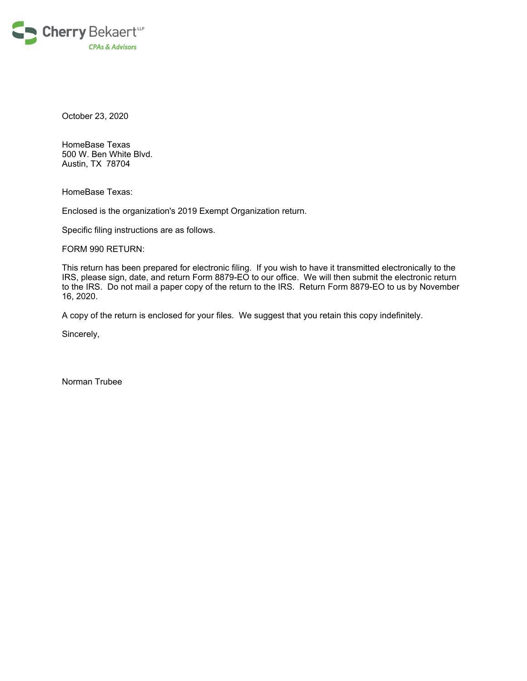

October 23, 2020

HomeBase Texas 500 W. Ben White Blvd. Austin, TX 78704

HomeBase Texas:

Enclosed is the organization's 2019 Exempt Organization return.

Specific filing instructions are as follows.

FORM 990 RETURN:

This return has been prepared for electronic filing. If you wish to have it transmitted electronically to the IRS, please sign, date, and return Form 8879-EO to our office. We will then submit the electronic return to the IRS. Do not mail a paper copy of the return to the IRS. Return Form 8879-EO to us by November 16, 2020.

A copy of the return is enclosed for your files. We suggest that you retain this copy indefinitely.

Sincerely,

Norman Trubee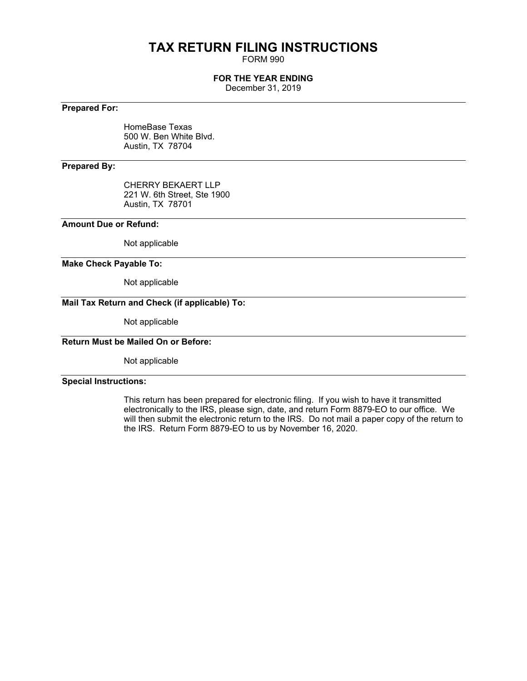# **TAX RETURN FILING INSTRUCTIONS**

FORM 990

#### **FOR THE YEAR ENDING**

December 31, 2019

### **Prepared For:**

HomeBase Texas 500 W. Ben White Blvd. Austin, TX 78704

#### **Prepared By:**

CHERRY BEKAERT LLP 221 W. 6th Street, Ste 1900 Austin, TX 78701

#### **Amount Due or Refund:**

Not applicable

#### **Make Check Payable To:**

Not applicable

### **Mail Tax Return and Check (if applicable) To:**

Not applicable

### **Return Must be Mailed On or Before:**

Not applicable

#### **Special Instructions:**

This return has been prepared for electronic filing. If you wish to have it transmitted electronically to the IRS, please sign, date, and return Form 8879-EO to our office. We will then submit the electronic return to the IRS. Do not mail a paper copy of the return to the IRS. Return Form 8879-EO to us by November 16, 2020.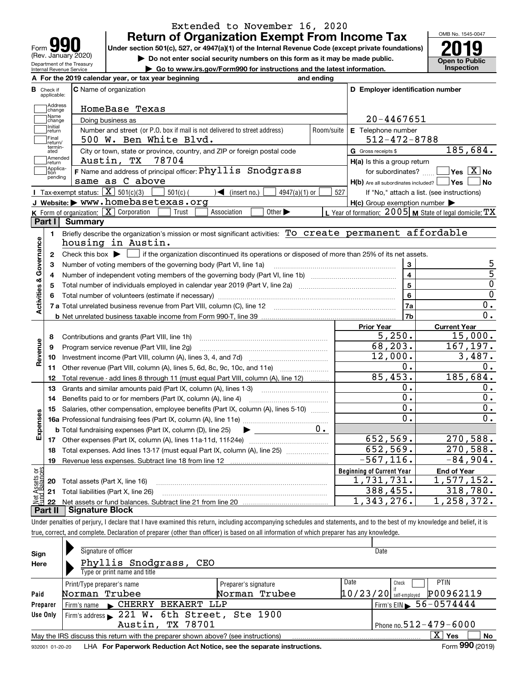| <b>a</b>                                               |
|--------------------------------------------------------|
| Form                                                   |
| (Rev. January 2020)                                    |
| Department of the Treasury<br>Internal Revenue Service |

### **Return of Organization Exempt From Income Tax** Extended to November 16, 2020

Under section 501(c), 527, or 4947(a)(1) of the Internal Revenue Code (except private foundations) **2019** 

**| Do not enter social security numbers on this form as it may be made public.**

**| Go to www.irs.gov/Form990 for instructions and the latest information. Inspection**

OMB No. 1545-0047 **Open to Public** 

|                              | A For the 2019 calendar year, or tax year beginning                                                                                         | and ending |                                                         |                                                           |
|------------------------------|---------------------------------------------------------------------------------------------------------------------------------------------|------------|---------------------------------------------------------|-----------------------------------------------------------|
| В<br>Check if<br>applicable: | C Name of organization                                                                                                                      |            | D Employer identification number                        |                                                           |
| Address<br>change            | HomeBase Texas                                                                                                                              |            |                                                         |                                                           |
| Name<br>change               | Doing business as                                                                                                                           |            | $20 - 4467651$                                          |                                                           |
| Initial<br>return            | Number and street (or P.O. box if mail is not delivered to street address)                                                                  | Room/suite | E Telephone number                                      |                                                           |
| Final<br>return/             | 500 W. Ben White Blvd.                                                                                                                      |            | $512 - 472 - 8788$                                      |                                                           |
| termin-<br>ated              | City or town, state or province, country, and ZIP or foreign postal code                                                                    |            | G Gross receipts \$                                     | 185,684.                                                  |
| Amended<br>return            | 78704<br>Austin, TX                                                                                                                         |            | $H(a)$ is this a group return                           |                                                           |
| Applica-<br>tion<br>pending  | F Name and address of principal officer: Phyllis Snodgrass                                                                                  |            |                                                         | for subordinates? $\frac{1}{2}$ Yes $\boxed{X}$ No        |
|                              | same as C above                                                                                                                             |            | $H(b)$ Are all subordinates included? $\Box$ Yes $\Box$ | ∣No                                                       |
|                              | Tax-exempt status: $\boxed{\mathbf{X}}$ 501(c)(3)<br>$\sqrt{ }$ (insert no.)<br>$501(c)$ (<br>4947(a)(1) or                                 | 527        |                                                         | If "No," attach a list. (see instructions)                |
|                              | J Website: > www.homebasetexas.org                                                                                                          |            | $H(c)$ Group exemption number $\blacktriangleright$     |                                                           |
|                              | <b>K</b> Form of organization: $\boxed{\mathbf{X}}$ Corporation<br>Trust<br>Other $\blacktriangleright$<br>Association                      |            |                                                         | L Year of formation: 2005   M State of legal domicile: TX |
| Part I                       | <b>Summary</b>                                                                                                                              |            |                                                         |                                                           |
| 1.                           | Briefly describe the organization's mission or most significant activities: To create permanent affordable                                  |            |                                                         |                                                           |
|                              | housing in Austin.                                                                                                                          |            |                                                         |                                                           |
| 2                            | Check this box $\blacktriangleright$ $\Box$ if the organization discontinued its operations or disposed of more than 25% of its net assets. |            |                                                         | 5                                                         |
| 3                            | Number of voting members of the governing body (Part VI, line 1a)                                                                           |            | 3                                                       | $\overline{5}$                                            |
| 4                            |                                                                                                                                             |            | $\overline{\mathbf{4}}$<br>5                            | $\overline{0}$                                            |
| 5                            |                                                                                                                                             |            | 6                                                       | $\overline{0}$                                            |
|                              |                                                                                                                                             |            | 0.                                                      |                                                           |
| Activities & Governance      |                                                                                                                                             | 7a         | 0.                                                      |                                                           |
|                              |                                                                                                                                             |            | 7b                                                      |                                                           |
| 8                            |                                                                                                                                             |            | <b>Prior Year</b><br>5,250.                             | <b>Current Year</b><br>15,000.                            |
| 9                            | Contributions and grants (Part VIII, line 1h)<br>Program service revenue (Part VIII, line 2g)                                               |            | 68,203.                                                 | 167,197.                                                  |
| Revenue<br>10                |                                                                                                                                             |            | 12,000.                                                 | 3,487.                                                    |
|                              | 11 Other revenue (Part VIII, column (A), lines 5, 6d, 8c, 9c, 10c, and 11e)                                                                 |            | 0.                                                      | 0.                                                        |
| 12                           | Total revenue - add lines 8 through 11 (must equal Part VIII, column (A), line 12)                                                          |            | 85,453.                                                 | 185,684.                                                  |
| 13                           | Grants and similar amounts paid (Part IX, column (A), lines 1-3)                                                                            |            | 0.                                                      | 0.                                                        |
| 14                           | Benefits paid to or for members (Part IX, column (A), line 4)                                                                               |            | 0.                                                      | $\overline{0}$ .                                          |
| 15                           | Salaries, other compensation, employee benefits (Part IX, column (A), lines 5-10)                                                           |            | $\overline{0}$ .                                        | 0.                                                        |
|                              |                                                                                                                                             |            | $0$ .                                                   | $\overline{0}$ .                                          |
| Expenses                     | <b>b</b> Total fundraising expenses (Part IX, column (D), line 25)<br>$\blacktriangleright$ and $\blacktriangleright$                       | $0 \cdot$  |                                                         |                                                           |
|                              |                                                                                                                                             |            | 652,569.                                                | 270,588.                                                  |
| 18                           | Total expenses. Add lines 13-17 (must equal Part IX, column (A), line 25) [11, 11, 11, 11, 11, 11, 11, 11, 11,                              |            | 652,569.                                                | 270,588.                                                  |
| 19                           |                                                                                                                                             |            | $-567, 116.$                                            | $-84,904.$                                                |
| ងខ្ល                         |                                                                                                                                             |            | <b>Beginning of Current Year</b>                        | <b>End of Year</b>                                        |
| $rac{305}{6}$                | <b>20</b> Total assets (Part X, line 16)                                                                                                    |            | $\overline{1}$ , 731, 731.                              | 1,577,152.                                                |
|                              | 21 Total liabilities (Part X, line 26)                                                                                                      |            | 388,455.                                                | 318,780.                                                  |
|                              |                                                                                                                                             |            |                                                         |                                                           |
| 22                           |                                                                                                                                             |            | 1,343,276.                                              | 1, 258, 372.                                              |

Under penalties of perjury, I declare that I have examined this return, including accompanying schedules and statements, and to the best of my knowledge and belief, it is true, correct, and complete. Declaration of preparer (other than officer) is based on all information of which preparer has any knowledge.

| Sign     | Signature of officer                                                                                         |                      | Date                     |                                        |  |  |  |
|----------|--------------------------------------------------------------------------------------------------------------|----------------------|--------------------------|----------------------------------------|--|--|--|
| Here     | Phyllis Snodgrass,<br>CEO                                                                                    |                      |                          |                                        |  |  |  |
|          | Type or print name and title                                                                                 |                      |                          |                                        |  |  |  |
|          | Print/Type preparer's name                                                                                   | Preparer's signature | Date                     | <b>PTIN</b><br>Check                   |  |  |  |
| Paid     | Norman Trubee                                                                                                | Norman Trubee        | $10/23/20$ self-employed | P00962119                              |  |  |  |
| Preparer | Firm's name CHERRY BEKAERT LLP                                                                               |                      |                          | Firm's EIN $\triangleright$ 56-0574444 |  |  |  |
| Use Only | Firm's address 221 W. 6th Street, Ste 1900                                                                   |                      |                          |                                        |  |  |  |
|          | Austin, TX 78701                                                                                             |                      |                          | Phone no. $512 - 479 - 6000$           |  |  |  |
|          | $X \vert Y$ es<br>No<br>May the IRS discuss this return with the preparer shown above? (see instructions)    |                      |                          |                                        |  |  |  |
|          | Form 990 (2019)<br>LHA For Paperwork Reduction Act Notice, see the separate instructions.<br>932001 01-20-20 |                      |                          |                                        |  |  |  |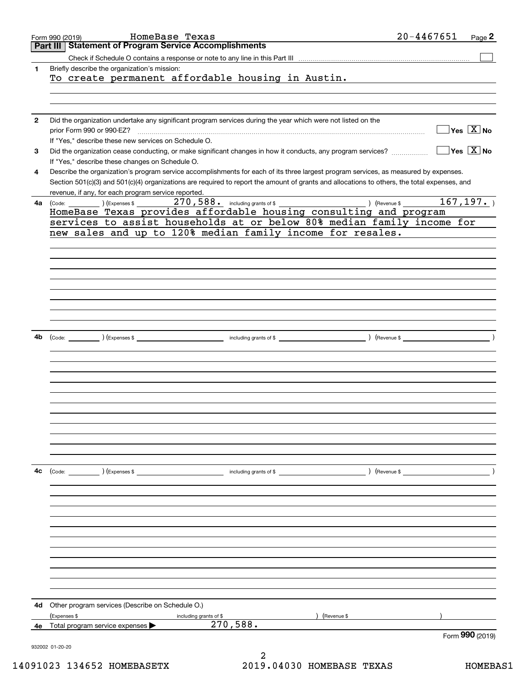|              | HomeBase Texas<br>Form 990 (2019)                                                                                                                  | $20 - 4467651$                                   |           | Page 2                                    |
|--------------|----------------------------------------------------------------------------------------------------------------------------------------------------|--------------------------------------------------|-----------|-------------------------------------------|
|              | Part III Statement of Program Service Accomplishments                                                                                              |                                                  |           |                                           |
|              |                                                                                                                                                    |                                                  |           |                                           |
| 1            | Briefly describe the organization's mission:                                                                                                       |                                                  |           |                                           |
|              | To create permanent affordable housing in Austin.                                                                                                  |                                                  |           |                                           |
|              |                                                                                                                                                    |                                                  |           |                                           |
|              |                                                                                                                                                    |                                                  |           |                                           |
|              |                                                                                                                                                    |                                                  |           |                                           |
| $\mathbf{2}$ | Did the organization undertake any significant program services during the year which were not listed on the                                       |                                                  |           |                                           |
|              | prior Form 990 or 990-EZ?                                                                                                                          |                                                  |           | $\overline{\mathsf{Yes} \ \mathbb{X}}$ No |
|              | If "Yes," describe these new services on Schedule O.                                                                                               |                                                  |           |                                           |
| 3            | Did the organization cease conducting, or make significant changes in how it conducts, any program services?                                       |                                                  |           | $\sqrt{}$ Yes $\sqrt{}$ X $\sqrt{}$ No    |
|              | If "Yes," describe these changes on Schedule O.                                                                                                    |                                                  |           |                                           |
| 4            | Describe the organization's program service accomplishments for each of its three largest program services, as measured by expenses.               |                                                  |           |                                           |
|              | Section 501(c)(3) and 501(c)(4) organizations are required to report the amount of grants and allocations to others, the total expenses, and       |                                                  |           |                                           |
|              | revenue, if any, for each program service reported.                                                                                                |                                                  |           |                                           |
| 4a l         | 270,588. including grants of \$<br>) (Revenue \$<br>$\left(\text{Code:}\begin{array}{c}\right.\end{array}\right)$ $\left(\text{Expenses $}\right)$ |                                                  | 167, 197. |                                           |
|              | HomeBase Texas provides affordable housing consulting and program                                                                                  |                                                  |           |                                           |
|              | services to assist households at or below 80% median family income for                                                                             |                                                  |           |                                           |
|              | new sales and up to 120% median family income for resales.                                                                                         |                                                  |           |                                           |
|              |                                                                                                                                                    |                                                  |           |                                           |
|              |                                                                                                                                                    |                                                  |           |                                           |
|              |                                                                                                                                                    |                                                  |           |                                           |
|              |                                                                                                                                                    |                                                  |           |                                           |
|              |                                                                                                                                                    |                                                  |           |                                           |
|              |                                                                                                                                                    |                                                  |           |                                           |
|              |                                                                                                                                                    |                                                  |           |                                           |
|              |                                                                                                                                                    |                                                  |           |                                           |
|              |                                                                                                                                                    |                                                  |           |                                           |
|              |                                                                                                                                                    |                                                  |           |                                           |
|              |                                                                                                                                                    |                                                  |           |                                           |
| 4b           | including grants of \$<br>(Expenses \$<br>) (Revenue \$<br>(Code:                                                                                  |                                                  |           |                                           |
|              |                                                                                                                                                    |                                                  |           |                                           |
|              |                                                                                                                                                    |                                                  |           |                                           |
|              |                                                                                                                                                    |                                                  |           |                                           |
|              |                                                                                                                                                    |                                                  |           |                                           |
|              |                                                                                                                                                    |                                                  |           |                                           |
|              |                                                                                                                                                    |                                                  |           |                                           |
|              |                                                                                                                                                    |                                                  |           |                                           |
|              |                                                                                                                                                    |                                                  |           |                                           |
|              |                                                                                                                                                    |                                                  |           |                                           |
|              |                                                                                                                                                    |                                                  |           |                                           |
|              |                                                                                                                                                    |                                                  |           |                                           |
|              |                                                                                                                                                    |                                                  |           |                                           |
|              |                                                                                                                                                    |                                                  |           |                                           |
| 4с           | (Code: ) (Expenses \$<br>and the contract of \$                                                                                                    | $($ Revenue \$ $\frac{1}{\sqrt{1-\frac{1}{2}}}\$ |           |                                           |
|              |                                                                                                                                                    |                                                  |           |                                           |
|              |                                                                                                                                                    |                                                  |           |                                           |
|              |                                                                                                                                                    |                                                  |           |                                           |
|              |                                                                                                                                                    |                                                  |           |                                           |
|              |                                                                                                                                                    |                                                  |           |                                           |
|              |                                                                                                                                                    |                                                  |           |                                           |
|              |                                                                                                                                                    |                                                  |           |                                           |
|              |                                                                                                                                                    |                                                  |           |                                           |
|              |                                                                                                                                                    |                                                  |           |                                           |
|              |                                                                                                                                                    |                                                  |           |                                           |
|              |                                                                                                                                                    |                                                  |           |                                           |
|              |                                                                                                                                                    |                                                  |           |                                           |
|              |                                                                                                                                                    |                                                  |           |                                           |
| 4d           | Other program services (Describe on Schedule O.)                                                                                                   |                                                  |           |                                           |
|              | (Expenses \$<br>Revenue \$                                                                                                                         |                                                  |           |                                           |
|              | including grants of \$<br>270,588.<br>Total program service expenses >                                                                             |                                                  |           |                                           |
| 4e           |                                                                                                                                                    |                                                  |           | Form 990 (2019)                           |
|              | 932002 01-20-20                                                                                                                                    |                                                  |           |                                           |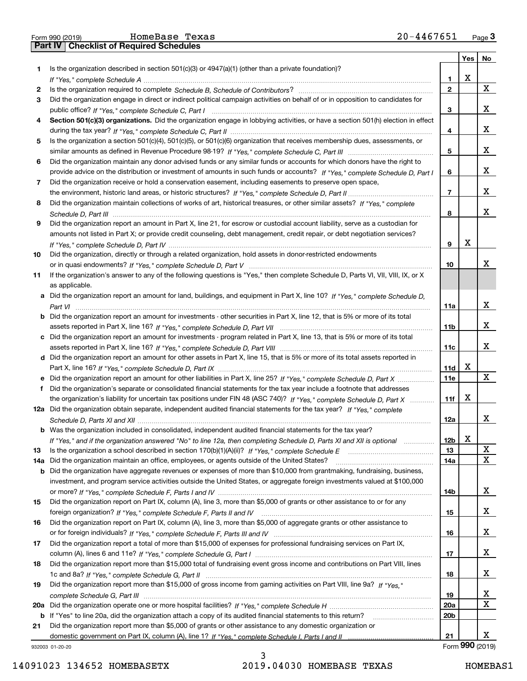|    | 20-4467651<br>HomeBase Texas<br>Form 990 (2019)                                                                                  |                |     | $Page$ <sup>3</sup> |
|----|----------------------------------------------------------------------------------------------------------------------------------|----------------|-----|---------------------|
|    | Part IV   Checklist of Required Schedules                                                                                        |                |     |                     |
|    |                                                                                                                                  |                | Yes | No                  |
| 1  | Is the organization described in section 501(c)(3) or $4947(a)(1)$ (other than a private foundation)?                            |                |     |                     |
|    |                                                                                                                                  | 1              | X   |                     |
| 2  |                                                                                                                                  | $\mathbf{2}$   |     | X                   |
| з  | Did the organization engage in direct or indirect political campaign activities on behalf of or in opposition to candidates for  |                |     |                     |
|    |                                                                                                                                  | 3              |     | X                   |
| 4  | Section 501(c)(3) organizations. Did the organization engage in lobbying activities, or have a section 501(h) election in effect |                |     |                     |
|    |                                                                                                                                  | 4              |     | X                   |
| 5  | Is the organization a section 501(c)(4), 501(c)(5), or 501(c)(6) organization that receives membership dues, assessments, or     |                |     |                     |
|    |                                                                                                                                  | 5              |     | X                   |
| 6  | Did the organization maintain any donor advised funds or any similar funds or accounts for which donors have the right to        |                |     |                     |
|    | provide advice on the distribution or investment of amounts in such funds or accounts? If "Yes," complete Schedule D, Part I     | 6              |     | х                   |
| 7  | Did the organization receive or hold a conservation easement, including easements to preserve open space,                        |                |     |                     |
|    |                                                                                                                                  | $\overline{7}$ |     | x                   |
| 8  | Did the organization maintain collections of works of art, historical treasures, or other similar assets? If "Yes," complete     |                |     |                     |
|    |                                                                                                                                  | 8              |     | $\mathbf X$         |
| 9  | Did the organization report an amount in Part X, line 21, for escrow or custodial account liability, serve as a custodian for    |                |     |                     |
|    | amounts not listed in Part X; or provide credit counseling, debt management, credit repair, or debt negotiation services?        |                |     |                     |
|    |                                                                                                                                  | 9              | х   |                     |
| 10 | Did the organization, directly or through a related organization, hold assets in donor-restricted endowments                     |                |     |                     |
|    |                                                                                                                                  | 10             |     | x                   |
| 11 | If the organization's answer to any of the following questions is "Yes," then complete Schedule D, Parts VI, VII, VIII, IX, or X |                |     |                     |
|    | as applicable.                                                                                                                   |                |     |                     |
|    | a Did the organization report an amount for land, buildings, and equipment in Part X, line 10? If "Yes," complete Schedule D,    |                |     |                     |
|    |                                                                                                                                  | 11a            |     | x                   |
|    | b Did the organization report an amount for investments - other securities in Part X, line 12, that is 5% or more of its total   |                |     |                     |
|    |                                                                                                                                  | 11b            |     | х                   |
|    | c Did the organization report an amount for investments - program related in Part X, line 13, that is 5% or more of its total    |                |     |                     |
|    |                                                                                                                                  | 11c            |     | X                   |
|    | d Did the organization report an amount for other assets in Part X, line 15, that is 5% or more of its total assets reported in  |                |     |                     |
|    |                                                                                                                                  | 11d            | х   |                     |
|    |                                                                                                                                  | 11e            |     | X                   |
|    | f Did the organization's separate or consolidated financial statements for the tax year include a footnote that addresses        |                |     |                     |

**12a** Did the organization obtain separate, independent audited financial statements for the tax year? If "Yes," complete **b** Was the organization included in consolidated, independent audited financial statements for the tax year? the organization's liability for uncertain tax positions under FIN 48 (ASC 740)? If "Yes," complete Schedule D, Part X ............ *Schedule D, Parts XI and XII* ~~~~~~~~~~~~~~~~~~~~~~~~~~~~~~~~~~~~~~~~~~~~~~~~

| If "Yes," and if the organization answered "No" to line 12a, then completing Schedule D, Parts XI and XII is optional<br>.       |
|----------------------------------------------------------------------------------------------------------------------------------|
|                                                                                                                                  |
| 14a Did the organization maintain an office, employees, or agents outside of the United States?                                  |
| <b>b</b> Did the organization have aggregate revenues or expenses of more than \$10,000 from grantmaking, fundraising, business, |
| investment, and program service activities outside the United States, or aggregate foreign investments valued at \$100,000       |

| 15. | Did the organization report on Part IX, column (A), line 3, more than \$5,000 of grants or other assistance to or for any                                                                                                       |
|-----|---------------------------------------------------------------------------------------------------------------------------------------------------------------------------------------------------------------------------------|
|     |                                                                                                                                                                                                                                 |
| 16  | Did the organization report on Part IX, column (A), line 3, more than \$5,000 of aggregate grants or other assistance to                                                                                                        |
|     | $\sim$ . The second contract of the second contract of the contract of the second contract of the contract of the contract of the contract of the contract of the contract of the contract of the contract of the contract of t |

| or for foreign individuals? If "Yes." complete Schedule F. Parts III and IV                                                    |
|--------------------------------------------------------------------------------------------------------------------------------|
| 17 Did the organization report a total of more than \$15,000 of expenses for professional fundraising services on Part IX,     |
|                                                                                                                                |
| 18 Did the organization report more than \$15,000 total of fundraising event gross income and contributions on Part VIII lines |

**1819***If "Yes," complete Schedule G, Part II* 1c and 8a? ~~~~~~~~~~~~~~~~~~~~~~~~~~~~~~~~~~~~~ Did the organization report more than \$15,000 of gross income from gaming activities on Part VIII, line 9a? If "Yes," total of fundraising event gross income and contributions on Part VIII, lines

3

932003 01-20-20

**11f**

**12a**

X

X X

X

X

X

X

X

X

X

X

**12b1314a** X

X

**14b**

**15**

**16**

**17**

**18**

**1920a20b**

**21**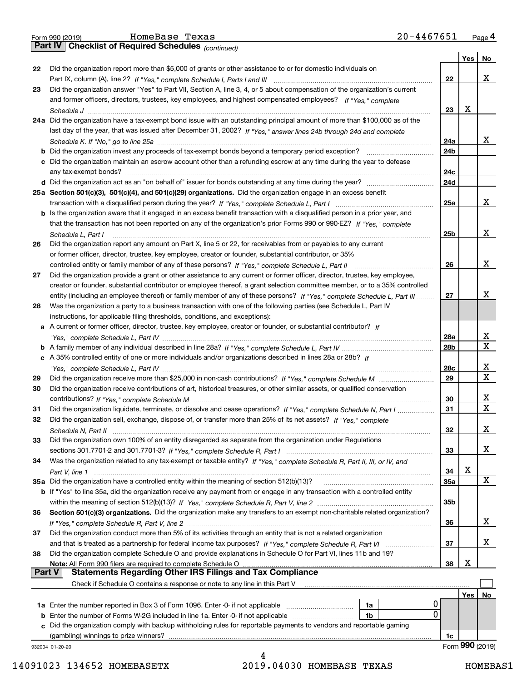|  | Form 990 (2019) |  |
|--|-----------------|--|
|  |                 |  |

*(continued)*

|               |                                                                                                                                                                                                   |                 | Yes | <b>No</b>               |
|---------------|---------------------------------------------------------------------------------------------------------------------------------------------------------------------------------------------------|-----------------|-----|-------------------------|
| 22            | Did the organization report more than \$5,000 of grants or other assistance to or for domestic individuals on                                                                                     |                 |     |                         |
|               |                                                                                                                                                                                                   | 22              |     | x                       |
| 23            | Did the organization answer "Yes" to Part VII, Section A, line 3, 4, or 5 about compensation of the organization's current                                                                        |                 |     |                         |
|               | and former officers, directors, trustees, key employees, and highest compensated employees? If "Yes," complete                                                                                    |                 |     |                         |
|               |                                                                                                                                                                                                   | 23              | x   |                         |
|               | 24a Did the organization have a tax-exempt bond issue with an outstanding principal amount of more than \$100,000 as of the                                                                       |                 |     |                         |
|               | last day of the year, that was issued after December 31, 2002? If "Yes," answer lines 24b through 24d and complete                                                                                | 24a             |     | x                       |
|               | b Did the organization invest any proceeds of tax-exempt bonds beyond a temporary period exception?                                                                                               | 24b             |     |                         |
|               | c Did the organization maintain an escrow account other than a refunding escrow at any time during the year to defease                                                                            |                 |     |                         |
|               |                                                                                                                                                                                                   | 24c             |     |                         |
|               | d Did the organization act as an "on behalf of" issuer for bonds outstanding at any time during the year?                                                                                         | 24d             |     |                         |
|               | 25a Section 501(c)(3), 501(c)(4), and 501(c)(29) organizations. Did the organization engage in an excess benefit                                                                                  |                 |     |                         |
|               |                                                                                                                                                                                                   | 25a             |     | x                       |
|               | b Is the organization aware that it engaged in an excess benefit transaction with a disqualified person in a prior year, and                                                                      |                 |     |                         |
|               | that the transaction has not been reported on any of the organization's prior Forms 990 or 990-EZ? If "Yes," complete                                                                             |                 |     |                         |
|               | Schedule L, Part I                                                                                                                                                                                | 25b             |     | x                       |
| 26            | Did the organization report any amount on Part X, line 5 or 22, for receivables from or payables to any current                                                                                   |                 |     |                         |
|               | or former officer, director, trustee, key employee, creator or founder, substantial contributor, or 35%                                                                                           |                 |     |                         |
|               |                                                                                                                                                                                                   | 26              |     | x                       |
| 27            | Did the organization provide a grant or other assistance to any current or former officer, director, trustee, key employee,                                                                       |                 |     |                         |
|               | creator or founder, substantial contributor or employee thereof, a grant selection committee member, or to a 35% controlled                                                                       |                 |     | х                       |
|               | entity (including an employee thereof) or family member of any of these persons? If "Yes," complete Schedule L, Part III                                                                          | 27              |     |                         |
| 28            | Was the organization a party to a business transaction with one of the following parties (see Schedule L, Part IV<br>instructions, for applicable filing thresholds, conditions, and exceptions): |                 |     |                         |
|               | a A current or former officer, director, trustee, key employee, creator or founder, or substantial contributor? If                                                                                |                 |     |                         |
|               |                                                                                                                                                                                                   | <b>28a</b>      |     | x                       |
|               |                                                                                                                                                                                                   | 28 <sub>b</sub> |     | $\mathbf X$             |
|               | c A 35% controlled entity of one or more individuals and/or organizations described in lines 28a or 28b? If                                                                                       |                 |     |                         |
|               |                                                                                                                                                                                                   | 28c             |     | x                       |
| 29            |                                                                                                                                                                                                   | 29              |     | $\overline{\mathbf{x}}$ |
| 30            | Did the organization receive contributions of art, historical treasures, or other similar assets, or qualified conservation                                                                       |                 |     |                         |
|               |                                                                                                                                                                                                   | 30              |     | x                       |
| 31            | Did the organization liquidate, terminate, or dissolve and cease operations? If "Yes," complete Schedule N, Part I                                                                                | 31              |     | $\mathbf X$             |
| 32            | Did the organization sell, exchange, dispose of, or transfer more than 25% of its net assets? If "Yes," complete                                                                                  |                 |     |                         |
|               |                                                                                                                                                                                                   | 32              |     | х                       |
| 33            | Did the organization own 100% of an entity disregarded as separate from the organization under Regulations                                                                                        |                 |     | X                       |
| 34            | Was the organization related to any tax-exempt or taxable entity? If "Yes," complete Schedule R, Part II, III, or IV, and                                                                         | 33              |     |                         |
|               |                                                                                                                                                                                                   | 34              | X   |                         |
|               | 35a Did the organization have a controlled entity within the meaning of section 512(b)(13)?                                                                                                       | <b>35a</b>      |     | X                       |
|               | b If "Yes" to line 35a, did the organization receive any payment from or engage in any transaction with a controlled entity                                                                       |                 |     |                         |
|               |                                                                                                                                                                                                   | 35b             |     |                         |
| 36            | Section 501(c)(3) organizations. Did the organization make any transfers to an exempt non-charitable related organization?                                                                        |                 |     |                         |
|               |                                                                                                                                                                                                   | 36              |     | x                       |
| 37            | Did the organization conduct more than 5% of its activities through an entity that is not a related organization                                                                                  |                 |     |                         |
|               | and that is treated as a partnership for federal income tax purposes? If "Yes," complete Schedule R, Part VI                                                                                      | 37              |     | x                       |
| 38            | Did the organization complete Schedule O and provide explanations in Schedule O for Part VI, lines 11b and 19?                                                                                    |                 |     |                         |
| <b>Part V</b> | Note: All Form 990 filers are required to complete Schedule O<br><b>Statements Regarding Other IRS Filings and Tax Compliance</b>                                                                 | 38              | х   |                         |
|               | Check if Schedule O contains a response or note to any line in this Part V                                                                                                                        |                 |     |                         |
|               |                                                                                                                                                                                                   |                 | Yes | No                      |
|               | <b>1a</b> Enter the number reported in Box 3 of Form 1096. Enter -0- if not applicable <i>mummumumum</i><br>1a                                                                                    |                 |     |                         |
|               | 0<br>1b                                                                                                                                                                                           |                 |     |                         |
|               | Did the organization comply with backup withholding rules for reportable payments to vendors and reportable gaming                                                                                |                 |     |                         |
|               | (gambling) winnings to prize winners?                                                                                                                                                             | 1c              |     |                         |
|               | 932004 01-20-20                                                                                                                                                                                   |                 |     | Form 990 (2019)         |
|               | 4                                                                                                                                                                                                 |                 |     |                         |

 <sup>14091023 134652</sup> HOMEBASETX 2019.04030 HOMEBASE TEXAS HOMEBAS1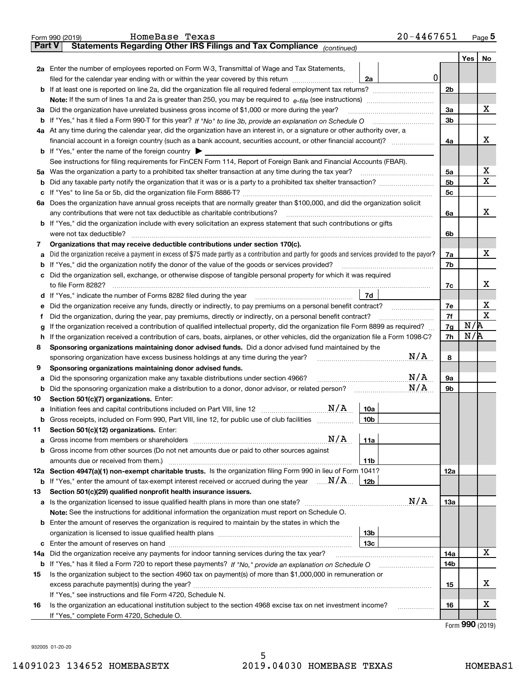|               | $20 - 4467651$<br>HomeBase Texas<br>Form 990 (2019)                                                                                                                                            |                |            | Page $5$ |
|---------------|------------------------------------------------------------------------------------------------------------------------------------------------------------------------------------------------|----------------|------------|----------|
| <b>Part V</b> | Statements Regarding Other IRS Filings and Tax Compliance (continued)                                                                                                                          |                |            |          |
|               |                                                                                                                                                                                                |                | Yes        | No       |
|               | 2a Enter the number of employees reported on Form W-3, Transmittal of Wage and Tax Statements,<br>0<br>filed for the calendar year ending with or within the year covered by this return<br>2a |                |            |          |
|               | <b>b</b> If at least one is reported on line 2a, did the organization file all required federal employment tax returns?                                                                        | 2 <sub>b</sub> |            |          |
|               | Note: If the sum of lines 1a and 2a is greater than 250, you may be required to $e$ -file (see instructions) <i>marrouum</i> manu-                                                             |                |            |          |
|               | 3a Did the organization have unrelated business gross income of \$1,000 or more during the year?                                                                                               | 3a             |            | х        |
|               | <b>b</b> If "Yes," has it filed a Form 990-T for this year? If "No" to line 3b, provide an explanation on Schedule O                                                                           | 3 <sub>b</sub> |            |          |
|               | 4a At any time during the calendar year, did the organization have an interest in, or a signature or other authority over, a                                                                   |                |            |          |
|               |                                                                                                                                                                                                | 4a             |            | x        |
|               | <b>b</b> If "Yes," enter the name of the foreign country $\blacktriangleright$                                                                                                                 |                |            |          |
|               | See instructions for filing requirements for FinCEN Form 114, Report of Foreign Bank and Financial Accounts (FBAR).                                                                            |                |            |          |
|               | 5a Was the organization a party to a prohibited tax shelter transaction at any time during the tax year?                                                                                       | 5a             |            | х        |
| b             |                                                                                                                                                                                                | 5 <sub>b</sub> |            | х        |
| c             |                                                                                                                                                                                                | 5 <sub>c</sub> |            |          |
| 6а            | Does the organization have annual gross receipts that are normally greater than \$100,000, and did the organization solicit                                                                    |                |            |          |
|               | any contributions that were not tax deductible as charitable contributions?                                                                                                                    | 6a             |            | x        |
|               | <b>b</b> If "Yes," did the organization include with every solicitation an express statement that such contributions or gifts                                                                  |                |            |          |
|               | were not tax deductible?                                                                                                                                                                       | 6b             |            |          |
| 7             | Organizations that may receive deductible contributions under section 170(c).                                                                                                                  |                |            |          |
| а             | Did the organization receive a payment in excess of \$75 made partly as a contribution and partly for goods and services provided to the payor?                                                | 7a             |            | х        |
| b             | If "Yes," did the organization notify the donor of the value of the goods or services provided?                                                                                                | 7b             |            |          |
|               | c Did the organization sell, exchange, or otherwise dispose of tangible personal property for which it was required                                                                            |                |            |          |
|               | to file Form 8282?                                                                                                                                                                             | 7c             |            | x        |
|               | 7d<br><b>d</b> If "Yes," indicate the number of Forms 8282 filed during the year                                                                                                               |                |            |          |
| е             | Did the organization receive any funds, directly or indirectly, to pay premiums on a personal benefit contract?                                                                                | 7e             |            | х        |
| f             | Did the organization, during the year, pay premiums, directly or indirectly, on a personal benefit contract?                                                                                   | 7f             |            | х        |
| g             | If the organization received a contribution of qualified intellectual property, did the organization file Form 8899 as required?                                                               | 7g             | N/R        |          |
| h             | If the organization received a contribution of cars, boats, airplanes, or other vehicles, did the organization file a Form 1098-C?                                                             | 7h             | N/R        |          |
| 8             | Sponsoring organizations maintaining donor advised funds. Did a donor advised fund maintained by the                                                                                           |                |            |          |
|               | N/A<br>sponsoring organization have excess business holdings at any time during the year?                                                                                                      | 8              |            |          |
| 9             | Sponsoring organizations maintaining donor advised funds.                                                                                                                                      |                |            |          |
| а             | N/A<br>Did the sponsoring organization make any taxable distributions under section 4966?                                                                                                      | 9а             |            |          |
| b             | N/A<br>Did the sponsoring organization make a distribution to a donor, donor advisor, or related person?                                                                                       | 9b             |            |          |
| 10            | Section 501(c)(7) organizations. Enter:                                                                                                                                                        |                |            |          |
|               | N/A<br>10a<br>a Initiation fees and capital contributions included on Part VIII, line 12 [11, 11, 11, 11]                                                                                      |                |            |          |
|               | b Gross receipts, included on Form 990, Part VIII, line 12, for public use of club facilities<br>10b                                                                                           |                |            |          |
| 11            | Section 501(c)(12) organizations. Enter:                                                                                                                                                       |                |            |          |
| а             | N/A<br>11a                                                                                                                                                                                     |                |            |          |
| b             | Gross income from other sources (Do not net amounts due or paid to other sources against                                                                                                       |                |            |          |
|               | amounts due or received from them.)<br>11b                                                                                                                                                     |                |            |          |
|               | 12a Section 4947(a)(1) non-exempt charitable trusts. Is the organization filing Form 990 in lieu of Form 1041?                                                                                 | 12a            |            |          |
|               | <b>b</b> If "Yes," enter the amount of tax-exempt interest received or accrued during the year $\ldots \mathbf{N}/\mathbf{A}$<br>12b                                                           |                |            |          |
| 13            | Section 501(c)(29) qualified nonprofit health insurance issuers.<br>N/A                                                                                                                        |                |            |          |
| a             | Note: See the instructions for additional information the organization must report on Schedule O.                                                                                              | 13а            |            |          |
|               | <b>b</b> Enter the amount of reserves the organization is required to maintain by the states in which the                                                                                      |                |            |          |
|               | 13 <sub>b</sub>                                                                                                                                                                                |                |            |          |
|               | 13с                                                                                                                                                                                            |                |            |          |
| 14a           | Did the organization receive any payments for indoor tanning services during the tax year?                                                                                                     | 14a            |            | x        |
|               |                                                                                                                                                                                                | 14b            |            |          |
| 15            | Is the organization subject to the section 4960 tax on payment(s) of more than \$1,000,000 in remuneration or                                                                                  |                |            |          |
|               |                                                                                                                                                                                                | 15             |            | x        |
|               | If "Yes," see instructions and file Form 4720, Schedule N.                                                                                                                                     |                |            |          |
| 16            | Is the organization an educational institution subject to the section 4968 excise tax on net investment income?<br>.                                                                           | 16             |            | х        |
|               | If "Yes," complete Form 4720, Schedule O.                                                                                                                                                      |                |            |          |
|               |                                                                                                                                                                                                |                | <u>nnn</u> |          |

|  |  | Form 990 (2019) |
|--|--|-----------------|
|--|--|-----------------|

932005 01-20-20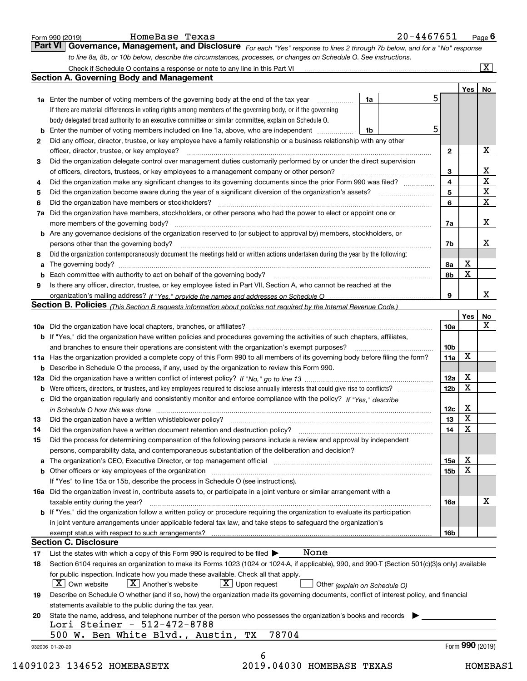|    | Governance, Management, and Disclosure For each "Yes" response to lines 2 through 7b below, and for a "No" response<br>to line 8a, 8b, or 10b below, describe the circumstances, processes, or changes on Schedule O. See instructions. |                 |                 |                         |
|----|-----------------------------------------------------------------------------------------------------------------------------------------------------------------------------------------------------------------------------------------|-----------------|-----------------|-------------------------|
|    |                                                                                                                                                                                                                                         |                 |                 | $\overline{\mathbf{x}}$ |
|    | <b>Section A. Governing Body and Management</b>                                                                                                                                                                                         |                 |                 |                         |
|    |                                                                                                                                                                                                                                         |                 | Yes             | No                      |
|    | <b>1a</b> Enter the number of voting members of the governing body at the end of the tax year <i>manumum</i><br>1a                                                                                                                      | 5               |                 |                         |
|    | If there are material differences in voting rights among members of the governing body, or if the governing                                                                                                                             |                 |                 |                         |
|    | body delegated broad authority to an executive committee or similar committee, explain on Schedule O.                                                                                                                                   |                 |                 |                         |
| b  | Enter the number of voting members included on line 1a, above, who are independent <i>manumum</i><br>1b                                                                                                                                 | 5               |                 |                         |
| 2  | Did any officer, director, trustee, or key employee have a family relationship or a business relationship with any other                                                                                                                |                 |                 |                         |
|    | officer, director, trustee, or key employee?                                                                                                                                                                                            | $\mathbf{2}$    |                 | x                       |
| З  | Did the organization delegate control over management duties customarily performed by or under the direct supervision                                                                                                                   |                 |                 |                         |
|    |                                                                                                                                                                                                                                         | 3               |                 | $\overline{\mathbf{x}}$ |
| 4  | Did the organization make any significant changes to its governing documents since the prior Form 990 was filed?                                                                                                                        | 4               |                 | $\overline{\mathbf{x}}$ |
| 5  | Did the organization become aware during the year of a significant diversion of the organization's assets?                                                                                                                              | 5               |                 | $\overline{\textbf{X}}$ |
| 6  | Did the organization have members or stockholders?                                                                                                                                                                                      | 6               |                 | $\mathbf{x}$            |
| 7a | Did the organization have members, stockholders, or other persons who had the power to elect or appoint one or                                                                                                                          |                 |                 |                         |
|    |                                                                                                                                                                                                                                         | 7a              |                 | x                       |
|    | b Are any governance decisions of the organization reserved to (or subject to approval by) members, stockholders, or                                                                                                                    |                 |                 |                         |
|    | persons other than the governing body?                                                                                                                                                                                                  | 7b              |                 | х                       |
| 8  | Did the organization contemporaneously document the meetings held or written actions undertaken during the year by the following:                                                                                                       |                 |                 |                         |
| а  |                                                                                                                                                                                                                                         | 8a              | х               |                         |
| b  |                                                                                                                                                                                                                                         | 8b              | X               |                         |
| 9  | Is there any officer, director, trustee, or key employee listed in Part VII, Section A, who cannot be reached at the                                                                                                                    |                 |                 |                         |
|    |                                                                                                                                                                                                                                         | 9               |                 | x                       |
|    | Section B. Policies (This Section B requests information about policies not required by the Internal Revenue Code.)                                                                                                                     |                 |                 |                         |
|    |                                                                                                                                                                                                                                         |                 | Yes             | No                      |
|    |                                                                                                                                                                                                                                         | 10a             |                 | X                       |
|    | b If "Yes," did the organization have written policies and procedures governing the activities of such chapters, affiliates,                                                                                                            |                 |                 |                         |
|    | and branches to ensure their operations are consistent with the organization's exempt purposes?                                                                                                                                         | 10 <sub>b</sub> |                 |                         |
|    | 11a Has the organization provided a complete copy of this Form 990 to all members of its governing body before filing the form?                                                                                                         | 11a             | X               |                         |
|    | <b>b</b> Describe in Schedule O the process, if any, used by the organization to review this Form 990.                                                                                                                                  |                 |                 |                         |
|    |                                                                                                                                                                                                                                         | 12a             | x               |                         |
|    |                                                                                                                                                                                                                                         | 12 <sub>b</sub> | х               |                         |
|    | c Did the organization regularly and consistently monitor and enforce compliance with the policy? If "Yes," describe                                                                                                                    |                 |                 |                         |
|    |                                                                                                                                                                                                                                         | 12c             | х               |                         |
| 13 | in Schedule O how this was done manufactured and contain an according of the state of the state of the state o<br>Did the organization have a written whistleblower policy?                                                             | 13              | x               |                         |
| 14 |                                                                                                                                                                                                                                         | 14              | х               |                         |
|    | Did the process for determining compensation of the following persons include a review and approval by independent                                                                                                                      |                 |                 |                         |
| 15 |                                                                                                                                                                                                                                         |                 |                 |                         |
|    | persons, comparability data, and contemporaneous substantiation of the deliberation and decision?                                                                                                                                       |                 | x               |                         |
| а  | The organization's CEO, Executive Director, or top management official manufactured content content of the organization's CEO, Executive Director, or top management official                                                           | 15a             | х               |                         |
|    |                                                                                                                                                                                                                                         | 15b             |                 |                         |
|    | If "Yes" to line 15a or 15b, describe the process in Schedule O (see instructions).                                                                                                                                                     |                 |                 |                         |
|    | 16a Did the organization invest in, contribute assets to, or participate in a joint venture or similar arrangement with a                                                                                                               |                 |                 |                         |
|    | taxable entity during the year?                                                                                                                                                                                                         | 16a             |                 | x                       |
|    | <b>b</b> If "Yes," did the organization follow a written policy or procedure requiring the organization to evaluate its participation                                                                                                   |                 |                 |                         |
|    | in joint venture arrangements under applicable federal tax law, and take steps to safeguard the organization's                                                                                                                          |                 |                 |                         |
|    |                                                                                                                                                                                                                                         | 16b             |                 |                         |
|    | <b>Section C. Disclosure</b>                                                                                                                                                                                                            |                 |                 |                         |
| 17 | None<br>List the states with which a copy of this Form 990 is required to be filed $\blacktriangleright$                                                                                                                                |                 |                 |                         |
| 18 | Section 6104 requires an organization to make its Forms 1023 (1024 or 1024-A, if applicable), 990, and 990-T (Section 501(c)(3)s only) available                                                                                        |                 |                 |                         |
|    | for public inspection. Indicate how you made these available. Check all that apply.                                                                                                                                                     |                 |                 |                         |
|    | $\vert$ X $\vert$ Own website<br>$\vert X \vert$ Another's website<br>$X$ Upon request<br>Other (explain on Schedule O)                                                                                                                 |                 |                 |                         |
|    | Describe on Schedule O whether (and if so, how) the organization made its governing documents, conflict of interest policy, and financial                                                                                               |                 |                 |                         |
| 19 | statements available to the public during the tax year.                                                                                                                                                                                 |                 |                 |                         |
|    | State the name, address, and telephone number of the person who possesses the organization's books and records                                                                                                                          |                 |                 |                         |
| 20 |                                                                                                                                                                                                                                         |                 |                 |                         |
|    | Lori Steiner - 512-472-8788                                                                                                                                                                                                             |                 |                 |                         |
|    | 78704<br>500 W. Ben White Blvd., Austin, TX                                                                                                                                                                                             |                 | Form 990 (2019) |                         |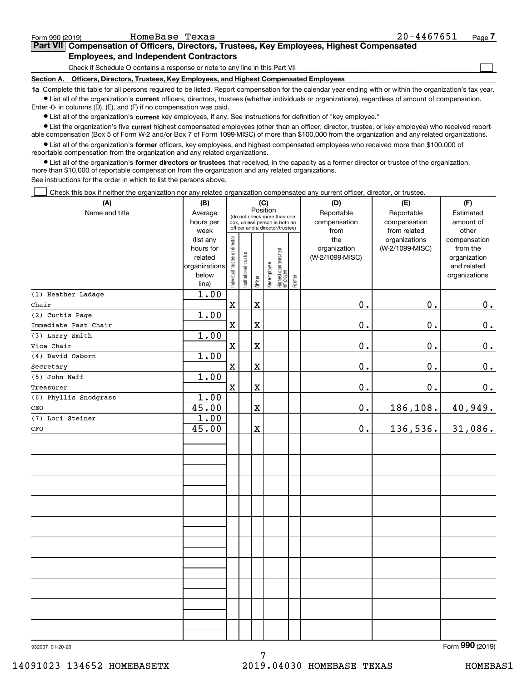| Form 990 (2019) | HomeBase Texas                                                                                                                                            | $20 - 4467651$ | Page |
|-----------------|-----------------------------------------------------------------------------------------------------------------------------------------------------------|----------------|------|
|                 | Part VII Compensation of Officers, Directors, Trustees, Key Employees, Highest Compensated                                                                |                |      |
|                 | <b>Employees, and Independent Contractors</b>                                                                                                             |                |      |
|                 | Check if Schedule O contains a response or note to any line in this Part VII                                                                              |                |      |
| Section A.      | Officers, Directors, Trustees, Key Employees, and Highest Compensated Employees                                                                           |                |      |
|                 | to Complete this tople for all persons required to be listed. Benef compensation for the colondary very ending with or within the examination's tax year. |                |      |

**1a •** List all of the organization's current officers, directors, trustees (whether individuals or organizations), regardless of amount of compensation. Complete this table for all persons required to be listed. Report compensation for the calendar year ending with or within the organization's tax year. Enter -0- in columns (D), (E), and (F) if no compensation was paid.

 $\bullet$  List all of the organization's  $\,$ current key employees, if any. See instructions for definition of "key employee."

**•** List the organization's five current highest compensated employees (other than an officer, director, trustee, or key employee) who received reportable compensation (Box 5 of Form W-2 and/or Box 7 of Form 1099-MISC) of more than \$100,000 from the organization and any related organizations.

**•** List all of the organization's former officers, key employees, and highest compensated employees who received more than \$100,000 of reportable compensation from the organization and any related organizations.

**former directors or trustees**  ¥ List all of the organization's that received, in the capacity as a former director or trustee of the organization, more than \$10,000 of reportable compensation from the organization and any related organizations.

See instructions for the order in which to list the persons above.

Check this box if neither the organization nor any related organization compensated any current officer, director, or trustee.  $\mathcal{L}^{\text{max}}$ 

| (A)                   | (B)                    |                                |                                                                  | (C)         |              |                                 |        | (D)             | (E)             | (F)                          |
|-----------------------|------------------------|--------------------------------|------------------------------------------------------------------|-------------|--------------|---------------------------------|--------|-----------------|-----------------|------------------------------|
| Name and title        | Average                |                                | (do not check more than one                                      | Position    |              |                                 |        | Reportable      | Reportable      | Estimated                    |
|                       | hours per              |                                | box, unless person is both an<br>officer and a director/trustee) |             |              |                                 |        | compensation    | compensation    | amount of                    |
|                       | week                   |                                |                                                                  |             |              |                                 |        | from            | from related    | other                        |
|                       | (list any              |                                |                                                                  |             |              |                                 |        | the             | organizations   | compensation                 |
|                       | hours for              |                                |                                                                  |             |              |                                 |        | organization    | (W-2/1099-MISC) | from the                     |
|                       | related                |                                |                                                                  |             |              |                                 |        | (W-2/1099-MISC) |                 | organization                 |
|                       | organizations<br>below |                                |                                                                  |             |              |                                 |        |                 |                 | and related<br>organizations |
|                       | line)                  | Individual trustee or director | Institutional trustee                                            | Officer     | Key employee | Highest compensated<br>employee | Former |                 |                 |                              |
| (1) Heather Ladage    | 1.00                   |                                |                                                                  |             |              |                                 |        |                 |                 |                              |
| Chair                 |                        | $\mathbf x$                    |                                                                  | $\mathbf X$ |              |                                 |        | 0.              | 0.              | 0.                           |
| (2) Curtis Page       | 1.00                   |                                |                                                                  |             |              |                                 |        |                 |                 |                              |
| Immediate Past Chair  |                        | $\mathbf X$                    |                                                                  | X           |              |                                 |        | $0$ .           | $0$ .           | $\mathbf 0$ .                |
| (3) Larry Smith       | 1.00                   |                                |                                                                  |             |              |                                 |        |                 |                 |                              |
| Vice Chair            |                        | $\mathbf X$                    |                                                                  | $\mathbf X$ |              |                                 |        | 0.              | $0$ .           | 0.                           |
| (4) David Osborn      | 1.00                   |                                |                                                                  |             |              |                                 |        |                 |                 |                              |
| Secretary             |                        | $\mathbf X$                    |                                                                  | X           |              |                                 |        | $0$ .           | $0$ .           | 0.                           |
| (5) John Neff         | 1.00                   |                                |                                                                  |             |              |                                 |        |                 |                 |                              |
| Treasurer             |                        | $\mathbf X$                    |                                                                  | X           |              |                                 |        | $\mathbf 0$ .   | $0$ .           | 0.                           |
| (6) Phyllis Snodgrass | 1.00                   |                                |                                                                  |             |              |                                 |        |                 |                 |                              |
| CEO                   | 45.00                  |                                |                                                                  | X           |              |                                 |        | $0$ .           | 186,108.        | 40,949.                      |
| (7) Lori Steiner      | 1.00                   |                                |                                                                  |             |              |                                 |        |                 |                 |                              |
| CFO                   | 45.00                  |                                |                                                                  | $\mathbf X$ |              |                                 |        | $0$ .           | 136,536.        | $31,086$ .                   |
|                       |                        |                                |                                                                  |             |              |                                 |        |                 |                 |                              |
|                       |                        |                                |                                                                  |             |              |                                 |        |                 |                 |                              |
|                       |                        |                                |                                                                  |             |              |                                 |        |                 |                 |                              |
|                       |                        |                                |                                                                  |             |              |                                 |        |                 |                 |                              |
|                       |                        |                                |                                                                  |             |              |                                 |        |                 |                 |                              |
|                       |                        |                                |                                                                  |             |              |                                 |        |                 |                 |                              |
|                       |                        |                                |                                                                  |             |              |                                 |        |                 |                 |                              |
|                       |                        |                                |                                                                  |             |              |                                 |        |                 |                 |                              |
|                       |                        |                                |                                                                  |             |              |                                 |        |                 |                 |                              |
|                       |                        |                                |                                                                  |             |              |                                 |        |                 |                 |                              |
|                       |                        |                                |                                                                  |             |              |                                 |        |                 |                 |                              |
|                       |                        |                                |                                                                  |             |              |                                 |        |                 |                 |                              |
|                       |                        |                                |                                                                  |             |              |                                 |        |                 |                 |                              |
|                       |                        |                                |                                                                  |             |              |                                 |        |                 |                 |                              |
|                       |                        |                                |                                                                  |             |              |                                 |        |                 |                 |                              |
|                       |                        |                                |                                                                  |             |              |                                 |        |                 |                 |                              |
|                       |                        |                                |                                                                  |             |              |                                 |        |                 |                 |                              |
|                       |                        |                                |                                                                  |             |              |                                 |        |                 |                 |                              |
|                       |                        |                                |                                                                  |             |              |                                 |        |                 |                 |                              |

7

Form (2019) **990**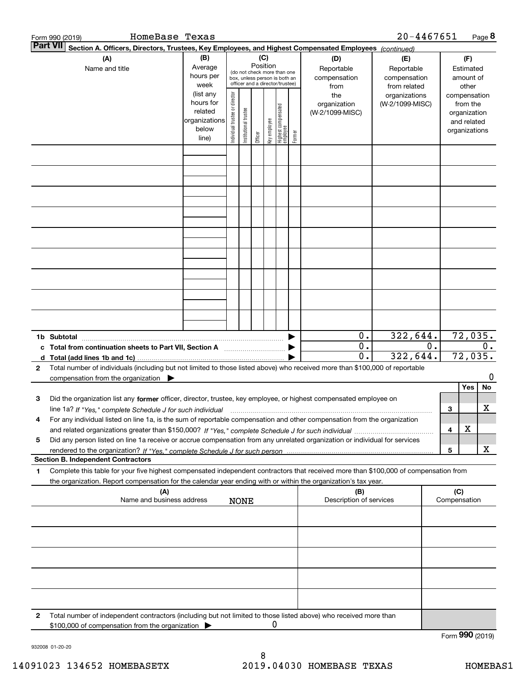|                 | HomeBase Texas<br>Form 990 (2019)                                                                                                                                                                                                                                   |                                                                      |                                |                       |                 |              |                                                                                                 |        |                                           | $20 - 4467651$                                    |              |                                                                          | Page $8$ |
|-----------------|---------------------------------------------------------------------------------------------------------------------------------------------------------------------------------------------------------------------------------------------------------------------|----------------------------------------------------------------------|--------------------------------|-----------------------|-----------------|--------------|-------------------------------------------------------------------------------------------------|--------|-------------------------------------------|---------------------------------------------------|--------------|--------------------------------------------------------------------------|----------|
| <b>Part VII</b> | Section A. Officers, Directors, Trustees, Key Employees, and Highest Compensated Employees (continued)                                                                                                                                                              |                                                                      |                                |                       |                 |              |                                                                                                 |        |                                           |                                                   |              |                                                                          |          |
|                 | (A)<br>Name and title                                                                                                                                                                                                                                               | (B)<br>Average<br>hours per<br>week                                  |                                |                       | (C)<br>Position |              | (do not check more than one<br>box, unless person is both an<br>officer and a director/trustee) |        | (D)<br>Reportable<br>compensation<br>from | (E)<br>Reportable<br>compensation<br>from related |              | (F)<br>Estimated<br>amount of<br>other                                   |          |
|                 |                                                                                                                                                                                                                                                                     | (list any<br>hours for<br>related<br>organizations<br>below<br>line) | Individual trustee or director | Institutional trustee | Officer         | Key employee | Highest compensated<br>  employee                                                               | Former | the<br>organization<br>(W-2/1099-MISC)    | organizations<br>(W-2/1099-MISC)                  |              | compensation<br>from the<br>organization<br>and related<br>organizations |          |
|                 |                                                                                                                                                                                                                                                                     |                                                                      |                                |                       |                 |              |                                                                                                 |        |                                           |                                                   |              |                                                                          |          |
|                 |                                                                                                                                                                                                                                                                     |                                                                      |                                |                       |                 |              |                                                                                                 |        |                                           |                                                   |              |                                                                          |          |
|                 |                                                                                                                                                                                                                                                                     |                                                                      |                                |                       |                 |              |                                                                                                 |        |                                           |                                                   |              |                                                                          |          |
|                 |                                                                                                                                                                                                                                                                     |                                                                      |                                |                       |                 |              |                                                                                                 |        |                                           |                                                   |              |                                                                          |          |
|                 |                                                                                                                                                                                                                                                                     |                                                                      |                                |                       |                 |              |                                                                                                 |        |                                           |                                                   |              |                                                                          |          |
|                 |                                                                                                                                                                                                                                                                     |                                                                      |                                |                       |                 |              |                                                                                                 |        |                                           |                                                   |              |                                                                          |          |
|                 | 1b Subtotal<br>c Total from continuation sheets to Part VII, Section A                                                                                                                                                                                              |                                                                      |                                |                       |                 |              |                                                                                                 | ▶      | 0.<br>0.                                  | 322,644.                                          | $0$ .        | 72,035.                                                                  | $0$ .    |
| 2               | Total number of individuals (including but not limited to those listed above) who received more than \$100,000 of reportable<br>compensation from the organization                                                                                                  |                                                                      |                                |                       |                 |              |                                                                                                 |        | $\mathbf{0}$ .                            | 322,644.                                          |              | 72,035.                                                                  | 0        |
| з               | Did the organization list any former officer, director, trustee, key employee, or highest compensated employee on                                                                                                                                                   |                                                                      |                                |                       |                 |              |                                                                                                 |        |                                           |                                                   |              | Yes                                                                      | No       |
| 4               | line 1a? If "Yes," complete Schedule J for such individual manufactured contained and the Yes," complete Schedule J for such individual<br>For any individual listed on line 1a, is the sum of reportable compensation and other compensation from the organization |                                                                      |                                |                       |                 |              |                                                                                                 |        |                                           |                                                   | 3<br>4       | х                                                                        | x        |
| 5               | Did any person listed on line 1a receive or accrue compensation from any unrelated organization or individual for services                                                                                                                                          |                                                                      |                                |                       |                 |              |                                                                                                 |        |                                           |                                                   | 5            |                                                                          | x        |
| 1               | <b>Section B. Independent Contractors</b><br>Complete this table for your five highest compensated independent contractors that received more than \$100,000 of compensation from                                                                                   |                                                                      |                                |                       |                 |              |                                                                                                 |        |                                           |                                                   |              |                                                                          |          |
|                 | the organization. Report compensation for the calendar year ending with or within the organization's tax year.<br>(A)                                                                                                                                               |                                                                      |                                |                       |                 |              |                                                                                                 |        | (B)                                       |                                                   |              | (C)                                                                      |          |
|                 | Name and business address                                                                                                                                                                                                                                           |                                                                      |                                | <b>NONE</b>           |                 |              |                                                                                                 |        | Description of services                   |                                                   | Compensation |                                                                          |          |
|                 |                                                                                                                                                                                                                                                                     |                                                                      |                                |                       |                 |              |                                                                                                 |        |                                           |                                                   |              |                                                                          |          |
|                 |                                                                                                                                                                                                                                                                     |                                                                      |                                |                       |                 |              |                                                                                                 |        |                                           |                                                   |              |                                                                          |          |
|                 |                                                                                                                                                                                                                                                                     |                                                                      |                                |                       |                 |              |                                                                                                 |        |                                           |                                                   |              |                                                                          |          |
| 2               | Total number of independent contractors (including but not limited to those listed above) who received more than                                                                                                                                                    |                                                                      |                                |                       |                 |              |                                                                                                 |        |                                           |                                                   |              |                                                                          |          |
|                 | \$100,000 of compensation from the organization                                                                                                                                                                                                                     |                                                                      |                                |                       |                 | 0            |                                                                                                 |        |                                           |                                                   |              |                                                                          |          |

932008 01-20-20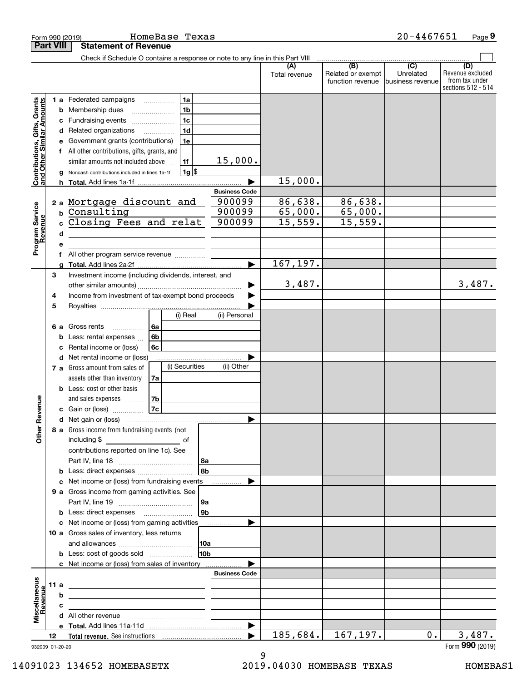|                                                                                         |                  | HomeBase Texas<br>Form 990 (2019)                                                                                                                                                                                                                                                                                                                                                                                                                                                                                   |                                                                                                           |                                                           | $20 - 4467651$                                    | Page 9                                                          |
|-----------------------------------------------------------------------------------------|------------------|---------------------------------------------------------------------------------------------------------------------------------------------------------------------------------------------------------------------------------------------------------------------------------------------------------------------------------------------------------------------------------------------------------------------------------------------------------------------------------------------------------------------|-----------------------------------------------------------------------------------------------------------|-----------------------------------------------------------|---------------------------------------------------|-----------------------------------------------------------------|
|                                                                                         | <b>Part VIII</b> | <b>Statement of Revenue</b>                                                                                                                                                                                                                                                                                                                                                                                                                                                                                         |                                                                                                           |                                                           |                                                   |                                                                 |
|                                                                                         |                  | Check if Schedule O contains a response or note to any line in this Part VIII                                                                                                                                                                                                                                                                                                                                                                                                                                       | (A)<br>Total revenue                                                                                      | $\overline{(B)}$<br>Related or exempt<br>function revenue | $\overline{(C)}$<br>Unrelated<br>business revenue | (D)<br>Revenue excluded<br>from tax under<br>sections 512 - 514 |
| Contributions, Gifts, Grants<br>and Other Similar Amounts<br>Program Service<br>Revenue |                  | 1 a Federated campaigns<br>1a<br>1 <sub>b</sub><br>Membership dues<br>b<br>1 <sub>c</sub><br>Fundraising events<br>с<br>1 <sub>d</sub><br>Related organizations<br>d<br>Government grants (contributions)<br>1e<br>е<br>f All other contributions, gifts, grants, and<br>similar amounts not included above<br>1f<br>$1g$ \$<br>Noncash contributions included in lines 1a-1f<br>a<br><b>Total.</b> Add lines 1a-1f<br>h.<br>2 a Mortgage discount and<br>Consulting<br>b<br>Closing Fees and relat<br>C.<br>d<br>е | 15,000.<br>15,000.<br><b>Business Code</b><br>86,638.<br>900099<br>65,000.<br>900099<br>15,559.<br>900099 | 86,638.<br>65,000.<br>15,559.                             |                                                   |                                                                 |
|                                                                                         | 3                | All other program service revenue<br>f<br>Investment income (including dividends, interest, and                                                                                                                                                                                                                                                                                                                                                                                                                     | 167,197.<br>ь                                                                                             |                                                           |                                                   |                                                                 |
|                                                                                         | 4<br>5           | Income from investment of tax-exempt bond proceeds<br>(i) Real                                                                                                                                                                                                                                                                                                                                                                                                                                                      | 3,487.                                                                                                    |                                                           |                                                   | 3,487.                                                          |
|                                                                                         | 6а               | Gross rents<br>6a<br>.<br>6b<br>Less: rental expenses<br>b<br>Rental income or (loss)<br>6c<br>с<br>Net rental income or (loss)<br>d<br>(i) Securities<br>7 a Gross amount from sales of<br>assets other than inventory<br>7a                                                                                                                                                                                                                                                                                       | (ii) Personal<br>(ii) Other                                                                               |                                                           |                                                   |                                                                 |
| evenue                                                                                  |                  | <b>b</b> Less: cost or other basis<br>and sales expenses<br>7b<br>7c<br>c Gain or (loss)                                                                                                                                                                                                                                                                                                                                                                                                                            |                                                                                                           |                                                           |                                                   |                                                                 |
| Other R                                                                                 |                  | 8 a Gross income from fundraising events (not<br>including \$<br>contributions reported on line 1c). See<br>  8a<br>8b<br>Less: direct expenses<br>b                                                                                                                                                                                                                                                                                                                                                                |                                                                                                           |                                                           |                                                   |                                                                 |
|                                                                                         |                  | Net income or (loss) from fundraising events<br>c                                                                                                                                                                                                                                                                                                                                                                                                                                                                   |                                                                                                           |                                                           |                                                   |                                                                 |
|                                                                                         |                  | 9 a Gross income from gaming activities. See<br> 9a<br>9 <sub>b</sub>                                                                                                                                                                                                                                                                                                                                                                                                                                               |                                                                                                           |                                                           |                                                   |                                                                 |
|                                                                                         |                  | b<br>Net income or (loss) from gaming activities<br>с<br>10 a Gross sales of inventory, less returns<br> 10a<br>10 <sub>b</sub><br><b>b</b> Less: cost of goods sold                                                                                                                                                                                                                                                                                                                                                |                                                                                                           |                                                           |                                                   |                                                                 |
| Miscellaneous<br>evenue                                                                 | 11a              | c Net income or (loss) from sales of inventory<br><u> 1989 - John Stein, mars and de Britain and de Britain and de Britain and de Britain and de Britain and de Br</u><br>b<br>с                                                                                                                                                                                                                                                                                                                                    | <b>Business Code</b>                                                                                      |                                                           |                                                   |                                                                 |
|                                                                                         |                  | d                                                                                                                                                                                                                                                                                                                                                                                                                                                                                                                   | ▶                                                                                                         |                                                           | $0$ .                                             |                                                                 |
| 932009 01-20-20                                                                         | 12               |                                                                                                                                                                                                                                                                                                                                                                                                                                                                                                                     | 185,684.                                                                                                  | 167, 197.                                                 |                                                   | 3,487.<br>Form 990 (2019)                                       |

932009 01-20-20

14091023 134652 HOMEBASETX 2019.04030 HOMEBASE TEXAS HOMEBAS1

9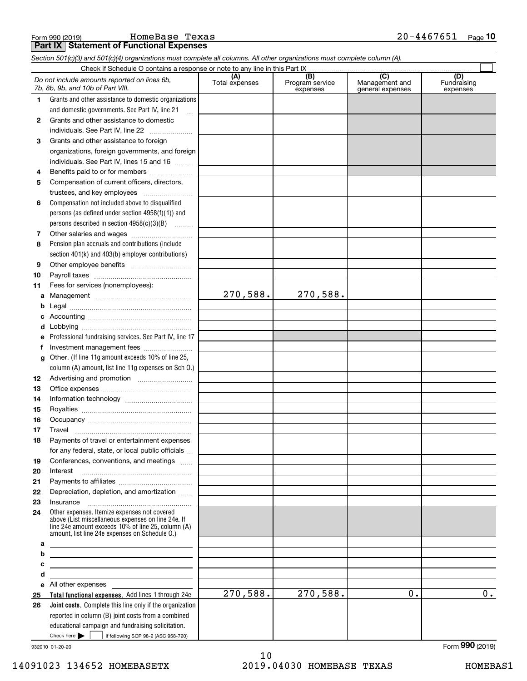**Part IX Statement of Functional Expenses**

|              | Section 501(c)(3) and 501(c)(4) organizations must complete all columns. All other organizations must complete column (A).                                                                                 |                       |                                    |                                                        |                                |
|--------------|------------------------------------------------------------------------------------------------------------------------------------------------------------------------------------------------------------|-----------------------|------------------------------------|--------------------------------------------------------|--------------------------------|
|              |                                                                                                                                                                                                            |                       |                                    |                                                        |                                |
|              | Do not include amounts reported on lines 6b,<br>7b, 8b, 9b, and 10b of Part VIII.                                                                                                                          | (A)<br>Total expenses | (B)<br>Program service<br>expenses | $\overline{(C)}$<br>Management and<br>general expenses | (D)<br>Fundraising<br>expenses |
| $\mathbf{1}$ | Grants and other assistance to domestic organizations                                                                                                                                                      |                       |                                    |                                                        |                                |
|              | and domestic governments. See Part IV, line 21                                                                                                                                                             |                       |                                    |                                                        |                                |
| $\mathbf{2}$ | Grants and other assistance to domestic                                                                                                                                                                    |                       |                                    |                                                        |                                |
|              | individuals. See Part IV, line 22                                                                                                                                                                          |                       |                                    |                                                        |                                |
| 3            | Grants and other assistance to foreign                                                                                                                                                                     |                       |                                    |                                                        |                                |
|              | organizations, foreign governments, and foreign                                                                                                                                                            |                       |                                    |                                                        |                                |
|              | individuals. See Part IV, lines 15 and 16                                                                                                                                                                  |                       |                                    |                                                        |                                |
| 4            | Benefits paid to or for members                                                                                                                                                                            |                       |                                    |                                                        |                                |
| 5            | Compensation of current officers, directors,                                                                                                                                                               |                       |                                    |                                                        |                                |
|              |                                                                                                                                                                                                            |                       |                                    |                                                        |                                |
| 6            | Compensation not included above to disqualified                                                                                                                                                            |                       |                                    |                                                        |                                |
|              | persons (as defined under section $4958(f)(1)$ ) and                                                                                                                                                       |                       |                                    |                                                        |                                |
|              | persons described in section 4958(c)(3)(B)                                                                                                                                                                 |                       |                                    |                                                        |                                |
| 7            |                                                                                                                                                                                                            |                       |                                    |                                                        |                                |
| 8            | Pension plan accruals and contributions (include                                                                                                                                                           |                       |                                    |                                                        |                                |
|              | section 401(k) and 403(b) employer contributions)                                                                                                                                                          |                       |                                    |                                                        |                                |
| 9            |                                                                                                                                                                                                            |                       |                                    |                                                        |                                |
| 10           |                                                                                                                                                                                                            |                       |                                    |                                                        |                                |
| 11           | Fees for services (nonemployees):                                                                                                                                                                          |                       |                                    |                                                        |                                |
| а            |                                                                                                                                                                                                            | 270,588.              | 270,588.                           |                                                        |                                |
| b            |                                                                                                                                                                                                            |                       |                                    |                                                        |                                |
| c            |                                                                                                                                                                                                            |                       |                                    |                                                        |                                |
| d            |                                                                                                                                                                                                            |                       |                                    |                                                        |                                |
| е            | Professional fundraising services. See Part IV, line 17                                                                                                                                                    |                       |                                    |                                                        |                                |
| f            | Investment management fees                                                                                                                                                                                 |                       |                                    |                                                        |                                |
| g            | Other. (If line 11g amount exceeds 10% of line 25,                                                                                                                                                         |                       |                                    |                                                        |                                |
|              | column (A) amount, list line 11g expenses on Sch 0.)                                                                                                                                                       |                       |                                    |                                                        |                                |
| 12           |                                                                                                                                                                                                            |                       |                                    |                                                        |                                |
| 13           |                                                                                                                                                                                                            |                       |                                    |                                                        |                                |
| 14           |                                                                                                                                                                                                            |                       |                                    |                                                        |                                |
| 15           |                                                                                                                                                                                                            |                       |                                    |                                                        |                                |
| 16           |                                                                                                                                                                                                            |                       |                                    |                                                        |                                |
| 17           |                                                                                                                                                                                                            |                       |                                    |                                                        |                                |
|              | Payments of travel or entertainment expenses                                                                                                                                                               |                       |                                    |                                                        |                                |
|              | for any federal, state, or local public officials                                                                                                                                                          |                       |                                    |                                                        |                                |
| 19           | Conferences, conventions, and meetings                                                                                                                                                                     |                       |                                    |                                                        |                                |
| 20           | Interest                                                                                                                                                                                                   |                       |                                    |                                                        |                                |
| 21           |                                                                                                                                                                                                            |                       |                                    |                                                        |                                |
| 22           | Depreciation, depletion, and amortization                                                                                                                                                                  |                       |                                    |                                                        |                                |
| 23           | Insurance                                                                                                                                                                                                  |                       |                                    |                                                        |                                |
| 24           | Other expenses. Itemize expenses not covered<br>above (List miscellaneous expenses on line 24e. If<br>line 24e amount exceeds 10% of line 25, column (A)<br>amount, list line 24e expenses on Schedule 0.) |                       |                                    |                                                        |                                |
| а            | <u> 1989 - Johann Barn, mars ann an t-Amhain an t-Amhain an t-Amhain an t-Amhain an t-Amhain an t-Amhain an t-Amh</u>                                                                                      |                       |                                    |                                                        |                                |
| b            | <u> 1989 - Johann Barbara, martxa alemaniar arg</u>                                                                                                                                                        |                       |                                    |                                                        |                                |
| с            | <u> 1989 - John Stein, Amerikaansk politiker (</u>                                                                                                                                                         |                       |                                    |                                                        |                                |
| d            | <u> 1989 - Johann Stein, mars an t-Amerikaansk ferskeinder (* 1958)</u>                                                                                                                                    |                       |                                    |                                                        |                                |
|              | e All other expenses                                                                                                                                                                                       |                       |                                    |                                                        |                                |
| 25           | Total functional expenses. Add lines 1 through 24e                                                                                                                                                         | 270,588.              | 270,588.                           | 0.                                                     | 0.                             |
| 26           | Joint costs. Complete this line only if the organization                                                                                                                                                   |                       |                                    |                                                        |                                |
|              | reported in column (B) joint costs from a combined                                                                                                                                                         |                       |                                    |                                                        |                                |
|              | educational campaign and fundraising solicitation.                                                                                                                                                         |                       |                                    |                                                        |                                |
|              | Check here         if following SOP 98-2 (ASC 958-720)                                                                                                                                                     |                       |                                    |                                                        |                                |

932010 01-20-20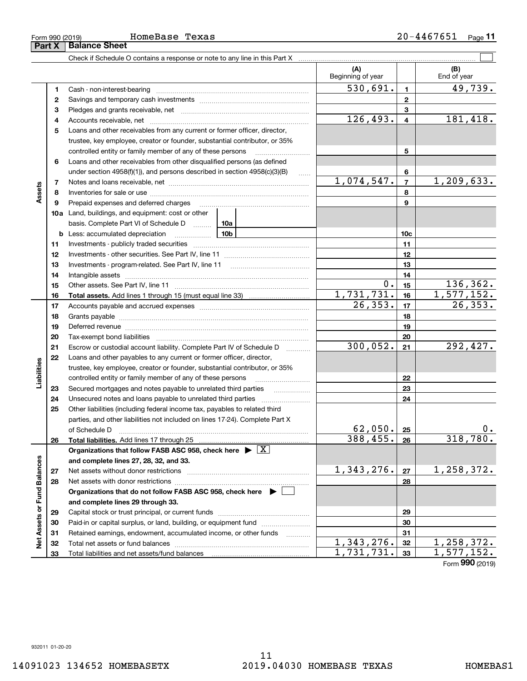Form 990 (2019) **HOmeBase Texas 20-4467651** page **11 Part X Balance Sheet** HomeBase Texas

L,

|                             |          |                                                                                                                                                                                                                                |         | (A)<br>Beginning of year |                         | (B)<br>End of year |
|-----------------------------|----------|--------------------------------------------------------------------------------------------------------------------------------------------------------------------------------------------------------------------------------|---------|--------------------------|-------------------------|--------------------|
|                             | 1        |                                                                                                                                                                                                                                |         | $\overline{530,691}$ .   | $\blacksquare$          | 49,739.            |
|                             | 2        |                                                                                                                                                                                                                                |         |                          | $\overline{2}$          |                    |
|                             | з        |                                                                                                                                                                                                                                |         |                          | 3                       |                    |
|                             | 4        |                                                                                                                                                                                                                                |         | 126, 493.                | $\overline{\mathbf{4}}$ | 181,418.           |
|                             | 5        | Loans and other receivables from any current or former officer, director,                                                                                                                                                      |         |                          |                         |                    |
|                             |          | trustee, key employee, creator or founder, substantial contributor, or 35%                                                                                                                                                     |         |                          |                         |                    |
|                             |          | controlled entity or family member of any of these persons                                                                                                                                                                     |         |                          | 5                       |                    |
|                             | 6        | Loans and other receivables from other disqualified persons (as defined                                                                                                                                                        |         |                          |                         |                    |
|                             |          | under section $4958(f)(1)$ , and persons described in section $4958(c)(3)(B)$                                                                                                                                                  | 1.1.1.1 |                          | 6                       |                    |
|                             | 7        |                                                                                                                                                                                                                                |         | 1,074,547.               | $\overline{7}$          | 1,209,633.         |
| Assets                      | 8        |                                                                                                                                                                                                                                |         |                          | 8                       |                    |
|                             | 9        | Prepaid expenses and deferred charges                                                                                                                                                                                          |         |                          | 9                       |                    |
|                             |          | 10a Land, buildings, and equipment: cost or other                                                                                                                                                                              |         |                          |                         |                    |
|                             |          | basis. Complete Part VI of Schedule D  10a                                                                                                                                                                                     |         |                          |                         |                    |
|                             |          | <u>10b</u><br><b>b</b> Less: accumulated depreciation                                                                                                                                                                          |         |                          | 10 <sub>c</sub>         |                    |
|                             | 11       |                                                                                                                                                                                                                                |         |                          | 11                      |                    |
|                             | 12       |                                                                                                                                                                                                                                |         |                          | 12                      |                    |
|                             | 13       |                                                                                                                                                                                                                                |         |                          | 13                      |                    |
|                             | 14       |                                                                                                                                                                                                                                |         |                          | 14                      |                    |
|                             | 15       |                                                                                                                                                                                                                                |         | $0$ .                    | 15                      | 136,362.           |
|                             | 16       |                                                                                                                                                                                                                                |         | 1,731,731.               | 16                      | 1,577,152.         |
|                             | 17       |                                                                                                                                                                                                                                |         | 26, 353.                 | 17                      | 26, 353.           |
|                             | 18       |                                                                                                                                                                                                                                |         |                          | 18                      |                    |
|                             | 19       | Deferred revenue manual contracts and contracts are all the manual contracts and contracts are contracted and contracts are contracted and contract are contracted and contract are contracted and contract are contracted and |         | 19                       |                         |                    |
|                             | 20       |                                                                                                                                                                                                                                |         |                          | 20                      |                    |
|                             | 21       | Escrow or custodial account liability. Complete Part IV of Schedule D                                                                                                                                                          | .       | 300,052.                 | 21                      | 292,427.           |
|                             | 22       | Loans and other payables to any current or former officer, director,                                                                                                                                                           |         |                          |                         |                    |
| Liabilities                 |          | trustee, key employee, creator or founder, substantial contributor, or 35%                                                                                                                                                     |         |                          |                         |                    |
|                             |          | controlled entity or family member of any of these persons                                                                                                                                                                     |         |                          | 22                      |                    |
|                             | 23       |                                                                                                                                                                                                                                |         |                          | 23                      |                    |
|                             | 24       |                                                                                                                                                                                                                                |         |                          | 24                      |                    |
|                             | 25       | Other liabilities (including federal income tax, payables to related third                                                                                                                                                     |         |                          |                         |                    |
|                             |          | parties, and other liabilities not included on lines 17-24). Complete Part X                                                                                                                                                   |         |                          |                         |                    |
|                             |          |                                                                                                                                                                                                                                |         | 62,050.                  | 25                      | 0.                 |
|                             | 26       | Total liabilities. Add lines 17 through 25                                                                                                                                                                                     |         | 388, 455.                | 26                      | 318,780.           |
|                             |          | Organizations that follow FASB ASC 958, check here $\blacktriangleright \boxed{X}$                                                                                                                                             |         |                          |                         |                    |
|                             |          | and complete lines 27, 28, 32, and 33.                                                                                                                                                                                         |         |                          |                         |                    |
|                             | 27       | Net assets without donor restrictions                                                                                                                                                                                          |         | 1,343,276.               | 27                      | 1,258,372.         |
|                             | 28       | Net assets with donor restrictions                                                                                                                                                                                             |         |                          | 28                      |                    |
|                             |          | Organizations that do not follow FASB ASC 958, check here $\blacktriangleright$                                                                                                                                                |         |                          |                         |                    |
| Net Assets or Fund Balances |          | and complete lines 29 through 33.                                                                                                                                                                                              |         |                          |                         |                    |
|                             | 29       |                                                                                                                                                                                                                                |         |                          | 29                      |                    |
|                             | 30       | Paid-in or capital surplus, or land, building, or equipment fund                                                                                                                                                               |         |                          | 30<br>31                |                    |
|                             | 31       | Retained earnings, endowment, accumulated income, or other funds                                                                                                                                                               |         | 1,343,276.               | 32                      | 1,258,372.         |
|                             | 32<br>33 |                                                                                                                                                                                                                                |         | 1,731,731.               | 33                      | 1, 577, 152.       |
|                             |          |                                                                                                                                                                                                                                |         |                          |                         |                    |

Form (2019) **990**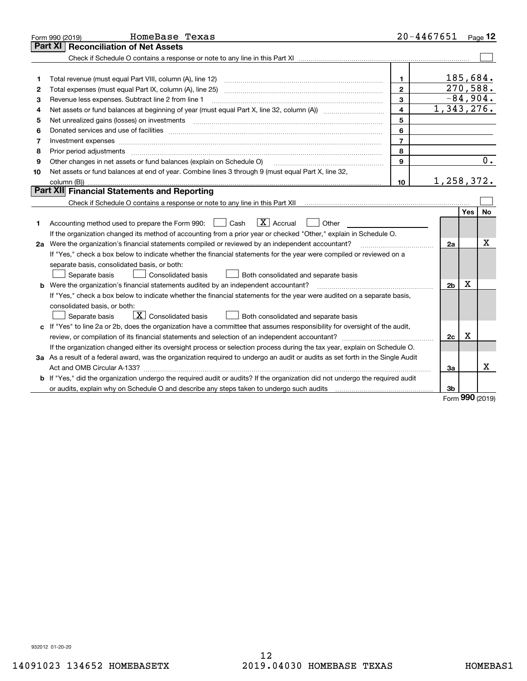| Part XI                                                                                                                         |                |         | Page 12          |
|---------------------------------------------------------------------------------------------------------------------------------|----------------|---------|------------------|
| <b>Reconciliation of Net Assets</b>                                                                                             |                |         |                  |
|                                                                                                                                 |                |         |                  |
|                                                                                                                                 |                |         |                  |
| 1.<br>1                                                                                                                         | 185,684.       |         |                  |
| $\overline{2}$<br>2                                                                                                             | 270,588.       |         |                  |
| $\mathbf{3}$<br>Revenue less expenses. Subtract line 2 from line 1<br>з                                                         | $-84,904.$     |         |                  |
| $\overline{\mathbf{4}}$<br>4                                                                                                    | 1,343,276.     |         |                  |
| 5<br>5                                                                                                                          |                |         |                  |
| 6<br>6                                                                                                                          |                |         |                  |
| $\overline{7}$<br>7                                                                                                             |                |         |                  |
| 8<br>Prior period adjustments<br>8                                                                                              |                |         |                  |
| Other changes in net assets or fund balances (explain on Schedule O)<br>9<br>9                                                  |                |         | $\overline{0}$ . |
| Net assets or fund balances at end of year. Combine lines 3 through 9 (must equal Part X, line 32,<br>10                        |                |         |                  |
| 10                                                                                                                              | 1,258,372.     |         |                  |
| Part XII Financial Statements and Reporting                                                                                     |                |         |                  |
|                                                                                                                                 |                |         |                  |
|                                                                                                                                 |                | Yes     | No               |
| $\boxed{\mathbf{X}}$ Accrual<br>Accounting method used to prepare the Form 990: <u>June</u> Cash<br>Other<br>1                  |                |         |                  |
| If the organization changed its method of accounting from a prior year or checked "Other," explain in Schedule O.               |                |         |                  |
| 2a Were the organization's financial statements compiled or reviewed by an independent accountant?                              | 2a             |         | x                |
| If "Yes," check a box below to indicate whether the financial statements for the year were compiled or reviewed on a            |                |         |                  |
| separate basis, consolidated basis, or both:                                                                                    |                |         |                  |
| Separate basis<br>Consolidated basis<br>Both consolidated and separate basis                                                    |                |         |                  |
| Were the organization's financial statements audited by an independent accountant?<br>b                                         | 2 <sub>b</sub> | Χ       |                  |
| If "Yes," check a box below to indicate whether the financial statements for the year were audited on a separate basis,         |                |         |                  |
| consolidated basis, or both:                                                                                                    |                |         |                  |
| $\boxed{\textbf{X}}$ Consolidated basis<br>Separate basis<br>Both consolidated and separate basis                               |                |         |                  |
| c If "Yes" to line 2a or 2b, does the organization have a committee that assumes responsibility for oversight of the audit,     |                |         |                  |
|                                                                                                                                 | 2c             | X       |                  |
| If the organization changed either its oversight process or selection process during the tax year, explain on Schedule O.       |                |         |                  |
| 3a As a result of a federal award, was the organization required to undergo an audit or audits as set forth in the Single Audit |                |         |                  |
|                                                                                                                                 | 3a             |         | x                |
| b If "Yes," did the organization undergo the required audit or audits? If the organization did not undergo the required audit   |                |         |                  |
|                                                                                                                                 | 3b             | $000 -$ |                  |

Form (2019) **990**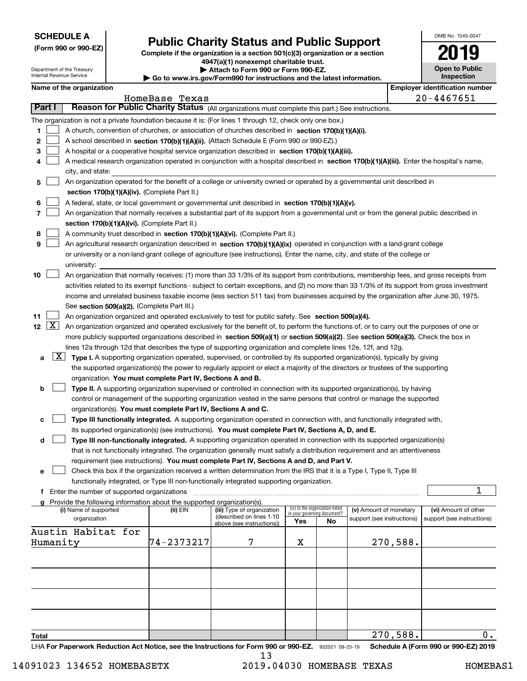| <b>SCHEDULE A</b> |
|-------------------|
|-------------------|

Department of the Treasury Internal Revenue Service

**(Form 990 or 990-EZ)**

### **Public Charity Status and Public Support**

**Complete if the organization is a section 501(c)(3) organization or a section 4947(a)(1) nonexempt charitable trust. | Attach to Form 990 or Form 990-EZ.** 

| $\triangleright$ Go to www.irs.gov/Form990 for instructions and the latest information. |  |  |  |
|-----------------------------------------------------------------------------------------|--|--|--|
|-----------------------------------------------------------------------------------------|--|--|--|

| OMB No. 1545-0047                   |
|-------------------------------------|
| '019                                |
| <b>Open to Public</b><br>Inspection |

|                | Name of the organization                                                                                                                                                                                                                                        |                |                                                       |     |                                                                |                            |          | <b>Employer identification number</b> |
|----------------|-----------------------------------------------------------------------------------------------------------------------------------------------------------------------------------------------------------------------------------------------------------------|----------------|-------------------------------------------------------|-----|----------------------------------------------------------------|----------------------------|----------|---------------------------------------|
|                |                                                                                                                                                                                                                                                                 | HomeBase Texas |                                                       |     |                                                                |                            |          | $20 - 4467651$                        |
| Part I         | Reason for Public Charity Status (All organizations must complete this part.) See instructions.                                                                                                                                                                 |                |                                                       |     |                                                                |                            |          |                                       |
|                | The organization is not a private foundation because it is: (For lines 1 through 12, check only one box.)                                                                                                                                                       |                |                                                       |     |                                                                |                            |          |                                       |
| 1              | A church, convention of churches, or association of churches described in section 170(b)(1)(A)(i).                                                                                                                                                              |                |                                                       |     |                                                                |                            |          |                                       |
| 2              | A school described in section 170(b)(1)(A)(ii). (Attach Schedule E (Form 990 or 990-EZ).)                                                                                                                                                                       |                |                                                       |     |                                                                |                            |          |                                       |
| 3              | A hospital or a cooperative hospital service organization described in section 170(b)(1)(A)(iii).                                                                                                                                                               |                |                                                       |     |                                                                |                            |          |                                       |
| 4              | A medical research organization operated in conjunction with a hospital described in section 170(b)(1)(A)(iii). Enter the hospital's name,                                                                                                                      |                |                                                       |     |                                                                |                            |          |                                       |
|                | city, and state:                                                                                                                                                                                                                                                |                |                                                       |     |                                                                |                            |          |                                       |
| 5              | An organization operated for the benefit of a college or university owned or operated by a governmental unit described in                                                                                                                                       |                |                                                       |     |                                                                |                            |          |                                       |
|                | section 170(b)(1)(A)(iv). (Complete Part II.)                                                                                                                                                                                                                   |                |                                                       |     |                                                                |                            |          |                                       |
| 6              | A federal, state, or local government or governmental unit described in section 170(b)(1)(A)(v).                                                                                                                                                                |                |                                                       |     |                                                                |                            |          |                                       |
| $\overline{7}$ | An organization that normally receives a substantial part of its support from a governmental unit or from the general public described in                                                                                                                       |                |                                                       |     |                                                                |                            |          |                                       |
|                | section 170(b)(1)(A)(vi). (Complete Part II.)                                                                                                                                                                                                                   |                |                                                       |     |                                                                |                            |          |                                       |
| 8<br>9         | A community trust described in section 170(b)(1)(A)(vi). (Complete Part II.)                                                                                                                                                                                    |                |                                                       |     |                                                                |                            |          |                                       |
|                | An agricultural research organization described in section 170(b)(1)(A)(ix) operated in conjunction with a land-grant college<br>or university or a non-land-grant college of agriculture (see instructions). Enter the name, city, and state of the college or |                |                                                       |     |                                                                |                            |          |                                       |
|                | university:                                                                                                                                                                                                                                                     |                |                                                       |     |                                                                |                            |          |                                       |
| 10             | An organization that normally receives: (1) more than 33 1/3% of its support from contributions, membership fees, and gross receipts from                                                                                                                       |                |                                                       |     |                                                                |                            |          |                                       |
|                | activities related to its exempt functions - subject to certain exceptions, and (2) no more than 33 1/3% of its support from gross investment                                                                                                                   |                |                                                       |     |                                                                |                            |          |                                       |
|                | income and unrelated business taxable income (less section 511 tax) from businesses acquired by the organization after June 30, 1975.                                                                                                                           |                |                                                       |     |                                                                |                            |          |                                       |
|                | See section 509(a)(2). (Complete Part III.)                                                                                                                                                                                                                     |                |                                                       |     |                                                                |                            |          |                                       |
| 11             | An organization organized and operated exclusively to test for public safety. See section 509(a)(4).                                                                                                                                                            |                |                                                       |     |                                                                |                            |          |                                       |
| 12 $[X]$       | An organization organized and operated exclusively for the benefit of, to perform the functions of, or to carry out the purposes of one or                                                                                                                      |                |                                                       |     |                                                                |                            |          |                                       |
|                | more publicly supported organizations described in section 509(a)(1) or section 509(a)(2). See section 509(a)(3). Check the box in                                                                                                                              |                |                                                       |     |                                                                |                            |          |                                       |
|                | lines 12a through 12d that describes the type of supporting organization and complete lines 12e, 12f, and 12g.                                                                                                                                                  |                |                                                       |     |                                                                |                            |          |                                       |
| a              | $\lfloor x \rfloor$<br>Type I. A supporting organization operated, supervised, or controlled by its supported organization(s), typically by giving                                                                                                              |                |                                                       |     |                                                                |                            |          |                                       |
|                | the supported organization(s) the power to regularly appoint or elect a majority of the directors or trustees of the supporting                                                                                                                                 |                |                                                       |     |                                                                |                            |          |                                       |
|                | organization. You must complete Part IV, Sections A and B.                                                                                                                                                                                                      |                |                                                       |     |                                                                |                            |          |                                       |
| b              | Type II. A supporting organization supervised or controlled in connection with its supported organization(s), by having                                                                                                                                         |                |                                                       |     |                                                                |                            |          |                                       |
|                | control or management of the supporting organization vested in the same persons that control or manage the supported                                                                                                                                            |                |                                                       |     |                                                                |                            |          |                                       |
|                | organization(s). You must complete Part IV, Sections A and C.                                                                                                                                                                                                   |                |                                                       |     |                                                                |                            |          |                                       |
| с              | Type III functionally integrated. A supporting organization operated in connection with, and functionally integrated with,                                                                                                                                      |                |                                                       |     |                                                                |                            |          |                                       |
|                | its supported organization(s) (see instructions). You must complete Part IV, Sections A, D, and E.                                                                                                                                                              |                |                                                       |     |                                                                |                            |          |                                       |
| d              | Type III non-functionally integrated. A supporting organization operated in connection with its supported organization(s)                                                                                                                                       |                |                                                       |     |                                                                |                            |          |                                       |
|                | that is not functionally integrated. The organization generally must satisfy a distribution requirement and an attentiveness                                                                                                                                    |                |                                                       |     |                                                                |                            |          |                                       |
|                | requirement (see instructions). You must complete Part IV, Sections A and D, and Part V.                                                                                                                                                                        |                |                                                       |     |                                                                |                            |          |                                       |
| е              | Check this box if the organization received a written determination from the IRS that it is a Type I, Type II, Type III<br>functionally integrated, or Type III non-functionally integrated supporting organization.                                            |                |                                                       |     |                                                                |                            |          |                                       |
| f              | Enter the number of supported organizations                                                                                                                                                                                                                     |                |                                                       |     |                                                                |                            |          | 1                                     |
|                | Provide the following information about the supported organization(s).                                                                                                                                                                                          |                |                                                       |     |                                                                |                            |          |                                       |
|                | (i) Name of supported                                                                                                                                                                                                                                           | (ii) EIN       | (iii) Type of organization                            |     | (iv) Is the organization listed<br>in your governing document? | (v) Amount of monetary     |          | (vi) Amount of other                  |
|                | organization                                                                                                                                                                                                                                                    |                | (described on lines 1-10<br>above (see instructions)) | Yes | No                                                             | support (see instructions) |          | support (see instructions)            |
|                | Austin Habitat for                                                                                                                                                                                                                                              |                |                                                       |     |                                                                |                            |          |                                       |
|                | Humanity                                                                                                                                                                                                                                                        | 74-2373217     | 7                                                     | X   |                                                                |                            | 270,588. |                                       |
|                |                                                                                                                                                                                                                                                                 |                |                                                       |     |                                                                |                            |          |                                       |
|                |                                                                                                                                                                                                                                                                 |                |                                                       |     |                                                                |                            |          |                                       |
|                |                                                                                                                                                                                                                                                                 |                |                                                       |     |                                                                |                            |          |                                       |
|                |                                                                                                                                                                                                                                                                 |                |                                                       |     |                                                                |                            |          |                                       |
|                |                                                                                                                                                                                                                                                                 |                |                                                       |     |                                                                |                            |          |                                       |
|                |                                                                                                                                                                                                                                                                 |                |                                                       |     |                                                                |                            |          |                                       |
|                |                                                                                                                                                                                                                                                                 |                |                                                       |     |                                                                |                            |          |                                       |
|                |                                                                                                                                                                                                                                                                 |                |                                                       |     |                                                                |                            |          |                                       |
| Total          |                                                                                                                                                                                                                                                                 |                |                                                       |     |                                                                |                            | 270,588. | 0.                                    |

LHA For Paperwork Reduction Act Notice, see the Instructions for Form 990 or 990-EZ. 932021 09-25-19 Schedule A (Form 990 or 990-EZ) 2019 13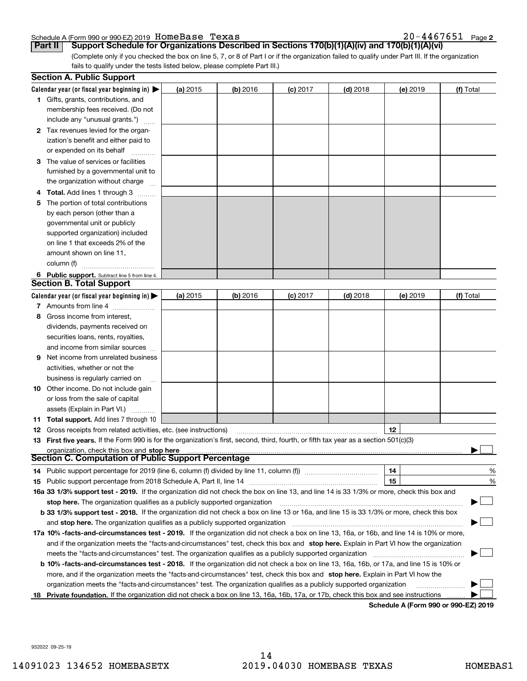#### Schedule A (Form 990 or 990-EZ) 2019 Page HomeBase Texas 20-4467651

20-4467651 Page 2

(Complete only if you checked the box on line 5, 7, or 8 of Part I or if the organization failed to qualify under Part III. If the organization fails to qualify under the tests listed below, please complete Part III.) **Part II Support Schedule for Organizations Described in Sections 170(b)(1)(A)(iv) and 170(b)(1)(A)(vi)**

|    | <b>Section A. Public Support</b>                                                                                                                                                                                       |          |            |            |            |          |           |
|----|------------------------------------------------------------------------------------------------------------------------------------------------------------------------------------------------------------------------|----------|------------|------------|------------|----------|-----------|
|    | Calendar year (or fiscal year beginning in) $\blacktriangleright$                                                                                                                                                      | (a) 2015 | (b) 2016   | $(c)$ 2017 | $(d)$ 2018 | (e) 2019 | (f) Total |
|    | <b>1</b> Gifts, grants, contributions, and                                                                                                                                                                             |          |            |            |            |          |           |
|    | membership fees received. (Do not                                                                                                                                                                                      |          |            |            |            |          |           |
|    | include any "unusual grants.")                                                                                                                                                                                         |          |            |            |            |          |           |
|    | 2 Tax revenues levied for the organ-                                                                                                                                                                                   |          |            |            |            |          |           |
|    | ization's benefit and either paid to                                                                                                                                                                                   |          |            |            |            |          |           |
|    | or expended on its behalf                                                                                                                                                                                              |          |            |            |            |          |           |
|    | 3 The value of services or facilities                                                                                                                                                                                  |          |            |            |            |          |           |
|    | furnished by a governmental unit to                                                                                                                                                                                    |          |            |            |            |          |           |
|    | the organization without charge                                                                                                                                                                                        |          |            |            |            |          |           |
|    | 4 Total. Add lines 1 through 3                                                                                                                                                                                         |          |            |            |            |          |           |
| 5  | The portion of total contributions                                                                                                                                                                                     |          |            |            |            |          |           |
|    | by each person (other than a                                                                                                                                                                                           |          |            |            |            |          |           |
|    | governmental unit or publicly                                                                                                                                                                                          |          |            |            |            |          |           |
|    | supported organization) included                                                                                                                                                                                       |          |            |            |            |          |           |
|    | on line 1 that exceeds 2% of the                                                                                                                                                                                       |          |            |            |            |          |           |
|    | amount shown on line 11,                                                                                                                                                                                               |          |            |            |            |          |           |
|    | column (f)                                                                                                                                                                                                             |          |            |            |            |          |           |
|    | 6 Public support. Subtract line 5 from line 4.                                                                                                                                                                         |          |            |            |            |          |           |
|    | <b>Section B. Total Support</b>                                                                                                                                                                                        |          |            |            |            |          |           |
|    | Calendar year (or fiscal year beginning in) $\blacktriangleright$                                                                                                                                                      | (a) 2015 | $(b)$ 2016 | $(c)$ 2017 | $(d)$ 2018 | (e) 2019 | (f) Total |
|    | 7 Amounts from line 4                                                                                                                                                                                                  |          |            |            |            |          |           |
| 8  | Gross income from interest,                                                                                                                                                                                            |          |            |            |            |          |           |
|    | dividends, payments received on                                                                                                                                                                                        |          |            |            |            |          |           |
|    | securities loans, rents, royalties,                                                                                                                                                                                    |          |            |            |            |          |           |
|    | and income from similar sources                                                                                                                                                                                        |          |            |            |            |          |           |
| 9  | Net income from unrelated business                                                                                                                                                                                     |          |            |            |            |          |           |
|    |                                                                                                                                                                                                                        |          |            |            |            |          |           |
|    | activities, whether or not the                                                                                                                                                                                         |          |            |            |            |          |           |
|    | business is regularly carried on                                                                                                                                                                                       |          |            |            |            |          |           |
|    | <b>10</b> Other income. Do not include gain                                                                                                                                                                            |          |            |            |            |          |           |
|    | or loss from the sale of capital                                                                                                                                                                                       |          |            |            |            |          |           |
|    | assets (Explain in Part VI.)                                                                                                                                                                                           |          |            |            |            |          |           |
|    | 11 Total support. Add lines 7 through 10                                                                                                                                                                               |          |            |            |            |          |           |
|    | <b>12</b> Gross receipts from related activities, etc. (see instructions)                                                                                                                                              |          |            |            |            | 12       |           |
|    | 13 First five years. If the Form 990 is for the organization's first, second, third, fourth, or fifth tax year as a section 501(c)(3)                                                                                  |          |            |            |            |          |           |
|    | organization, check this box and stop here<br><b>Section C. Computation of Public Support Percentage</b>                                                                                                               |          |            |            |            |          |           |
|    | 14 Public support percentage for 2019 (line 6, column (f) divided by line 11, column (f) <i>mummumumum</i>                                                                                                             |          |            |            |            | 14       | %         |
|    |                                                                                                                                                                                                                        |          |            |            |            | 15       | %         |
|    | 16a 33 1/3% support test - 2019. If the organization did not check the box on line 13, and line 14 is 33 1/3% or more, check this box and                                                                              |          |            |            |            |          |           |
|    |                                                                                                                                                                                                                        |          |            |            |            |          |           |
|    | stop here. The organization qualifies as a publicly supported organization<br>b 33 1/3% support test - 2018. If the organization did not check a box on line 13 or 16a, and line 15 is 33 1/3% or more, check this box |          |            |            |            |          |           |
|    |                                                                                                                                                                                                                        |          |            |            |            |          |           |
|    | and stop here. The organization qualifies as a publicly supported organization                                                                                                                                         |          |            |            |            |          |           |
|    | 17a 10% -facts-and-circumstances test - 2019. If the organization did not check a box on line 13, 16a, or 16b, and line 14 is 10% or more,                                                                             |          |            |            |            |          |           |
|    | and if the organization meets the "facts-and-circumstances" test, check this box and stop here. Explain in Part VI how the organization                                                                                |          |            |            |            |          |           |
|    | meets the "facts-and-circumstances" test. The organization qualifies as a publicly supported organization                                                                                                              |          |            |            |            |          |           |
|    | <b>b 10% -facts-and-circumstances test - 2018.</b> If the organization did not check a box on line 13, 16a, 16b, or 17a, and line 15 is 10% or                                                                         |          |            |            |            |          |           |
|    | more, and if the organization meets the "facts-and-circumstances" test, check this box and stop here. Explain in Part VI how the                                                                                       |          |            |            |            |          |           |
|    | organization meets the "facts-and-circumstances" test. The organization qualifies as a publicly supported organization                                                                                                 |          |            |            |            |          |           |
| 18 | Private foundation. If the organization did not check a box on line 13, 16a, 16b, 17a, or 17b, check this box and see instructions                                                                                     |          |            |            |            |          |           |

**Schedule A (Form 990 or 990-EZ) 2019**

932022 09-25-19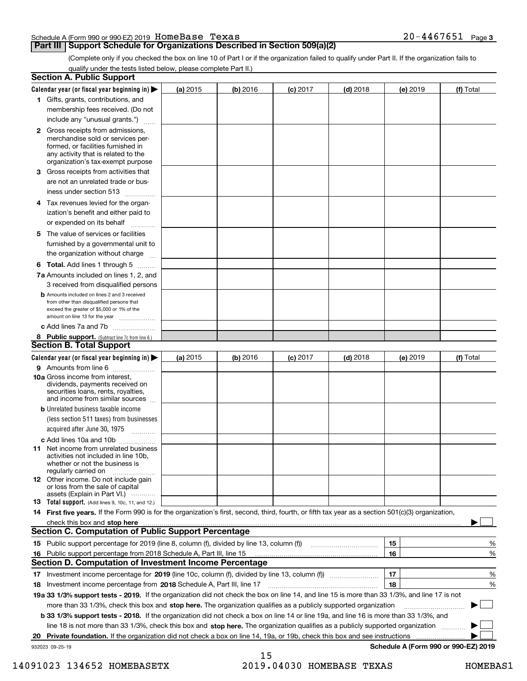|  | Schedule A (Form 990 or 990-EZ) 2019 HomeBase Texas | $20 - 4467651$ | Page 3 |
|--|-----------------------------------------------------|----------------|--------|
|  |                                                     |                |        |

#### **Part III Support Schedule for Organizations Described in Section 509(a)(2)**

(Complete only if you checked the box on line 10 of Part I or if the organization failed to qualify under Part II. If the organization fails to qualify under the tests listed below, please complete Part II.)

|    | <b>Section A. Public Support</b>                                                                                                                                                                                               |            |          |                 |            |          |                                      |
|----|--------------------------------------------------------------------------------------------------------------------------------------------------------------------------------------------------------------------------------|------------|----------|-----------------|------------|----------|--------------------------------------|
|    | Calendar year (or fiscal year beginning in) $\blacktriangleright$                                                                                                                                                              | (a) 2015   | (b) 2016 | <b>(c)</b> 2017 | $(d)$ 2018 | (e) 2019 | (f) Total                            |
|    | 1 Gifts, grants, contributions, and                                                                                                                                                                                            |            |          |                 |            |          |                                      |
|    | membership fees received. (Do not                                                                                                                                                                                              |            |          |                 |            |          |                                      |
|    | include any "unusual grants.")                                                                                                                                                                                                 |            |          |                 |            |          |                                      |
|    | <b>2</b> Gross receipts from admissions,<br>merchandise sold or services per-<br>formed, or facilities furnished in<br>any activity that is related to the<br>organization's tax-exempt purpose                                |            |          |                 |            |          |                                      |
|    | 3 Gross receipts from activities that<br>are not an unrelated trade or bus-                                                                                                                                                    |            |          |                 |            |          |                                      |
|    | iness under section 513                                                                                                                                                                                                        |            |          |                 |            |          |                                      |
|    | 4 Tax revenues levied for the organ-<br>ization's benefit and either paid to                                                                                                                                                   |            |          |                 |            |          |                                      |
|    | or expended on its behalf<br>.                                                                                                                                                                                                 |            |          |                 |            |          |                                      |
|    | 5 The value of services or facilities<br>furnished by a governmental unit to<br>the organization without charge                                                                                                                |            |          |                 |            |          |                                      |
|    | <b>6 Total.</b> Add lines 1 through 5                                                                                                                                                                                          |            |          |                 |            |          |                                      |
|    | 7a Amounts included on lines 1, 2, and<br>3 received from disqualified persons                                                                                                                                                 |            |          |                 |            |          |                                      |
|    | <b>b</b> Amounts included on lines 2 and 3 received<br>from other than disqualified persons that<br>exceed the greater of \$5,000 or 1% of the<br>amount on line 13 for the year                                               |            |          |                 |            |          |                                      |
|    | c Add lines 7a and 7b                                                                                                                                                                                                          |            |          |                 |            |          |                                      |
|    | 8 Public support. (Subtract line 7c from line 6.)<br><b>Section B. Total Support</b>                                                                                                                                           |            |          |                 |            |          |                                      |
|    | Calendar year (or fiscal year beginning in)                                                                                                                                                                                    | (a) $2015$ | (b) 2016 | <b>(c)</b> 2017 | $(d)$ 2018 | (e) 2019 | (f) Total                            |
|    | 9 Amounts from line 6                                                                                                                                                                                                          |            |          |                 |            |          |                                      |
|    | 10a Gross income from interest,<br>dividends, payments received on<br>securities loans, rents, royalties,<br>and income from similar sources                                                                                   |            |          |                 |            |          |                                      |
|    | <b>b</b> Unrelated business taxable income<br>(less section 511 taxes) from businesses<br>acquired after June 30, 1975 [10001]                                                                                                 |            |          |                 |            |          |                                      |
|    | c Add lines 10a and 10b                                                                                                                                                                                                        |            |          |                 |            |          |                                      |
|    | 11 Net income from unrelated business<br>activities not included in line 10b,<br>whether or not the business is<br>regularly carried on                                                                                        |            |          |                 |            |          |                                      |
|    | <b>12</b> Other income. Do not include gain<br>or loss from the sale of capital<br>assets (Explain in Part VI.)                                                                                                                |            |          |                 |            |          |                                      |
|    | 13 Total support. (Add lines 9, 10c, 11, and 12.)                                                                                                                                                                              |            |          |                 |            |          |                                      |
|    | 14 First five years. If the Form 990 is for the organization's first, second, third, fourth, or fifth tax year as a section 501(c)(3) organization,                                                                            |            |          |                 |            |          |                                      |
|    | check this box and stop here communication and content to the state of the state of the state of the state of the state of the state of the state of the state of the state of the state of the state of the state of the stat |            |          |                 |            |          |                                      |
|    | <b>Section C. Computation of Public Support Percentage</b>                                                                                                                                                                     |            |          |                 |            |          |                                      |
|    |                                                                                                                                                                                                                                |            |          |                 |            | 15       | %                                    |
| 16 | Public support percentage from 2018 Schedule A, Part III, line 15                                                                                                                                                              |            |          |                 |            | 16       | %                                    |
|    | <b>Section D. Computation of Investment Income Percentage</b>                                                                                                                                                                  |            |          |                 |            |          |                                      |
|    | 17 Investment income percentage for 2019 (line 10c, column (f), divided by line 13, column (f))                                                                                                                                |            |          |                 |            | 17       | %                                    |
|    | 18 Investment income percentage from 2018 Schedule A, Part III, line 17                                                                                                                                                        |            |          |                 |            | 18       | %                                    |
|    | 19a 33 1/3% support tests - 2019. If the organization did not check the box on line 14, and line 15 is more than 33 1/3%, and line 17 is not                                                                                   |            |          |                 |            |          |                                      |
|    | more than 33 1/3%, check this box and stop here. The organization qualifies as a publicly supported organization                                                                                                               |            |          |                 |            |          | $\sim$ 1                             |
|    | b 33 1/3% support tests - 2018. If the organization did not check a box on line 14 or line 19a, and line 16 is more than 33 1/3%, and                                                                                          |            |          |                 |            |          |                                      |
|    | line 18 is not more than 33 1/3%, check this box and stop here. The organization qualifies as a publicly supported organization                                                                                                |            |          |                 |            |          |                                      |
| 20 | Private foundation. If the organization did not check a box on line 14, 19a, or 19b, check this box and see instructions                                                                                                       |            |          |                 |            |          |                                      |
|    | 932023 09-25-19                                                                                                                                                                                                                |            | 15       |                 |            |          | Schedule A (Form 990 or 990-EZ) 2019 |

 <sup>14091023 134652</sup> HOMEBASETX 2019.04030 HOMEBASE TEXAS HOMEBAS1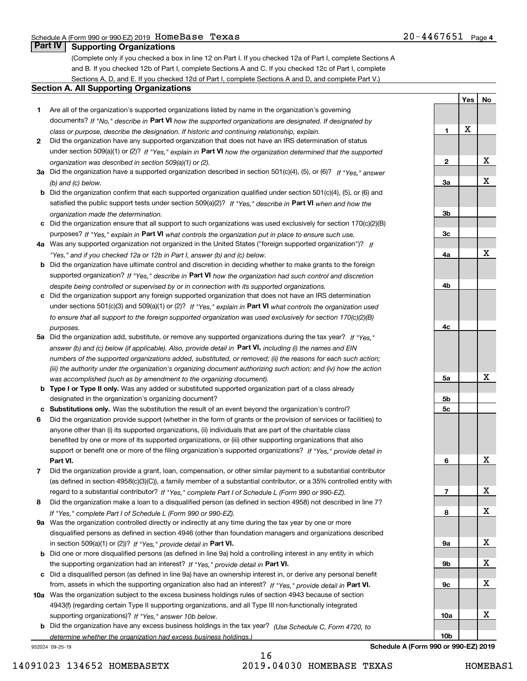**1**

**2**

**3a**

**3b**

**3c**

**4a**

**4b**

**4c**

**5a**

**5b5c**

**6**

**7**

**8**

**9a**

**9b**

**9c**

**10a**

**10b**

**Yes**

X

**No**

X

X

X

X

X

X

X

X

X

X

X

### **Part IV Supporting Organizations**

(Complete only if you checked a box in line 12 on Part I. If you checked 12a of Part I, complete Sections A and B. If you checked 12b of Part I, complete Sections A and C. If you checked 12c of Part I, complete Sections A, D, and E. If you checked 12d of Part I, complete Sections A and D, and complete Part V.)

#### **Section A. All Supporting Organizations**

- **1** Are all of the organization's supported organizations listed by name in the organization's governing documents? If "No," describe in **Part VI** how the supported organizations are designated. If designated by *class or purpose, describe the designation. If historic and continuing relationship, explain.*
- **2** Did the organization have any supported organization that does not have an IRS determination of status under section 509(a)(1) or (2)? If "Yes," explain in Part VI how the organization determined that the supported *organization was described in section 509(a)(1) or (2).*
- **3a** Did the organization have a supported organization described in section 501(c)(4), (5), or (6)? If "Yes," answer *(b) and (c) below.*
- **b** Did the organization confirm that each supported organization qualified under section 501(c)(4), (5), or (6) and satisfied the public support tests under section 509(a)(2)? If "Yes," describe in **Part VI** when and how the *organization made the determination.*
- **c**Did the organization ensure that all support to such organizations was used exclusively for section 170(c)(2)(B) purposes? If "Yes," explain in **Part VI** what controls the organization put in place to ensure such use.
- **4a***If* Was any supported organization not organized in the United States ("foreign supported organization")? *"Yes," and if you checked 12a or 12b in Part I, answer (b) and (c) below.*
- **b** Did the organization have ultimate control and discretion in deciding whether to make grants to the foreign supported organization? If "Yes," describe in **Part VI** how the organization had such control and discretion *despite being controlled or supervised by or in connection with its supported organizations.*
- **c** Did the organization support any foreign supported organization that does not have an IRS determination under sections 501(c)(3) and 509(a)(1) or (2)? If "Yes," explain in **Part VI** what controls the organization used *to ensure that all support to the foreign supported organization was used exclusively for section 170(c)(2)(B) purposes.*
- **5a** Did the organization add, substitute, or remove any supported organizations during the tax year? If "Yes," answer (b) and (c) below (if applicable). Also, provide detail in **Part VI,** including (i) the names and EIN *numbers of the supported organizations added, substituted, or removed; (ii) the reasons for each such action; (iii) the authority under the organization's organizing document authorizing such action; and (iv) how the action was accomplished (such as by amendment to the organizing document).*
- **b** Type I or Type II only. Was any added or substituted supported organization part of a class already designated in the organization's organizing document?
- **cSubstitutions only.**  Was the substitution the result of an event beyond the organization's control?
- **6** Did the organization provide support (whether in the form of grants or the provision of services or facilities) to **Part VI.** *If "Yes," provide detail in* support or benefit one or more of the filing organization's supported organizations? anyone other than (i) its supported organizations, (ii) individuals that are part of the charitable class benefited by one or more of its supported organizations, or (iii) other supporting organizations that also
- **7**Did the organization provide a grant, loan, compensation, or other similar payment to a substantial contributor *If "Yes," complete Part I of Schedule L (Form 990 or 990-EZ).* regard to a substantial contributor? (as defined in section 4958(c)(3)(C)), a family member of a substantial contributor, or a 35% controlled entity with
- **8** Did the organization make a loan to a disqualified person (as defined in section 4958) not described in line 7? *If "Yes," complete Part I of Schedule L (Form 990 or 990-EZ).*
- **9a** Was the organization controlled directly or indirectly at any time during the tax year by one or more in section 509(a)(1) or (2))? If "Yes," *provide detail in* <code>Part VI.</code> disqualified persons as defined in section 4946 (other than foundation managers and organizations described
- **b**the supporting organization had an interest? If "Yes," provide detail in P**art VI**. Did one or more disqualified persons (as defined in line 9a) hold a controlling interest in any entity in which
- **c**Did a disqualified person (as defined in line 9a) have an ownership interest in, or derive any personal benefit from, assets in which the supporting organization also had an interest? If "Yes," provide detail in P**art VI.**
- **10a** Was the organization subject to the excess business holdings rules of section 4943 because of section supporting organizations)? If "Yes," answer 10b below. 4943(f) (regarding certain Type II supporting organizations, and all Type III non-functionally integrated
- **b** Did the organization have any excess business holdings in the tax year? (Use Schedule C, Form 4720, to *determine whether the organization had excess business holdings.)*

932024 09-25-19

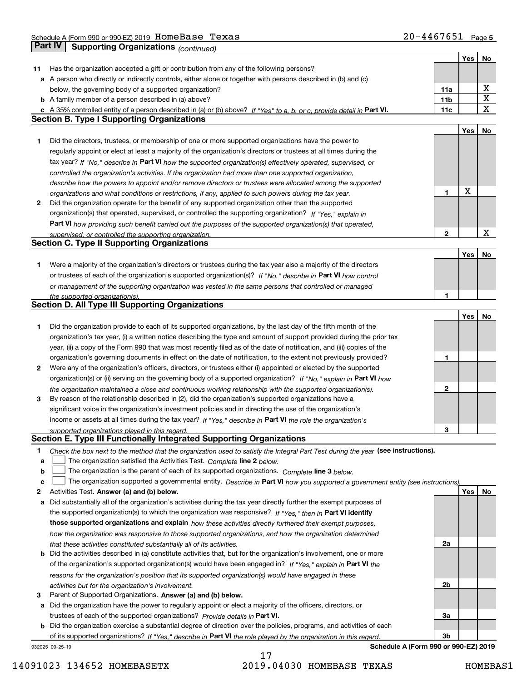Schedule A (Form 990 or 990-EZ) 2019 Page HomeBase Texas 20-4467651 **Part IV Supporting Organizations** *(continued)*

|    |                                                                                                                                   |                 | Yes         | No |
|----|-----------------------------------------------------------------------------------------------------------------------------------|-----------------|-------------|----|
| 11 | Has the organization accepted a gift or contribution from any of the following persons?                                           |                 |             |    |
|    | a A person who directly or indirectly controls, either alone or together with persons described in (b) and (c)                    |                 |             |    |
|    | below, the governing body of a supported organization?                                                                            | 11a             |             | х  |
|    | <b>b</b> A family member of a person described in (a) above?                                                                      | 11 <sub>b</sub> |             | X  |
|    | c A 35% controlled entity of a person described in (a) or (b) above? If "Yes" to a, b, or c, provide detail in Part VI.           | 11c             |             | X  |
|    | <b>Section B. Type I Supporting Organizations</b>                                                                                 |                 |             |    |
|    |                                                                                                                                   |                 | Yes         | No |
| 1  | Did the directors, trustees, or membership of one or more supported organizations have the power to                               |                 |             |    |
|    | regularly appoint or elect at least a majority of the organization's directors or trustees at all times during the                |                 |             |    |
|    | tax year? If "No," describe in Part VI how the supported organization(s) effectively operated, supervised, or                     |                 |             |    |
|    | controlled the organization's activities. If the organization had more than one supported organization,                           |                 |             |    |
|    | describe how the powers to appoint and/or remove directors or trustees were allocated among the supported                         |                 |             |    |
|    | organizations and what conditions or restrictions, if any, applied to such powers during the tax year.                            | 1               | $\mathbf X$ |    |
| 2  | Did the organization operate for the benefit of any supported organization other than the supported                               |                 |             |    |
|    | organization(s) that operated, supervised, or controlled the supporting organization? If "Yes," explain in                        |                 |             |    |
|    | Part VI how providing such benefit carried out the purposes of the supported organization(s) that operated,                       |                 |             |    |
|    | supervised, or controlled the supporting organization.                                                                            | 2               |             | х  |
|    | <b>Section C. Type II Supporting Organizations</b>                                                                                |                 |             |    |
|    |                                                                                                                                   |                 | Yes         | No |
| 1  | Were a majority of the organization's directors or trustees during the tax year also a majority of the directors                  |                 |             |    |
|    | or trustees of each of the organization's supported organization(s)? If "No," describe in Part VI how control                     |                 |             |    |
|    | or management of the supporting organization was vested in the same persons that controlled or managed                            |                 |             |    |
|    | the supported organization(s).                                                                                                    | 1               |             |    |
|    | <b>Section D. All Type III Supporting Organizations</b>                                                                           |                 |             |    |
|    |                                                                                                                                   |                 | Yes         | No |
| 1  | Did the organization provide to each of its supported organizations, by the last day of the fifth month of the                    |                 |             |    |
|    | organization's tax year, (i) a written notice describing the type and amount of support provided during the prior tax             |                 |             |    |
|    | year, (ii) a copy of the Form 990 that was most recently filed as of the date of notification, and (iii) copies of the            |                 |             |    |
|    | organization's governing documents in effect on the date of notification, to the extent not previously provided?                  | 1               |             |    |
| 2  | Were any of the organization's officers, directors, or trustees either (i) appointed or elected by the supported                  |                 |             |    |
|    | organization(s) or (ii) serving on the governing body of a supported organization? If "No," explain in Part VI how                |                 |             |    |
|    | the organization maintained a close and continuous working relationship with the supported organization(s).                       | 2               |             |    |
| 3  | By reason of the relationship described in (2), did the organization's supported organizations have a                             |                 |             |    |
|    | significant voice in the organization's investment policies and in directing the use of the organization's                        |                 |             |    |
|    | income or assets at all times during the tax year? If "Yes," describe in Part VI the role the organization's                      |                 |             |    |
|    | supported organizations played in this regard.                                                                                    | 3               |             |    |
|    | Section E. Type III Functionally Integrated Supporting Organizations                                                              |                 |             |    |
| 1  | Check the box next to the method that the organization used to satisfy the Integral Part Test during the year (see instructions). |                 |             |    |
| a  | The organization satisfied the Activities Test. Complete line 2 below.                                                            |                 |             |    |
| b  | The organization is the parent of each of its supported organizations. Complete line 3 below.                                     |                 |             |    |
| c  | The organization supported a governmental entity. Describe in Part VI how you supported a government entity (see instructions),   |                 |             |    |
| 2  | Activities Test. Answer (a) and (b) below.                                                                                        |                 | Yes         | No |
| а  | Did substantially all of the organization's activities during the tax year directly further the exempt purposes of                |                 |             |    |
|    | the supported organization(s) to which the organization was responsive? If "Yes," then in Part VI identify                        |                 |             |    |
|    | those supported organizations and explain how these activities directly furthered their exempt purposes,                          |                 |             |    |
|    | how the organization was responsive to those supported organizations, and how the organization determined                         |                 |             |    |
|    | that these activities constituted substantially all of its activities.                                                            | 2a              |             |    |
| b  | Did the activities described in (a) constitute activities that, but for the organization's involvement, one or more               |                 |             |    |
|    | of the organization's supported organization(s) would have been engaged in? If "Yes," explain in Part VI the                      |                 |             |    |
|    | reasons for the organization's position that its supported organization(s) would have engaged in these                            |                 |             |    |
|    | activities but for the organization's involvement.                                                                                | 2b              |             |    |
| з  | Parent of Supported Organizations. Answer (a) and (b) below.                                                                      |                 |             |    |
| а  | Did the organization have the power to regularly appoint or elect a majority of the officers, directors, or                       |                 |             |    |
|    | trustees of each of the supported organizations? Provide details in Part VI.                                                      | За              |             |    |
| b  | Did the organization exercise a substantial degree of direction over the policies, programs, and activities of each               |                 |             |    |
|    | of its supported organizations? If "Yes." describe in Part VI the role played by the organization in this regard.                 | Зb              |             |    |
|    | Schedule A (Form 990 or 990-EZ) 2019<br>932025 09-25-19                                                                           |                 |             |    |

14091023 134652 HOMEBASETX 2019.04030 HOMEBASE TEXAS HOMEBAS1

17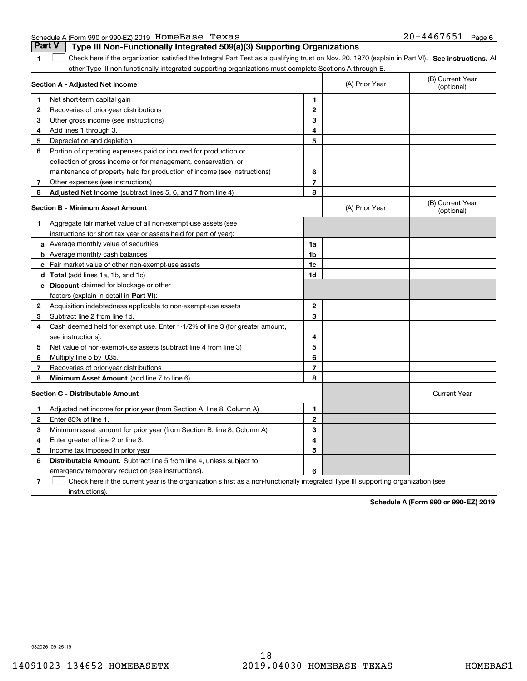| Schedule A (Form 990 or 990-EZ) 2019 HOMeBase Texas |  | $20 - 4467651$ Page 6 |  |
|-----------------------------------------------------|--|-----------------------|--|
|                                                     |  |                       |  |

|              | Part V<br>Type III Non-Functionally Integrated 509(a)(3) Supporting Organizations                                                                 |                |                |                                |
|--------------|---------------------------------------------------------------------------------------------------------------------------------------------------|----------------|----------------|--------------------------------|
| 1            | Check here if the organization satisfied the Integral Part Test as a qualifying trust on Nov. 20, 1970 (explain in Part VI). See instructions. Al |                |                |                                |
|              | other Type III non-functionally integrated supporting organizations must complete Sections A through E.                                           |                |                |                                |
|              | Section A - Adjusted Net Income                                                                                                                   |                | (A) Prior Year | (B) Current Year<br>(optional) |
| 1            | Net short-term capital gain                                                                                                                       | 1              |                |                                |
| $\mathbf{2}$ | Recoveries of prior-year distributions                                                                                                            | $\mathbf{2}$   |                |                                |
| 3            | Other gross income (see instructions)                                                                                                             | 3              |                |                                |
| 4            | Add lines 1 through 3.                                                                                                                            | 4              |                |                                |
| 5            | Depreciation and depletion                                                                                                                        | 5              |                |                                |
| 6            | Portion of operating expenses paid or incurred for production or                                                                                  |                |                |                                |
|              | collection of gross income or for management, conservation, or                                                                                    |                |                |                                |
|              | maintenance of property held for production of income (see instructions)                                                                          | 6              |                |                                |
| 7            | Other expenses (see instructions)                                                                                                                 | $\overline{7}$ |                |                                |
| 8            | Adjusted Net Income (subtract lines 5, 6, and 7 from line 4)                                                                                      | 8              |                |                                |
|              | <b>Section B - Minimum Asset Amount</b>                                                                                                           |                | (A) Prior Year | (B) Current Year<br>(optional) |
| 1            | Aggregate fair market value of all non-exempt-use assets (see                                                                                     |                |                |                                |
|              | instructions for short tax year or assets held for part of year):                                                                                 |                |                |                                |
|              | a Average monthly value of securities                                                                                                             | 1a             |                |                                |
|              | <b>b</b> Average monthly cash balances                                                                                                            | 1b             |                |                                |
|              | c Fair market value of other non-exempt-use assets                                                                                                | 1c             |                |                                |
|              | d Total (add lines 1a, 1b, and 1c)                                                                                                                | 1d             |                |                                |
|              | e Discount claimed for blockage or other                                                                                                          |                |                |                                |
|              | factors (explain in detail in Part VI):                                                                                                           |                |                |                                |
| 2            | Acquisition indebtedness applicable to non-exempt-use assets                                                                                      | 2              |                |                                |
| 3            | Subtract line 2 from line 1d.                                                                                                                     | 3              |                |                                |
| 4            | Cash deemed held for exempt use. Enter 1-1/2% of line 3 (for greater amount,                                                                      |                |                |                                |
|              | see instructions).                                                                                                                                | 4              |                |                                |
| 5            | Net value of non-exempt-use assets (subtract line 4 from line 3)                                                                                  | 5              |                |                                |
| 6            | Multiply line 5 by .035.                                                                                                                          | 6              |                |                                |
| 7            | Recoveries of prior-year distributions                                                                                                            | 7              |                |                                |
| 8            | Minimum Asset Amount (add line 7 to line 6)                                                                                                       | 8              |                |                                |
|              | <b>Section C - Distributable Amount</b>                                                                                                           |                |                | <b>Current Year</b>            |
| 1            | Adjusted net income for prior year (from Section A, line 8, Column A)                                                                             | 1              |                |                                |
| $\mathbf{2}$ | Enter 85% of line 1.                                                                                                                              | $\overline{2}$ |                |                                |
| 3            | Minimum asset amount for prior year (from Section B, line 8, Column A)                                                                            | 3              |                |                                |
| 4            | Enter greater of line 2 or line 3                                                                                                                 | 4              |                |                                |
| 5            | Income tax imposed in prior year                                                                                                                  | 5              |                |                                |
| 6            | <b>Distributable Amount.</b> Subtract line 5 from line 4, unless subject to                                                                       |                |                |                                |
|              | emergency temporary reduction (see instructions).                                                                                                 | 6              |                |                                |
|              |                                                                                                                                                   |                |                |                                |

**7** Check here if the current year is the organization's first as a non-functionally integrated Type III supporting organization (see instructions).

**Schedule A (Form 990 or 990-EZ) 2019**

932026 09-25-19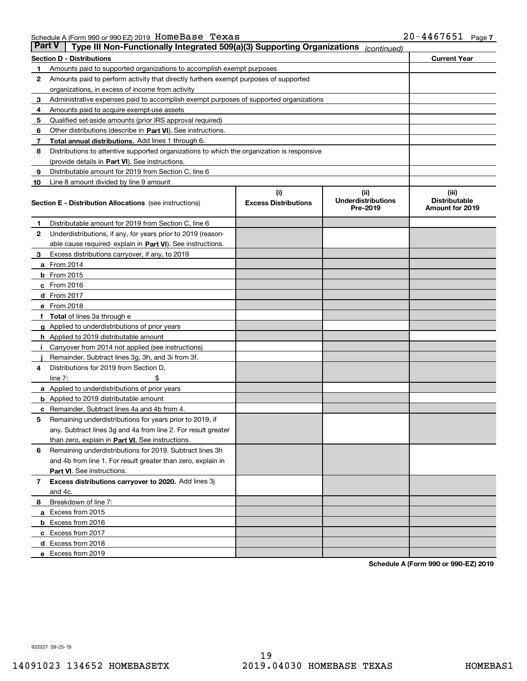| Part V | Type III Non-Functionally Integrated 509(a)(3) Supporting Organizations                    |                                    | (continued)                                   |                                                  |
|--------|--------------------------------------------------------------------------------------------|------------------------------------|-----------------------------------------------|--------------------------------------------------|
|        | <b>Section D - Distributions</b>                                                           |                                    |                                               | <b>Current Year</b>                              |
| 1      | Amounts paid to supported organizations to accomplish exempt purposes                      |                                    |                                               |                                                  |
| 2      | Amounts paid to perform activity that directly furthers exempt purposes of supported       |                                    |                                               |                                                  |
|        | organizations, in excess of income from activity                                           |                                    |                                               |                                                  |
| з      | Administrative expenses paid to accomplish exempt purposes of supported organizations      |                                    |                                               |                                                  |
| 4      | Amounts paid to acquire exempt-use assets                                                  |                                    |                                               |                                                  |
| 5      | Qualified set-aside amounts (prior IRS approval required)                                  |                                    |                                               |                                                  |
| 6      | Other distributions (describe in Part VI). See instructions.                               |                                    |                                               |                                                  |
| 7      | Total annual distributions. Add lines 1 through 6.                                         |                                    |                                               |                                                  |
| 8      | Distributions to attentive supported organizations to which the organization is responsive |                                    |                                               |                                                  |
|        | (provide details in Part VI). See instructions.                                            |                                    |                                               |                                                  |
| 9      | Distributable amount for 2019 from Section C, line 6                                       |                                    |                                               |                                                  |
| 10     | Line 8 amount divided by line 9 amount                                                     |                                    |                                               |                                                  |
|        | Section E - Distribution Allocations (see instructions)                                    | (i)<br><b>Excess Distributions</b> | (ii)<br><b>Underdistributions</b><br>Pre-2019 | (iii)<br><b>Distributable</b><br>Amount for 2019 |
| 1      | Distributable amount for 2019 from Section C, line 6                                       |                                    |                                               |                                                  |
| 2      | Underdistributions, if any, for years prior to 2019 (reason-                               |                                    |                                               |                                                  |
|        | able cause required-explain in Part VI). See instructions.                                 |                                    |                                               |                                                  |
| з      | Excess distributions carryover, if any, to 2019                                            |                                    |                                               |                                                  |
|        | <b>a</b> From 2014                                                                         |                                    |                                               |                                                  |
|        | <b>b</b> From $2015$                                                                       |                                    |                                               |                                                  |
|        | $c$ From 2016                                                                              |                                    |                                               |                                                  |
|        | d From 2017                                                                                |                                    |                                               |                                                  |
|        | e From 2018                                                                                |                                    |                                               |                                                  |
|        | Total of lines 3a through e                                                                |                                    |                                               |                                                  |
|        | <b>g</b> Applied to underdistributions of prior years                                      |                                    |                                               |                                                  |
|        | <b>h</b> Applied to 2019 distributable amount                                              |                                    |                                               |                                                  |
|        | Carryover from 2014 not applied (see instructions)                                         |                                    |                                               |                                                  |
|        | Remainder. Subtract lines 3g, 3h, and 3i from 3f.                                          |                                    |                                               |                                                  |
| 4      | Distributions for 2019 from Section D,                                                     |                                    |                                               |                                                  |
|        | line $7:$                                                                                  |                                    |                                               |                                                  |
|        | <b>a</b> Applied to underdistributions of prior years                                      |                                    |                                               |                                                  |
|        | <b>b</b> Applied to 2019 distributable amount                                              |                                    |                                               |                                                  |
| с      | Remainder. Subtract lines 4a and 4b from 4.                                                |                                    |                                               |                                                  |
| 5      | Remaining underdistributions for years prior to 2019, if                                   |                                    |                                               |                                                  |
|        | any. Subtract lines 3g and 4a from line 2. For result greater                              |                                    |                                               |                                                  |
|        | than zero, explain in Part VI. See instructions.                                           |                                    |                                               |                                                  |
| 6      | Remaining underdistributions for 2019. Subtract lines 3h                                   |                                    |                                               |                                                  |
|        | and 4b from line 1. For result greater than zero, explain in                               |                                    |                                               |                                                  |
|        | Part VI. See instructions.                                                                 |                                    |                                               |                                                  |
| 7      | Excess distributions carryover to 2020. Add lines 3j                                       |                                    |                                               |                                                  |
|        | and 4c.                                                                                    |                                    |                                               |                                                  |
| 8      | Breakdown of line 7:                                                                       |                                    |                                               |                                                  |
|        | a Excess from 2015                                                                         |                                    |                                               |                                                  |
|        | <b>b</b> Excess from 2016                                                                  |                                    |                                               |                                                  |
|        | c Excess from 2017                                                                         |                                    |                                               |                                                  |
|        | d Excess from 2018                                                                         |                                    |                                               |                                                  |
|        | e Excess from 2019                                                                         |                                    |                                               |                                                  |

**Schedule A (Form 990 or 990-EZ) 2019**

932027 09-25-19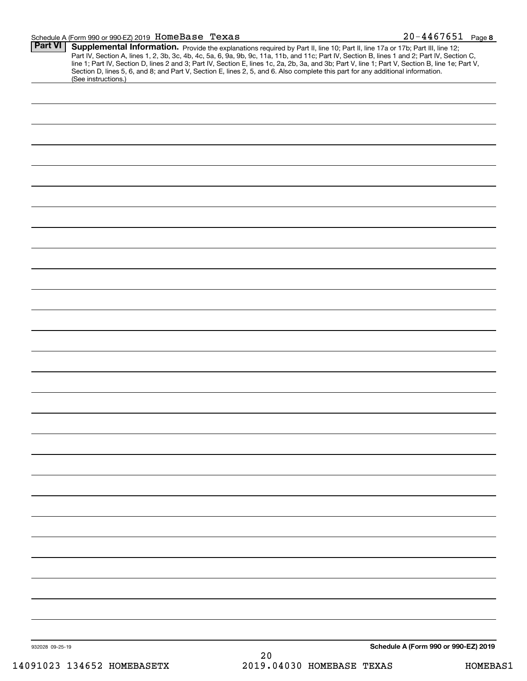#### Schedule A (Form 990 or 990-EZ) 2019 Page HomeBase Texas 20-4467651

| (See instructions.) | Supplemental Information. Provide the explanations required by Part II, line 10; Part II, line 17a or 17b; Part III, line 12;<br>Part IV, Section A, lines 1, 2, 3b, 3c, 4b, 4c, 5a, 6, 9a, 9b, 9c, 11a, 11b, and 11c; Part IV, Section B, lines 1 and 2; Part IV, Section C,<br>line 1; Part IV, Section D, lines 2 and 3; Part IV, Section E, lines 1c, 2a, 2b, 3a, and 3b; Part V, line 1; Part V, Section B, line 1e; Part V,<br>Section D, lines 5, 6, and 8; and Part V, Section E, lines 2, 5, and 6. Also complete this part for any additional information. |
|---------------------|----------------------------------------------------------------------------------------------------------------------------------------------------------------------------------------------------------------------------------------------------------------------------------------------------------------------------------------------------------------------------------------------------------------------------------------------------------------------------------------------------------------------------------------------------------------------|
|                     |                                                                                                                                                                                                                                                                                                                                                                                                                                                                                                                                                                      |
|                     |                                                                                                                                                                                                                                                                                                                                                                                                                                                                                                                                                                      |
|                     |                                                                                                                                                                                                                                                                                                                                                                                                                                                                                                                                                                      |
|                     |                                                                                                                                                                                                                                                                                                                                                                                                                                                                                                                                                                      |
|                     |                                                                                                                                                                                                                                                                                                                                                                                                                                                                                                                                                                      |
|                     |                                                                                                                                                                                                                                                                                                                                                                                                                                                                                                                                                                      |
|                     |                                                                                                                                                                                                                                                                                                                                                                                                                                                                                                                                                                      |
|                     |                                                                                                                                                                                                                                                                                                                                                                                                                                                                                                                                                                      |
|                     |                                                                                                                                                                                                                                                                                                                                                                                                                                                                                                                                                                      |
|                     |                                                                                                                                                                                                                                                                                                                                                                                                                                                                                                                                                                      |
|                     |                                                                                                                                                                                                                                                                                                                                                                                                                                                                                                                                                                      |
|                     |                                                                                                                                                                                                                                                                                                                                                                                                                                                                                                                                                                      |
|                     |                                                                                                                                                                                                                                                                                                                                                                                                                                                                                                                                                                      |
|                     |                                                                                                                                                                                                                                                                                                                                                                                                                                                                                                                                                                      |
|                     |                                                                                                                                                                                                                                                                                                                                                                                                                                                                                                                                                                      |
|                     |                                                                                                                                                                                                                                                                                                                                                                                                                                                                                                                                                                      |
|                     |                                                                                                                                                                                                                                                                                                                                                                                                                                                                                                                                                                      |
|                     |                                                                                                                                                                                                                                                                                                                                                                                                                                                                                                                                                                      |
|                     |                                                                                                                                                                                                                                                                                                                                                                                                                                                                                                                                                                      |
|                     |                                                                                                                                                                                                                                                                                                                                                                                                                                                                                                                                                                      |
|                     |                                                                                                                                                                                                                                                                                                                                                                                                                                                                                                                                                                      |
|                     |                                                                                                                                                                                                                                                                                                                                                                                                                                                                                                                                                                      |
|                     |                                                                                                                                                                                                                                                                                                                                                                                                                                                                                                                                                                      |
|                     |                                                                                                                                                                                                                                                                                                                                                                                                                                                                                                                                                                      |
|                     |                                                                                                                                                                                                                                                                                                                                                                                                                                                                                                                                                                      |
|                     |                                                                                                                                                                                                                                                                                                                                                                                                                                                                                                                                                                      |
|                     |                                                                                                                                                                                                                                                                                                                                                                                                                                                                                                                                                                      |
|                     |                                                                                                                                                                                                                                                                                                                                                                                                                                                                                                                                                                      |
|                     |                                                                                                                                                                                                                                                                                                                                                                                                                                                                                                                                                                      |
|                     |                                                                                                                                                                                                                                                                                                                                                                                                                                                                                                                                                                      |
|                     |                                                                                                                                                                                                                                                                                                                                                                                                                                                                                                                                                                      |
|                     |                                                                                                                                                                                                                                                                                                                                                                                                                                                                                                                                                                      |
|                     |                                                                                                                                                                                                                                                                                                                                                                                                                                                                                                                                                                      |
|                     |                                                                                                                                                                                                                                                                                                                                                                                                                                                                                                                                                                      |
|                     |                                                                                                                                                                                                                                                                                                                                                                                                                                                                                                                                                                      |
|                     |                                                                                                                                                                                                                                                                                                                                                                                                                                                                                                                                                                      |
|                     |                                                                                                                                                                                                                                                                                                                                                                                                                                                                                                                                                                      |
|                     |                                                                                                                                                                                                                                                                                                                                                                                                                                                                                                                                                                      |
|                     |                                                                                                                                                                                                                                                                                                                                                                                                                                                                                                                                                                      |
|                     |                                                                                                                                                                                                                                                                                                                                                                                                                                                                                                                                                                      |
|                     |                                                                                                                                                                                                                                                                                                                                                                                                                                                                                                                                                                      |
|                     |                                                                                                                                                                                                                                                                                                                                                                                                                                                                                                                                                                      |
|                     |                                                                                                                                                                                                                                                                                                                                                                                                                                                                                                                                                                      |
|                     |                                                                                                                                                                                                                                                                                                                                                                                                                                                                                                                                                                      |
|                     |                                                                                                                                                                                                                                                                                                                                                                                                                                                                                                                                                                      |
| 932028 09-25-19     | Schedule A (Form 990 or 990-EZ) 2019                                                                                                                                                                                                                                                                                                                                                                                                                                                                                                                                 |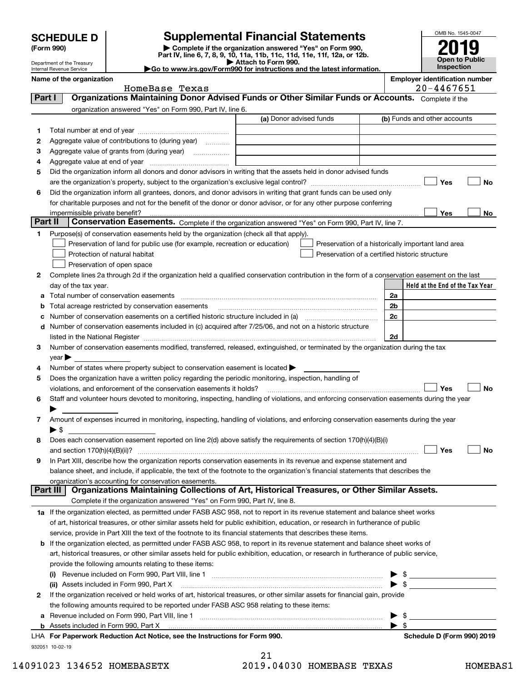## **Supplemental Financial Statements**

**(Form 990)** (**Form 990,**<br>Part IV, line 6, 7, 8, 9, 10, 11a, 11b, 11c, 11d, 11e, 11f, 12a, or 12b.<br>Department of the Treasury **and Exercise Connect Connect Connect Connect Connect Connect Connect Connect Connect** 



Department of the Treasury Internal Revenue Service

| Attach to Form 990.                                                                          |
|----------------------------------------------------------------------------------------------|
| $\blacktriangleright$ Go to www.irs.gov/Form990 for instructions and the latest information. |

|         | Name of the organization                                                                                                                                                                                                      |                         |                                                    |                          | <b>Employer identification number</b> |            |           |
|---------|-------------------------------------------------------------------------------------------------------------------------------------------------------------------------------------------------------------------------------|-------------------------|----------------------------------------------------|--------------------------|---------------------------------------|------------|-----------|
|         | HomeBase Texas<br>Organizations Maintaining Donor Advised Funds or Other Similar Funds or Accounts. Complete if the                                                                                                           |                         |                                                    |                          |                                       | 20-4467651 |           |
| Part I  |                                                                                                                                                                                                                               |                         |                                                    |                          |                                       |            |           |
|         | organization answered "Yes" on Form 990, Part IV, line 6.                                                                                                                                                                     | (a) Donor advised funds |                                                    |                          | (b) Funds and other accounts          |            |           |
|         |                                                                                                                                                                                                                               |                         |                                                    |                          |                                       |            |           |
| 1       |                                                                                                                                                                                                                               |                         |                                                    |                          |                                       |            |           |
| 2       | Aggregate value of contributions to (during year)                                                                                                                                                                             |                         |                                                    |                          |                                       |            |           |
| з       | Aggregate value of grants from (during year)                                                                                                                                                                                  |                         |                                                    |                          |                                       |            |           |
| 4       |                                                                                                                                                                                                                               |                         |                                                    |                          |                                       |            |           |
| 5       | Did the organization inform all donors and donor advisors in writing that the assets held in donor advised funds                                                                                                              |                         |                                                    |                          |                                       |            |           |
|         |                                                                                                                                                                                                                               |                         |                                                    |                          |                                       | Yes        | No        |
| 6       | Did the organization inform all grantees, donors, and donor advisors in writing that grant funds can be used only                                                                                                             |                         |                                                    |                          |                                       |            |           |
|         | for charitable purposes and not for the benefit of the donor or donor advisor, or for any other purpose conferring                                                                                                            |                         |                                                    |                          |                                       |            |           |
| Part II |                                                                                                                                                                                                                               |                         |                                                    |                          |                                       | Yes        | No        |
|         | Conservation Easements. Complete if the organization answered "Yes" on Form 990, Part IV, line 7.                                                                                                                             |                         |                                                    |                          |                                       |            |           |
| 1.      | Purpose(s) of conservation easements held by the organization (check all that apply).                                                                                                                                         |                         |                                                    |                          |                                       |            |           |
|         | Preservation of land for public use (for example, recreation or education)                                                                                                                                                    |                         | Preservation of a historically important land area |                          |                                       |            |           |
|         | Protection of natural habitat                                                                                                                                                                                                 |                         | Preservation of a certified historic structure     |                          |                                       |            |           |
|         | Preservation of open space                                                                                                                                                                                                    |                         |                                                    |                          |                                       |            |           |
| 2       | Complete lines 2a through 2d if the organization held a qualified conservation contribution in the form of a conservation easement on the last                                                                                |                         |                                                    |                          |                                       |            |           |
|         | day of the tax year.                                                                                                                                                                                                          |                         |                                                    |                          | Held at the End of the Tax Year       |            |           |
| a       | Total number of conservation easements                                                                                                                                                                                        |                         |                                                    | 2a                       |                                       |            |           |
| b       | Total acreage restricted by conservation easements                                                                                                                                                                            |                         |                                                    | 2b                       |                                       |            |           |
| с       |                                                                                                                                                                                                                               |                         |                                                    | 2c                       |                                       |            |           |
|         | d Number of conservation easements included in (c) acquired after 7/25/06, and not on a historic structure                                                                                                                    |                         |                                                    |                          |                                       |            |           |
|         | listed in the National Register [11, 1200] [12] The National Register [11, 1200] [12] The National Register [11, 1200] [12] The National Register [11, 1200] [12] The National Register [11, 1200] [12] The National Register |                         |                                                    | 2d                       |                                       |            |           |
| 3       | Number of conservation easements modified, transferred, released, extinguished, or terminated by the organization during the tax                                                                                              |                         |                                                    |                          |                                       |            |           |
|         | $year \blacktriangleright$                                                                                                                                                                                                    |                         |                                                    |                          |                                       |            |           |
| 4       | Number of states where property subject to conservation easement is located >                                                                                                                                                 |                         |                                                    |                          |                                       |            |           |
| 5       | Does the organization have a written policy regarding the periodic monitoring, inspection, handling of                                                                                                                        |                         |                                                    |                          |                                       |            |           |
|         | violations, and enforcement of the conservation easements it holds?                                                                                                                                                           |                         |                                                    |                          |                                       | Yes        | <b>No</b> |
| 6       | Staff and volunteer hours devoted to monitoring, inspecting, handling of violations, and enforcing conservation easements during the year                                                                                     |                         |                                                    |                          |                                       |            |           |
|         |                                                                                                                                                                                                                               |                         |                                                    |                          |                                       |            |           |
| 7       | Amount of expenses incurred in monitoring, inspecting, handling of violations, and enforcing conservation easements during the year                                                                                           |                         |                                                    |                          |                                       |            |           |
|         | ▶ \$                                                                                                                                                                                                                          |                         |                                                    |                          |                                       |            |           |
| 8       | Does each conservation easement reported on line 2(d) above satisfy the requirements of section 170(h)(4)(B)(i)                                                                                                               |                         |                                                    |                          |                                       |            |           |
|         |                                                                                                                                                                                                                               |                         |                                                    |                          |                                       | Yes        | No        |
|         | In Part XIII, describe how the organization reports conservation easements in its revenue and expense statement and                                                                                                           |                         |                                                    |                          |                                       |            |           |
|         | balance sheet, and include, if applicable, the text of the footnote to the organization's financial statements that describes the                                                                                             |                         |                                                    |                          |                                       |            |           |
|         | organization's accounting for conservation easements.                                                                                                                                                                         |                         |                                                    |                          |                                       |            |           |
|         | Organizations Maintaining Collections of Art, Historical Treasures, or Other Similar Assets.<br>Part III                                                                                                                      |                         |                                                    |                          |                                       |            |           |
|         | Complete if the organization answered "Yes" on Form 990, Part IV, line 8.                                                                                                                                                     |                         |                                                    |                          |                                       |            |           |
|         | 1a If the organization elected, as permitted under FASB ASC 958, not to report in its revenue statement and balance sheet works                                                                                               |                         |                                                    |                          |                                       |            |           |
|         | of art, historical treasures, or other similar assets held for public exhibition, education, or research in furtherance of public                                                                                             |                         |                                                    |                          |                                       |            |           |
|         | service, provide in Part XIII the text of the footnote to its financial statements that describes these items.                                                                                                                |                         |                                                    |                          |                                       |            |           |
|         | <b>b</b> If the organization elected, as permitted under FASB ASC 958, to report in its revenue statement and balance sheet works of                                                                                          |                         |                                                    |                          |                                       |            |           |
|         | art, historical treasures, or other similar assets held for public exhibition, education, or research in furtherance of public service,                                                                                       |                         |                                                    |                          |                                       |            |           |
|         | provide the following amounts relating to these items:                                                                                                                                                                        |                         |                                                    |                          |                                       |            |           |
|         |                                                                                                                                                                                                                               |                         |                                                    |                          | -\$                                   |            |           |
|         | (ii) Assets included in Form 990, Part X                                                                                                                                                                                      |                         |                                                    | $\blacktriangleright$ \$ |                                       |            |           |
| 2       | If the organization received or held works of art, historical treasures, or other similar assets for financial gain, provide                                                                                                  |                         |                                                    |                          |                                       |            |           |
|         | the following amounts required to be reported under FASB ASC 958 relating to these items:                                                                                                                                     |                         |                                                    |                          |                                       |            |           |
| a       |                                                                                                                                                                                                                               |                         |                                                    |                          | - \$                                  |            |           |
|         | <b>b</b> Assets included in Form 990, Part X                                                                                                                                                                                  |                         |                                                    | $\blacktriangleright$ s  |                                       |            |           |
|         | LHA For Paperwork Reduction Act Notice, see the Instructions for Form 990.                                                                                                                                                    |                         |                                                    |                          | Schedule D (Form 990) 2019            |            |           |
|         | 932051 10-02-19                                                                                                                                                                                                               |                         |                                                    |                          |                                       |            |           |
|         |                                                                                                                                                                                                                               | 21                      |                                                    |                          |                                       |            |           |

 <sup>14091023 134652</sup> HOMEBASETX 2019.04030 HOMEBASE TEXAS HOMEBAS1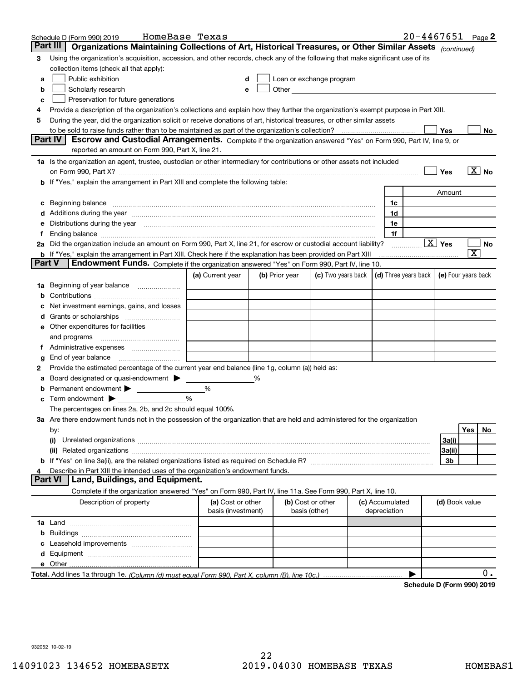| Part III<br>Organizations Maintaining Collections of Art, Historical Treasures, or Other Similar Assets (continued)<br>Using the organization's acquisition, accession, and other records, check any of the following that make significant use of its<br>3<br>collection items (check all that apply):<br>Public exhibition<br>Loan or exchange program<br>a<br>Other <b>Committee Committee Committee Committee</b><br>Scholarly research<br>b<br>е<br>Preservation for future generations<br>с<br>Provide a description of the organization's collections and explain how they further the organization's exempt purpose in Part XIII.<br>4<br>During the year, did the organization solicit or receive donations of art, historical treasures, or other similar assets<br>5<br>Yes<br>to be sold to raise funds rather than to be maintained as part of the organization's collection?<br>No<br><b>Part IV</b><br>Escrow and Custodial Arrangements. Complete if the organization answered "Yes" on Form 990, Part IV, line 9, or<br>reported an amount on Form 990, Part X, line 21.<br>1a Is the organization an agent, trustee, custodian or other intermediary for contributions or other assets not included<br>$\overline{\mathbf{X}}$ No<br>Yes<br>on Form 990, Part X? [11] matter contracts and contracts and contracts are contracted and contracts are contracted and contract and contract of the contract of the contract of the contract of the contract of the contract o<br>b If "Yes," explain the arrangement in Part XIII and complete the following table:<br>Amount<br>Beginning balance material continuum contracts and contact the contract of the contract of the contract of the<br>1c<br>c<br>1d<br>Additions during the year manufactured and an account of the state of the state of the state of the state of the state of the state of the state of the state of the state of the state of the state of the state of the state<br>Distributions during the year manufactured and continuum and continuum and continuum and continuum and continuum<br>1e<br>1f<br>1.<br>$\boxed{\text{X}}$ Yes<br>2a Did the organization include an amount on Form 990, Part X, line 21, for escrow or custodial account liability?<br>No<br>.<br>$\overline{\textnormal{\textbf{x}}}$<br><b>b</b> If "Yes," explain the arrangement in Part XIII. Check here if the explanation has been provided on Part XIII<br>Part V<br>Endowment Funds. Complete if the organization answered "Yes" on Form 990, Part IV, line 10.<br>(d) Three years back<br>(a) Current year<br>(c) Two years back<br>(e) Four years back<br>(b) Prior year<br>Beginning of year balance<br>1a<br>Net investment earnings, gains, and losses<br>d<br>e Other expenditures for facilities<br>and programs<br>End of year balance<br>g<br>Provide the estimated percentage of the current year end balance (line 1g, column (a)) held as:<br>2<br>Board designated or quasi-endowment<br>%<br>а<br>Permanent endowment > 1<br>%<br>%<br>Term endowment $\blacktriangleright$<br>The percentages on lines 2a, 2b, and 2c should equal 100%.<br>3a Are there endowment funds not in the possession of the organization that are held and administered for the organization<br>Yes<br>No<br>by:<br>3a(i)<br>(i)<br>3a(ii)<br>3b<br>Describe in Part XIII the intended uses of the organization's endowment funds.<br>Land, Buildings, and Equipment.<br>Part VI<br>Complete if the organization answered "Yes" on Form 990, Part IV, line 11a. See Form 990, Part X, line 10.<br>Description of property<br>(a) Cost or other<br>(b) Cost or other<br>(c) Accumulated<br>(d) Book value<br>basis (investment)<br>basis (other)<br>depreciation<br>b<br>0. | HomeBase Texas<br>Schedule D (Form 990) 2019 |  |  | $20 - 4467651$ Page 2 |  |  |
|--------------------------------------------------------------------------------------------------------------------------------------------------------------------------------------------------------------------------------------------------------------------------------------------------------------------------------------------------------------------------------------------------------------------------------------------------------------------------------------------------------------------------------------------------------------------------------------------------------------------------------------------------------------------------------------------------------------------------------------------------------------------------------------------------------------------------------------------------------------------------------------------------------------------------------------------------------------------------------------------------------------------------------------------------------------------------------------------------------------------------------------------------------------------------------------------------------------------------------------------------------------------------------------------------------------------------------------------------------------------------------------------------------------------------------------------------------------------------------------------------------------------------------------------------------------------------------------------------------------------------------------------------------------------------------------------------------------------------------------------------------------------------------------------------------------------------------------------------------------------------------------------------------------------------------------------------------------------------------------------------------------------------------------------------------------------------------------------------------------------------------------------------------------------------------------------------------------------------------------------------------------------------------------------------------------------------------------------------------------------------------------------------------------------------------------------------------------------------------------------------------------------------------------------------------------------------------------------------------------------------------------------------------------------------------------------------------------------------------------------------------------------------------------------------------------------------------------------------------------------------------------------------------------------------------------------------------------------------------------------------------------------------------------------------------------------------------------------------------------------------------------------------------------------------------------------------------------------------------------------------------------------------------------------------------------------------------------------------------------------------------------------------------------------------------------------------------------------------------------------------------------------------------------------------------------------------------------------------------------------------------------------------------------------------------------------------------------------------------------------------|----------------------------------------------|--|--|-----------------------|--|--|
|                                                                                                                                                                                                                                                                                                                                                                                                                                                                                                                                                                                                                                                                                                                                                                                                                                                                                                                                                                                                                                                                                                                                                                                                                                                                                                                                                                                                                                                                                                                                                                                                                                                                                                                                                                                                                                                                                                                                                                                                                                                                                                                                                                                                                                                                                                                                                                                                                                                                                                                                                                                                                                                                                                                                                                                                                                                                                                                                                                                                                                                                                                                                                                                                                                                                                                                                                                                                                                                                                                                                                                                                                                                                                                                                                  |                                              |  |  |                       |  |  |
|                                                                                                                                                                                                                                                                                                                                                                                                                                                                                                                                                                                                                                                                                                                                                                                                                                                                                                                                                                                                                                                                                                                                                                                                                                                                                                                                                                                                                                                                                                                                                                                                                                                                                                                                                                                                                                                                                                                                                                                                                                                                                                                                                                                                                                                                                                                                                                                                                                                                                                                                                                                                                                                                                                                                                                                                                                                                                                                                                                                                                                                                                                                                                                                                                                                                                                                                                                                                                                                                                                                                                                                                                                                                                                                                                  |                                              |  |  |                       |  |  |
|                                                                                                                                                                                                                                                                                                                                                                                                                                                                                                                                                                                                                                                                                                                                                                                                                                                                                                                                                                                                                                                                                                                                                                                                                                                                                                                                                                                                                                                                                                                                                                                                                                                                                                                                                                                                                                                                                                                                                                                                                                                                                                                                                                                                                                                                                                                                                                                                                                                                                                                                                                                                                                                                                                                                                                                                                                                                                                                                                                                                                                                                                                                                                                                                                                                                                                                                                                                                                                                                                                                                                                                                                                                                                                                                                  |                                              |  |  |                       |  |  |
|                                                                                                                                                                                                                                                                                                                                                                                                                                                                                                                                                                                                                                                                                                                                                                                                                                                                                                                                                                                                                                                                                                                                                                                                                                                                                                                                                                                                                                                                                                                                                                                                                                                                                                                                                                                                                                                                                                                                                                                                                                                                                                                                                                                                                                                                                                                                                                                                                                                                                                                                                                                                                                                                                                                                                                                                                                                                                                                                                                                                                                                                                                                                                                                                                                                                                                                                                                                                                                                                                                                                                                                                                                                                                                                                                  |                                              |  |  |                       |  |  |
|                                                                                                                                                                                                                                                                                                                                                                                                                                                                                                                                                                                                                                                                                                                                                                                                                                                                                                                                                                                                                                                                                                                                                                                                                                                                                                                                                                                                                                                                                                                                                                                                                                                                                                                                                                                                                                                                                                                                                                                                                                                                                                                                                                                                                                                                                                                                                                                                                                                                                                                                                                                                                                                                                                                                                                                                                                                                                                                                                                                                                                                                                                                                                                                                                                                                                                                                                                                                                                                                                                                                                                                                                                                                                                                                                  |                                              |  |  |                       |  |  |
|                                                                                                                                                                                                                                                                                                                                                                                                                                                                                                                                                                                                                                                                                                                                                                                                                                                                                                                                                                                                                                                                                                                                                                                                                                                                                                                                                                                                                                                                                                                                                                                                                                                                                                                                                                                                                                                                                                                                                                                                                                                                                                                                                                                                                                                                                                                                                                                                                                                                                                                                                                                                                                                                                                                                                                                                                                                                                                                                                                                                                                                                                                                                                                                                                                                                                                                                                                                                                                                                                                                                                                                                                                                                                                                                                  |                                              |  |  |                       |  |  |
|                                                                                                                                                                                                                                                                                                                                                                                                                                                                                                                                                                                                                                                                                                                                                                                                                                                                                                                                                                                                                                                                                                                                                                                                                                                                                                                                                                                                                                                                                                                                                                                                                                                                                                                                                                                                                                                                                                                                                                                                                                                                                                                                                                                                                                                                                                                                                                                                                                                                                                                                                                                                                                                                                                                                                                                                                                                                                                                                                                                                                                                                                                                                                                                                                                                                                                                                                                                                                                                                                                                                                                                                                                                                                                                                                  |                                              |  |  |                       |  |  |
|                                                                                                                                                                                                                                                                                                                                                                                                                                                                                                                                                                                                                                                                                                                                                                                                                                                                                                                                                                                                                                                                                                                                                                                                                                                                                                                                                                                                                                                                                                                                                                                                                                                                                                                                                                                                                                                                                                                                                                                                                                                                                                                                                                                                                                                                                                                                                                                                                                                                                                                                                                                                                                                                                                                                                                                                                                                                                                                                                                                                                                                                                                                                                                                                                                                                                                                                                                                                                                                                                                                                                                                                                                                                                                                                                  |                                              |  |  |                       |  |  |
|                                                                                                                                                                                                                                                                                                                                                                                                                                                                                                                                                                                                                                                                                                                                                                                                                                                                                                                                                                                                                                                                                                                                                                                                                                                                                                                                                                                                                                                                                                                                                                                                                                                                                                                                                                                                                                                                                                                                                                                                                                                                                                                                                                                                                                                                                                                                                                                                                                                                                                                                                                                                                                                                                                                                                                                                                                                                                                                                                                                                                                                                                                                                                                                                                                                                                                                                                                                                                                                                                                                                                                                                                                                                                                                                                  |                                              |  |  |                       |  |  |
|                                                                                                                                                                                                                                                                                                                                                                                                                                                                                                                                                                                                                                                                                                                                                                                                                                                                                                                                                                                                                                                                                                                                                                                                                                                                                                                                                                                                                                                                                                                                                                                                                                                                                                                                                                                                                                                                                                                                                                                                                                                                                                                                                                                                                                                                                                                                                                                                                                                                                                                                                                                                                                                                                                                                                                                                                                                                                                                                                                                                                                                                                                                                                                                                                                                                                                                                                                                                                                                                                                                                                                                                                                                                                                                                                  |                                              |  |  |                       |  |  |
|                                                                                                                                                                                                                                                                                                                                                                                                                                                                                                                                                                                                                                                                                                                                                                                                                                                                                                                                                                                                                                                                                                                                                                                                                                                                                                                                                                                                                                                                                                                                                                                                                                                                                                                                                                                                                                                                                                                                                                                                                                                                                                                                                                                                                                                                                                                                                                                                                                                                                                                                                                                                                                                                                                                                                                                                                                                                                                                                                                                                                                                                                                                                                                                                                                                                                                                                                                                                                                                                                                                                                                                                                                                                                                                                                  |                                              |  |  |                       |  |  |
|                                                                                                                                                                                                                                                                                                                                                                                                                                                                                                                                                                                                                                                                                                                                                                                                                                                                                                                                                                                                                                                                                                                                                                                                                                                                                                                                                                                                                                                                                                                                                                                                                                                                                                                                                                                                                                                                                                                                                                                                                                                                                                                                                                                                                                                                                                                                                                                                                                                                                                                                                                                                                                                                                                                                                                                                                                                                                                                                                                                                                                                                                                                                                                                                                                                                                                                                                                                                                                                                                                                                                                                                                                                                                                                                                  |                                              |  |  |                       |  |  |
|                                                                                                                                                                                                                                                                                                                                                                                                                                                                                                                                                                                                                                                                                                                                                                                                                                                                                                                                                                                                                                                                                                                                                                                                                                                                                                                                                                                                                                                                                                                                                                                                                                                                                                                                                                                                                                                                                                                                                                                                                                                                                                                                                                                                                                                                                                                                                                                                                                                                                                                                                                                                                                                                                                                                                                                                                                                                                                                                                                                                                                                                                                                                                                                                                                                                                                                                                                                                                                                                                                                                                                                                                                                                                                                                                  |                                              |  |  |                       |  |  |
|                                                                                                                                                                                                                                                                                                                                                                                                                                                                                                                                                                                                                                                                                                                                                                                                                                                                                                                                                                                                                                                                                                                                                                                                                                                                                                                                                                                                                                                                                                                                                                                                                                                                                                                                                                                                                                                                                                                                                                                                                                                                                                                                                                                                                                                                                                                                                                                                                                                                                                                                                                                                                                                                                                                                                                                                                                                                                                                                                                                                                                                                                                                                                                                                                                                                                                                                                                                                                                                                                                                                                                                                                                                                                                                                                  |                                              |  |  |                       |  |  |
|                                                                                                                                                                                                                                                                                                                                                                                                                                                                                                                                                                                                                                                                                                                                                                                                                                                                                                                                                                                                                                                                                                                                                                                                                                                                                                                                                                                                                                                                                                                                                                                                                                                                                                                                                                                                                                                                                                                                                                                                                                                                                                                                                                                                                                                                                                                                                                                                                                                                                                                                                                                                                                                                                                                                                                                                                                                                                                                                                                                                                                                                                                                                                                                                                                                                                                                                                                                                                                                                                                                                                                                                                                                                                                                                                  |                                              |  |  |                       |  |  |
|                                                                                                                                                                                                                                                                                                                                                                                                                                                                                                                                                                                                                                                                                                                                                                                                                                                                                                                                                                                                                                                                                                                                                                                                                                                                                                                                                                                                                                                                                                                                                                                                                                                                                                                                                                                                                                                                                                                                                                                                                                                                                                                                                                                                                                                                                                                                                                                                                                                                                                                                                                                                                                                                                                                                                                                                                                                                                                                                                                                                                                                                                                                                                                                                                                                                                                                                                                                                                                                                                                                                                                                                                                                                                                                                                  |                                              |  |  |                       |  |  |
|                                                                                                                                                                                                                                                                                                                                                                                                                                                                                                                                                                                                                                                                                                                                                                                                                                                                                                                                                                                                                                                                                                                                                                                                                                                                                                                                                                                                                                                                                                                                                                                                                                                                                                                                                                                                                                                                                                                                                                                                                                                                                                                                                                                                                                                                                                                                                                                                                                                                                                                                                                                                                                                                                                                                                                                                                                                                                                                                                                                                                                                                                                                                                                                                                                                                                                                                                                                                                                                                                                                                                                                                                                                                                                                                                  |                                              |  |  |                       |  |  |
|                                                                                                                                                                                                                                                                                                                                                                                                                                                                                                                                                                                                                                                                                                                                                                                                                                                                                                                                                                                                                                                                                                                                                                                                                                                                                                                                                                                                                                                                                                                                                                                                                                                                                                                                                                                                                                                                                                                                                                                                                                                                                                                                                                                                                                                                                                                                                                                                                                                                                                                                                                                                                                                                                                                                                                                                                                                                                                                                                                                                                                                                                                                                                                                                                                                                                                                                                                                                                                                                                                                                                                                                                                                                                                                                                  |                                              |  |  |                       |  |  |
|                                                                                                                                                                                                                                                                                                                                                                                                                                                                                                                                                                                                                                                                                                                                                                                                                                                                                                                                                                                                                                                                                                                                                                                                                                                                                                                                                                                                                                                                                                                                                                                                                                                                                                                                                                                                                                                                                                                                                                                                                                                                                                                                                                                                                                                                                                                                                                                                                                                                                                                                                                                                                                                                                                                                                                                                                                                                                                                                                                                                                                                                                                                                                                                                                                                                                                                                                                                                                                                                                                                                                                                                                                                                                                                                                  |                                              |  |  |                       |  |  |
|                                                                                                                                                                                                                                                                                                                                                                                                                                                                                                                                                                                                                                                                                                                                                                                                                                                                                                                                                                                                                                                                                                                                                                                                                                                                                                                                                                                                                                                                                                                                                                                                                                                                                                                                                                                                                                                                                                                                                                                                                                                                                                                                                                                                                                                                                                                                                                                                                                                                                                                                                                                                                                                                                                                                                                                                                                                                                                                                                                                                                                                                                                                                                                                                                                                                                                                                                                                                                                                                                                                                                                                                                                                                                                                                                  |                                              |  |  |                       |  |  |
|                                                                                                                                                                                                                                                                                                                                                                                                                                                                                                                                                                                                                                                                                                                                                                                                                                                                                                                                                                                                                                                                                                                                                                                                                                                                                                                                                                                                                                                                                                                                                                                                                                                                                                                                                                                                                                                                                                                                                                                                                                                                                                                                                                                                                                                                                                                                                                                                                                                                                                                                                                                                                                                                                                                                                                                                                                                                                                                                                                                                                                                                                                                                                                                                                                                                                                                                                                                                                                                                                                                                                                                                                                                                                                                                                  |                                              |  |  |                       |  |  |
|                                                                                                                                                                                                                                                                                                                                                                                                                                                                                                                                                                                                                                                                                                                                                                                                                                                                                                                                                                                                                                                                                                                                                                                                                                                                                                                                                                                                                                                                                                                                                                                                                                                                                                                                                                                                                                                                                                                                                                                                                                                                                                                                                                                                                                                                                                                                                                                                                                                                                                                                                                                                                                                                                                                                                                                                                                                                                                                                                                                                                                                                                                                                                                                                                                                                                                                                                                                                                                                                                                                                                                                                                                                                                                                                                  |                                              |  |  |                       |  |  |
|                                                                                                                                                                                                                                                                                                                                                                                                                                                                                                                                                                                                                                                                                                                                                                                                                                                                                                                                                                                                                                                                                                                                                                                                                                                                                                                                                                                                                                                                                                                                                                                                                                                                                                                                                                                                                                                                                                                                                                                                                                                                                                                                                                                                                                                                                                                                                                                                                                                                                                                                                                                                                                                                                                                                                                                                                                                                                                                                                                                                                                                                                                                                                                                                                                                                                                                                                                                                                                                                                                                                                                                                                                                                                                                                                  |                                              |  |  |                       |  |  |
|                                                                                                                                                                                                                                                                                                                                                                                                                                                                                                                                                                                                                                                                                                                                                                                                                                                                                                                                                                                                                                                                                                                                                                                                                                                                                                                                                                                                                                                                                                                                                                                                                                                                                                                                                                                                                                                                                                                                                                                                                                                                                                                                                                                                                                                                                                                                                                                                                                                                                                                                                                                                                                                                                                                                                                                                                                                                                                                                                                                                                                                                                                                                                                                                                                                                                                                                                                                                                                                                                                                                                                                                                                                                                                                                                  |                                              |  |  |                       |  |  |
|                                                                                                                                                                                                                                                                                                                                                                                                                                                                                                                                                                                                                                                                                                                                                                                                                                                                                                                                                                                                                                                                                                                                                                                                                                                                                                                                                                                                                                                                                                                                                                                                                                                                                                                                                                                                                                                                                                                                                                                                                                                                                                                                                                                                                                                                                                                                                                                                                                                                                                                                                                                                                                                                                                                                                                                                                                                                                                                                                                                                                                                                                                                                                                                                                                                                                                                                                                                                                                                                                                                                                                                                                                                                                                                                                  |                                              |  |  |                       |  |  |
|                                                                                                                                                                                                                                                                                                                                                                                                                                                                                                                                                                                                                                                                                                                                                                                                                                                                                                                                                                                                                                                                                                                                                                                                                                                                                                                                                                                                                                                                                                                                                                                                                                                                                                                                                                                                                                                                                                                                                                                                                                                                                                                                                                                                                                                                                                                                                                                                                                                                                                                                                                                                                                                                                                                                                                                                                                                                                                                                                                                                                                                                                                                                                                                                                                                                                                                                                                                                                                                                                                                                                                                                                                                                                                                                                  |                                              |  |  |                       |  |  |
|                                                                                                                                                                                                                                                                                                                                                                                                                                                                                                                                                                                                                                                                                                                                                                                                                                                                                                                                                                                                                                                                                                                                                                                                                                                                                                                                                                                                                                                                                                                                                                                                                                                                                                                                                                                                                                                                                                                                                                                                                                                                                                                                                                                                                                                                                                                                                                                                                                                                                                                                                                                                                                                                                                                                                                                                                                                                                                                                                                                                                                                                                                                                                                                                                                                                                                                                                                                                                                                                                                                                                                                                                                                                                                                                                  |                                              |  |  |                       |  |  |
|                                                                                                                                                                                                                                                                                                                                                                                                                                                                                                                                                                                                                                                                                                                                                                                                                                                                                                                                                                                                                                                                                                                                                                                                                                                                                                                                                                                                                                                                                                                                                                                                                                                                                                                                                                                                                                                                                                                                                                                                                                                                                                                                                                                                                                                                                                                                                                                                                                                                                                                                                                                                                                                                                                                                                                                                                                                                                                                                                                                                                                                                                                                                                                                                                                                                                                                                                                                                                                                                                                                                                                                                                                                                                                                                                  |                                              |  |  |                       |  |  |
|                                                                                                                                                                                                                                                                                                                                                                                                                                                                                                                                                                                                                                                                                                                                                                                                                                                                                                                                                                                                                                                                                                                                                                                                                                                                                                                                                                                                                                                                                                                                                                                                                                                                                                                                                                                                                                                                                                                                                                                                                                                                                                                                                                                                                                                                                                                                                                                                                                                                                                                                                                                                                                                                                                                                                                                                                                                                                                                                                                                                                                                                                                                                                                                                                                                                                                                                                                                                                                                                                                                                                                                                                                                                                                                                                  |                                              |  |  |                       |  |  |
|                                                                                                                                                                                                                                                                                                                                                                                                                                                                                                                                                                                                                                                                                                                                                                                                                                                                                                                                                                                                                                                                                                                                                                                                                                                                                                                                                                                                                                                                                                                                                                                                                                                                                                                                                                                                                                                                                                                                                                                                                                                                                                                                                                                                                                                                                                                                                                                                                                                                                                                                                                                                                                                                                                                                                                                                                                                                                                                                                                                                                                                                                                                                                                                                                                                                                                                                                                                                                                                                                                                                                                                                                                                                                                                                                  |                                              |  |  |                       |  |  |
|                                                                                                                                                                                                                                                                                                                                                                                                                                                                                                                                                                                                                                                                                                                                                                                                                                                                                                                                                                                                                                                                                                                                                                                                                                                                                                                                                                                                                                                                                                                                                                                                                                                                                                                                                                                                                                                                                                                                                                                                                                                                                                                                                                                                                                                                                                                                                                                                                                                                                                                                                                                                                                                                                                                                                                                                                                                                                                                                                                                                                                                                                                                                                                                                                                                                                                                                                                                                                                                                                                                                                                                                                                                                                                                                                  |                                              |  |  |                       |  |  |
|                                                                                                                                                                                                                                                                                                                                                                                                                                                                                                                                                                                                                                                                                                                                                                                                                                                                                                                                                                                                                                                                                                                                                                                                                                                                                                                                                                                                                                                                                                                                                                                                                                                                                                                                                                                                                                                                                                                                                                                                                                                                                                                                                                                                                                                                                                                                                                                                                                                                                                                                                                                                                                                                                                                                                                                                                                                                                                                                                                                                                                                                                                                                                                                                                                                                                                                                                                                                                                                                                                                                                                                                                                                                                                                                                  |                                              |  |  |                       |  |  |
|                                                                                                                                                                                                                                                                                                                                                                                                                                                                                                                                                                                                                                                                                                                                                                                                                                                                                                                                                                                                                                                                                                                                                                                                                                                                                                                                                                                                                                                                                                                                                                                                                                                                                                                                                                                                                                                                                                                                                                                                                                                                                                                                                                                                                                                                                                                                                                                                                                                                                                                                                                                                                                                                                                                                                                                                                                                                                                                                                                                                                                                                                                                                                                                                                                                                                                                                                                                                                                                                                                                                                                                                                                                                                                                                                  |                                              |  |  |                       |  |  |
|                                                                                                                                                                                                                                                                                                                                                                                                                                                                                                                                                                                                                                                                                                                                                                                                                                                                                                                                                                                                                                                                                                                                                                                                                                                                                                                                                                                                                                                                                                                                                                                                                                                                                                                                                                                                                                                                                                                                                                                                                                                                                                                                                                                                                                                                                                                                                                                                                                                                                                                                                                                                                                                                                                                                                                                                                                                                                                                                                                                                                                                                                                                                                                                                                                                                                                                                                                                                                                                                                                                                                                                                                                                                                                                                                  |                                              |  |  |                       |  |  |
|                                                                                                                                                                                                                                                                                                                                                                                                                                                                                                                                                                                                                                                                                                                                                                                                                                                                                                                                                                                                                                                                                                                                                                                                                                                                                                                                                                                                                                                                                                                                                                                                                                                                                                                                                                                                                                                                                                                                                                                                                                                                                                                                                                                                                                                                                                                                                                                                                                                                                                                                                                                                                                                                                                                                                                                                                                                                                                                                                                                                                                                                                                                                                                                                                                                                                                                                                                                                                                                                                                                                                                                                                                                                                                                                                  |                                              |  |  |                       |  |  |
|                                                                                                                                                                                                                                                                                                                                                                                                                                                                                                                                                                                                                                                                                                                                                                                                                                                                                                                                                                                                                                                                                                                                                                                                                                                                                                                                                                                                                                                                                                                                                                                                                                                                                                                                                                                                                                                                                                                                                                                                                                                                                                                                                                                                                                                                                                                                                                                                                                                                                                                                                                                                                                                                                                                                                                                                                                                                                                                                                                                                                                                                                                                                                                                                                                                                                                                                                                                                                                                                                                                                                                                                                                                                                                                                                  |                                              |  |  |                       |  |  |
|                                                                                                                                                                                                                                                                                                                                                                                                                                                                                                                                                                                                                                                                                                                                                                                                                                                                                                                                                                                                                                                                                                                                                                                                                                                                                                                                                                                                                                                                                                                                                                                                                                                                                                                                                                                                                                                                                                                                                                                                                                                                                                                                                                                                                                                                                                                                                                                                                                                                                                                                                                                                                                                                                                                                                                                                                                                                                                                                                                                                                                                                                                                                                                                                                                                                                                                                                                                                                                                                                                                                                                                                                                                                                                                                                  |                                              |  |  |                       |  |  |
|                                                                                                                                                                                                                                                                                                                                                                                                                                                                                                                                                                                                                                                                                                                                                                                                                                                                                                                                                                                                                                                                                                                                                                                                                                                                                                                                                                                                                                                                                                                                                                                                                                                                                                                                                                                                                                                                                                                                                                                                                                                                                                                                                                                                                                                                                                                                                                                                                                                                                                                                                                                                                                                                                                                                                                                                                                                                                                                                                                                                                                                                                                                                                                                                                                                                                                                                                                                                                                                                                                                                                                                                                                                                                                                                                  |                                              |  |  |                       |  |  |
|                                                                                                                                                                                                                                                                                                                                                                                                                                                                                                                                                                                                                                                                                                                                                                                                                                                                                                                                                                                                                                                                                                                                                                                                                                                                                                                                                                                                                                                                                                                                                                                                                                                                                                                                                                                                                                                                                                                                                                                                                                                                                                                                                                                                                                                                                                                                                                                                                                                                                                                                                                                                                                                                                                                                                                                                                                                                                                                                                                                                                                                                                                                                                                                                                                                                                                                                                                                                                                                                                                                                                                                                                                                                                                                                                  |                                              |  |  |                       |  |  |
|                                                                                                                                                                                                                                                                                                                                                                                                                                                                                                                                                                                                                                                                                                                                                                                                                                                                                                                                                                                                                                                                                                                                                                                                                                                                                                                                                                                                                                                                                                                                                                                                                                                                                                                                                                                                                                                                                                                                                                                                                                                                                                                                                                                                                                                                                                                                                                                                                                                                                                                                                                                                                                                                                                                                                                                                                                                                                                                                                                                                                                                                                                                                                                                                                                                                                                                                                                                                                                                                                                                                                                                                                                                                                                                                                  |                                              |  |  |                       |  |  |
|                                                                                                                                                                                                                                                                                                                                                                                                                                                                                                                                                                                                                                                                                                                                                                                                                                                                                                                                                                                                                                                                                                                                                                                                                                                                                                                                                                                                                                                                                                                                                                                                                                                                                                                                                                                                                                                                                                                                                                                                                                                                                                                                                                                                                                                                                                                                                                                                                                                                                                                                                                                                                                                                                                                                                                                                                                                                                                                                                                                                                                                                                                                                                                                                                                                                                                                                                                                                                                                                                                                                                                                                                                                                                                                                                  |                                              |  |  |                       |  |  |
|                                                                                                                                                                                                                                                                                                                                                                                                                                                                                                                                                                                                                                                                                                                                                                                                                                                                                                                                                                                                                                                                                                                                                                                                                                                                                                                                                                                                                                                                                                                                                                                                                                                                                                                                                                                                                                                                                                                                                                                                                                                                                                                                                                                                                                                                                                                                                                                                                                                                                                                                                                                                                                                                                                                                                                                                                                                                                                                                                                                                                                                                                                                                                                                                                                                                                                                                                                                                                                                                                                                                                                                                                                                                                                                                                  |                                              |  |  |                       |  |  |
|                                                                                                                                                                                                                                                                                                                                                                                                                                                                                                                                                                                                                                                                                                                                                                                                                                                                                                                                                                                                                                                                                                                                                                                                                                                                                                                                                                                                                                                                                                                                                                                                                                                                                                                                                                                                                                                                                                                                                                                                                                                                                                                                                                                                                                                                                                                                                                                                                                                                                                                                                                                                                                                                                                                                                                                                                                                                                                                                                                                                                                                                                                                                                                                                                                                                                                                                                                                                                                                                                                                                                                                                                                                                                                                                                  |                                              |  |  |                       |  |  |
|                                                                                                                                                                                                                                                                                                                                                                                                                                                                                                                                                                                                                                                                                                                                                                                                                                                                                                                                                                                                                                                                                                                                                                                                                                                                                                                                                                                                                                                                                                                                                                                                                                                                                                                                                                                                                                                                                                                                                                                                                                                                                                                                                                                                                                                                                                                                                                                                                                                                                                                                                                                                                                                                                                                                                                                                                                                                                                                                                                                                                                                                                                                                                                                                                                                                                                                                                                                                                                                                                                                                                                                                                                                                                                                                                  |                                              |  |  |                       |  |  |
|                                                                                                                                                                                                                                                                                                                                                                                                                                                                                                                                                                                                                                                                                                                                                                                                                                                                                                                                                                                                                                                                                                                                                                                                                                                                                                                                                                                                                                                                                                                                                                                                                                                                                                                                                                                                                                                                                                                                                                                                                                                                                                                                                                                                                                                                                                                                                                                                                                                                                                                                                                                                                                                                                                                                                                                                                                                                                                                                                                                                                                                                                                                                                                                                                                                                                                                                                                                                                                                                                                                                                                                                                                                                                                                                                  |                                              |  |  |                       |  |  |
|                                                                                                                                                                                                                                                                                                                                                                                                                                                                                                                                                                                                                                                                                                                                                                                                                                                                                                                                                                                                                                                                                                                                                                                                                                                                                                                                                                                                                                                                                                                                                                                                                                                                                                                                                                                                                                                                                                                                                                                                                                                                                                                                                                                                                                                                                                                                                                                                                                                                                                                                                                                                                                                                                                                                                                                                                                                                                                                                                                                                                                                                                                                                                                                                                                                                                                                                                                                                                                                                                                                                                                                                                                                                                                                                                  |                                              |  |  |                       |  |  |
|                                                                                                                                                                                                                                                                                                                                                                                                                                                                                                                                                                                                                                                                                                                                                                                                                                                                                                                                                                                                                                                                                                                                                                                                                                                                                                                                                                                                                                                                                                                                                                                                                                                                                                                                                                                                                                                                                                                                                                                                                                                                                                                                                                                                                                                                                                                                                                                                                                                                                                                                                                                                                                                                                                                                                                                                                                                                                                                                                                                                                                                                                                                                                                                                                                                                                                                                                                                                                                                                                                                                                                                                                                                                                                                                                  |                                              |  |  |                       |  |  |
|                                                                                                                                                                                                                                                                                                                                                                                                                                                                                                                                                                                                                                                                                                                                                                                                                                                                                                                                                                                                                                                                                                                                                                                                                                                                                                                                                                                                                                                                                                                                                                                                                                                                                                                                                                                                                                                                                                                                                                                                                                                                                                                                                                                                                                                                                                                                                                                                                                                                                                                                                                                                                                                                                                                                                                                                                                                                                                                                                                                                                                                                                                                                                                                                                                                                                                                                                                                                                                                                                                                                                                                                                                                                                                                                                  |                                              |  |  |                       |  |  |
|                                                                                                                                                                                                                                                                                                                                                                                                                                                                                                                                                                                                                                                                                                                                                                                                                                                                                                                                                                                                                                                                                                                                                                                                                                                                                                                                                                                                                                                                                                                                                                                                                                                                                                                                                                                                                                                                                                                                                                                                                                                                                                                                                                                                                                                                                                                                                                                                                                                                                                                                                                                                                                                                                                                                                                                                                                                                                                                                                                                                                                                                                                                                                                                                                                                                                                                                                                                                                                                                                                                                                                                                                                                                                                                                                  |                                              |  |  |                       |  |  |
|                                                                                                                                                                                                                                                                                                                                                                                                                                                                                                                                                                                                                                                                                                                                                                                                                                                                                                                                                                                                                                                                                                                                                                                                                                                                                                                                                                                                                                                                                                                                                                                                                                                                                                                                                                                                                                                                                                                                                                                                                                                                                                                                                                                                                                                                                                                                                                                                                                                                                                                                                                                                                                                                                                                                                                                                                                                                                                                                                                                                                                                                                                                                                                                                                                                                                                                                                                                                                                                                                                                                                                                                                                                                                                                                                  |                                              |  |  |                       |  |  |

**Schedule D (Form 990) 2019**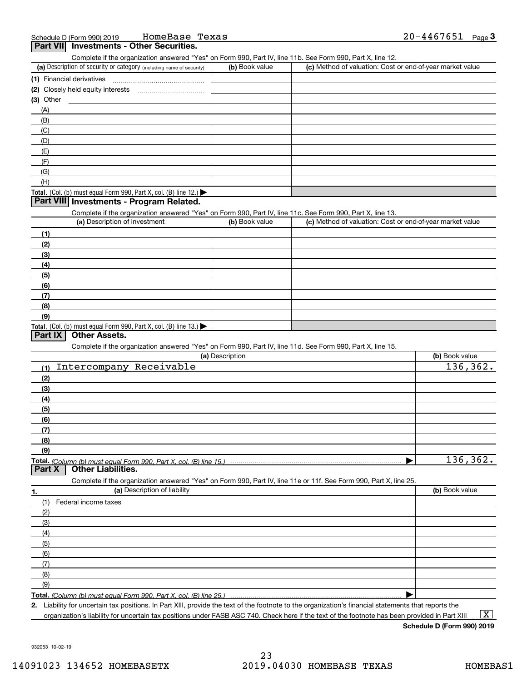| (a) Description of security or category (including name of security)                                                                                                                  | (b) Book value  | (c) Method of valuation: Cost or end-of-year market value |                |
|---------------------------------------------------------------------------------------------------------------------------------------------------------------------------------------|-----------------|-----------------------------------------------------------|----------------|
| (1) Financial derivatives                                                                                                                                                             |                 |                                                           |                |
|                                                                                                                                                                                       |                 |                                                           |                |
| $(3)$ Other                                                                                                                                                                           |                 |                                                           |                |
| (A)                                                                                                                                                                                   |                 |                                                           |                |
| (B)                                                                                                                                                                                   |                 |                                                           |                |
| (C)                                                                                                                                                                                   |                 |                                                           |                |
| (D)                                                                                                                                                                                   |                 |                                                           |                |
| (E)                                                                                                                                                                                   |                 |                                                           |                |
| (F)                                                                                                                                                                                   |                 |                                                           |                |
| (G)                                                                                                                                                                                   |                 |                                                           |                |
| (H)                                                                                                                                                                                   |                 |                                                           |                |
|                                                                                                                                                                                       |                 |                                                           |                |
| Total. (Col. (b) must equal Form 990, Part X, col. (B) line $12$ .)<br>Part VIII Investments - Program Related.                                                                       |                 |                                                           |                |
|                                                                                                                                                                                       |                 |                                                           |                |
| Complete if the organization answered "Yes" on Form 990, Part IV, line 11c. See Form 990, Part X, line 13.<br>(a) Description of investment                                           | (b) Book value  | (c) Method of valuation: Cost or end-of-year market value |                |
|                                                                                                                                                                                       |                 |                                                           |                |
| (1)                                                                                                                                                                                   |                 |                                                           |                |
| (2)                                                                                                                                                                                   |                 |                                                           |                |
| (3)                                                                                                                                                                                   |                 |                                                           |                |
| (4)                                                                                                                                                                                   |                 |                                                           |                |
| (5)                                                                                                                                                                                   |                 |                                                           |                |
| (6)                                                                                                                                                                                   |                 |                                                           |                |
| (7)                                                                                                                                                                                   |                 |                                                           |                |
| (8)                                                                                                                                                                                   |                 |                                                           |                |
| (9)                                                                                                                                                                                   |                 |                                                           |                |
| Total. (Col. (b) must equal Form 990, Part X, col. (B) line $13.$                                                                                                                     |                 |                                                           |                |
| <b>Other Assets.</b><br>Part IX                                                                                                                                                       |                 |                                                           |                |
| Complete if the organization answered "Yes" on Form 990, Part IV, line 11d. See Form 990, Part X, line 15.                                                                            |                 |                                                           |                |
|                                                                                                                                                                                       | (a) Description |                                                           | (b) Book value |
| Intercompany Receivable<br>(1)                                                                                                                                                        |                 |                                                           | 136,362.       |
| (2)                                                                                                                                                                                   |                 |                                                           |                |
| (3)                                                                                                                                                                                   |                 |                                                           |                |
| (4)                                                                                                                                                                                   |                 |                                                           |                |
| (5)                                                                                                                                                                                   |                 |                                                           |                |
| (6)                                                                                                                                                                                   |                 |                                                           |                |
| (7)                                                                                                                                                                                   |                 |                                                           |                |
| (8)                                                                                                                                                                                   |                 |                                                           |                |
|                                                                                                                                                                                       |                 |                                                           |                |
|                                                                                                                                                                                       |                 |                                                           |                |
| (9)                                                                                                                                                                                   |                 |                                                           |                |
|                                                                                                                                                                                       |                 |                                                           |                |
| <b>Other Liabilities.</b>                                                                                                                                                             |                 |                                                           |                |
| Complete if the organization answered "Yes" on Form 990, Part IV, line 11e or 11f. See Form 990, Part X, line 25.                                                                     |                 |                                                           |                |
| (a) Description of liability                                                                                                                                                          |                 |                                                           | (b) Book value |
| (1)<br>Federal income taxes                                                                                                                                                           |                 |                                                           |                |
| (2)                                                                                                                                                                                   |                 |                                                           |                |
| (3)                                                                                                                                                                                   |                 |                                                           |                |
| (4)                                                                                                                                                                                   |                 |                                                           |                |
| (5)                                                                                                                                                                                   |                 |                                                           |                |
| (6)                                                                                                                                                                                   |                 |                                                           |                |
|                                                                                                                                                                                       |                 |                                                           |                |
| (7)                                                                                                                                                                                   |                 |                                                           | 136,362.       |
| Total. (Column (b) must equal Form 990. Part X, col. (B) line 15.) manufactured contains and column (b) must equal Form 990. Part X, col. (B) line 15.)<br>Part X<br>1.<br>(8)<br>(9) |                 |                                                           |                |

organization's liability for uncertain tax positions under FASB ASC 740. Check here if the text of the footnote has been provided in Part XIII

**Schedule D (Form 990) 2019**

932053 10-02-19

 $\boxed{\text{X}}$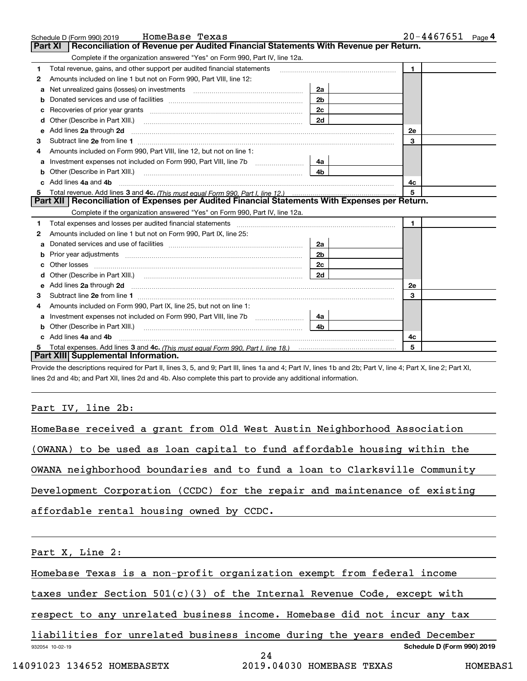|   | HomeBase Texas<br>Schedule D (Form 990) 2019                                                                             |                | $20 - 4467651$ Page 4 |  |  |
|---|--------------------------------------------------------------------------------------------------------------------------|----------------|-----------------------|--|--|
|   | Reconciliation of Revenue per Audited Financial Statements With Revenue per Return.<br><b>Part XI</b>                    |                |                       |  |  |
|   | Complete if the organization answered "Yes" on Form 990, Part IV, line 12a.                                              |                |                       |  |  |
| 1 | Total revenue, gains, and other support per audited financial statements                                                 |                | $\mathbf{1}$          |  |  |
| 2 | Amounts included on line 1 but not on Form 990, Part VIII, line 12:                                                      |                |                       |  |  |
| a |                                                                                                                          | 2a             |                       |  |  |
| b |                                                                                                                          | 2 <sub>b</sub> |                       |  |  |
| c |                                                                                                                          | 2c             |                       |  |  |
| d | Other (Describe in Part XIII.)                                                                                           | 2d             |                       |  |  |
| е | Add lines 2a through 2d                                                                                                  |                | 2e                    |  |  |
| з |                                                                                                                          |                | 3                     |  |  |
|   | Amounts included on Form 990, Part VIII, line 12, but not on line 1:                                                     |                |                       |  |  |
| a | Investment expenses not included on Form 990, Part VIII, line 7b                                                         | 4a             |                       |  |  |
| b | Other (Describe in Part XIII.)                                                                                           | 4 <sub>b</sub> |                       |  |  |
|   | Add lines 4a and 4b                                                                                                      | 4с             |                       |  |  |
| 5 |                                                                                                                          | 5              |                       |  |  |
|   | Part XII   Reconciliation of Expenses per Audited Financial Statements With Expenses per Return.                         |                |                       |  |  |
|   | Complete if the organization answered "Yes" on Form 990, Part IV, line 12a.                                              |                |                       |  |  |
| 1 |                                                                                                                          |                | $\mathbf{1}$          |  |  |
| 2 | Amounts included on line 1 but not on Form 990, Part IX, line 25:                                                        |                |                       |  |  |
| a |                                                                                                                          | 2a             |                       |  |  |
| b |                                                                                                                          | 2b             |                       |  |  |
|   |                                                                                                                          | 2 <sub>c</sub> |                       |  |  |
|   |                                                                                                                          | 2d             |                       |  |  |
| е | Add lines 2a through 2d <b>must be a constructed as the constant of the constant of the constant of the construction</b> | 2e             |                       |  |  |
| 3 |                                                                                                                          |                | 3                     |  |  |
| 4 | Amounts included on Form 990, Part IX, line 25, but not on line 1:                                                       |                |                       |  |  |
| a |                                                                                                                          | 4a             |                       |  |  |
|   |                                                                                                                          | 4b.            |                       |  |  |
|   | Add lines 4a and 4b                                                                                                      |                | 4c                    |  |  |
|   | 5                                                                                                                        |                |                       |  |  |
|   | Part XIII Supplemental Information.                                                                                      |                |                       |  |  |

Provide the descriptions required for Part II, lines 3, 5, and 9; Part III, lines 1a and 4; Part IV, lines 1b and 2b; Part V, line 4; Part X, line 2; Part XI, lines 2d and 4b; and Part XII, lines 2d and 4b. Also complete this part to provide any additional information.

### Part IV, line 2b:

| HomeBase received a grant from Old West Austin Neighborhood Association   |                                                                           |
|---------------------------------------------------------------------------|---------------------------------------------------------------------------|
|                                                                           | (OWANA) to be used as loan capital to fund affordable housing within the  |
|                                                                           | OWANA neighborhood boundaries and to fund a loan to Clarksville Community |
|                                                                           | Development Corporation (CCDC) for the repair and maintenance of existing |
| affordable rental housing owned by CCDC.                                  |                                                                           |
|                                                                           |                                                                           |
| Part X, Line 2:                                                           |                                                                           |
| Homebase Texas is a non-profit organization exempt from federal income    |                                                                           |
| taxes under Section $501(c)(3)$ of the Internal Revenue Code, except with |                                                                           |
|                                                                           | respect to any unrelated business income. Homebase did not incur any tax  |
|                                                                           | liabilities for unrelated business income during the years ended December |
| 932054 10-02-19                                                           | Schedule D (Form 990) 2019<br>24                                          |
| 14091023 134652 HOMEBASETX                                                | 2019.04030 HOMEBASE TEXAS<br>HOMEBAS1                                     |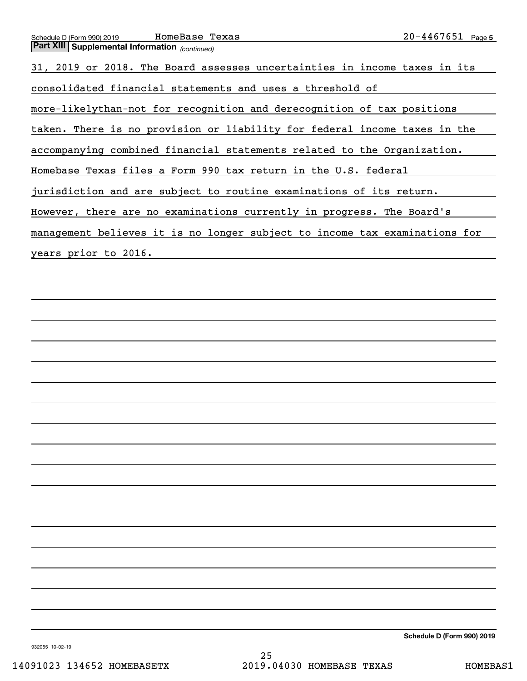| Schedule D (Form 990) 2019 | HomeBase<br>Texas | 446<br>Page 5<br>בכס׳ |
|----------------------------|-------------------|-----------------------|
| $R = 1$ ville $\sim$       |                   |                       |

| <b>Part XIII Supplemental Information</b> (continued)                      |
|----------------------------------------------------------------------------|
| 31, 2019 or 2018. The Board assesses uncertainties in income taxes in its  |
| consolidated financial statements and uses a threshold of                  |
| more-likelythan-not for recognition and derecognition of tax positions     |
| taken. There is no provision or liability for federal income taxes in the  |
| accompanying combined financial statements related to the Organization.    |
| Homebase Texas files a Form 990 tax return in the U.S. federal             |
| jurisdiction and are subject to routine examinations of its return.        |
| However, there are no examinations currently in progress. The Board's      |
| management believes it is no longer subject to income tax examinations for |
| years prior to 2016.                                                       |
|                                                                            |
|                                                                            |
|                                                                            |
|                                                                            |
|                                                                            |
|                                                                            |
|                                                                            |
|                                                                            |

**Schedule D (Form 990) 2019**

932055 10-02-19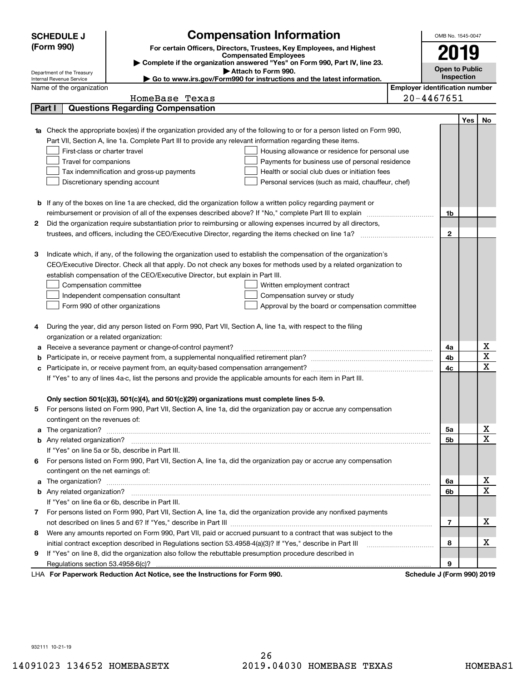|   | <b>SCHEDULE J</b>                       |                                                                                                               | <b>Compensation Information</b>                                                                                                                                                                                                      | OMB No. 1545-0047                     |     |             |
|---|-----------------------------------------|---------------------------------------------------------------------------------------------------------------|--------------------------------------------------------------------------------------------------------------------------------------------------------------------------------------------------------------------------------------|---------------------------------------|-----|-------------|
|   | (Form 990)                              |                                                                                                               | For certain Officers, Directors, Trustees, Key Employees, and Highest                                                                                                                                                                | 2019                                  |     |             |
|   |                                         |                                                                                                               | <b>Compensated Employees</b>                                                                                                                                                                                                         |                                       |     |             |
|   | Department of the Treasury              |                                                                                                               | Complete if the organization answered "Yes" on Form 990, Part IV, line 23.<br>Attach to Form 990.                                                                                                                                    | <b>Open to Public</b>                 |     |             |
|   | Internal Revenue Service                |                                                                                                               | ► Go to www.irs.gov/Form990 for instructions and the latest information.                                                                                                                                                             | Inspection                            |     |             |
|   | Name of the organization                |                                                                                                               |                                                                                                                                                                                                                                      | <b>Employer identification number</b> |     |             |
|   |                                         | HomeBase Texas                                                                                                |                                                                                                                                                                                                                                      | $20 - 4467651$                        |     |             |
|   | Part I                                  | <b>Questions Regarding Compensation</b>                                                                       |                                                                                                                                                                                                                                      |                                       |     |             |
|   |                                         |                                                                                                               |                                                                                                                                                                                                                                      |                                       | Yes | No          |
|   |                                         |                                                                                                               | Check the appropriate box(es) if the organization provided any of the following to or for a person listed on Form 990,                                                                                                               |                                       |     |             |
|   |                                         | Part VII, Section A, line 1a. Complete Part III to provide any relevant information regarding these items.    |                                                                                                                                                                                                                                      |                                       |     |             |
|   | First-class or charter travel           |                                                                                                               | Housing allowance or residence for personal use                                                                                                                                                                                      |                                       |     |             |
|   | Travel for companions                   |                                                                                                               | Payments for business use of personal residence                                                                                                                                                                                      |                                       |     |             |
|   |                                         | Tax indemnification and gross-up payments                                                                     | Health or social club dues or initiation fees                                                                                                                                                                                        |                                       |     |             |
|   |                                         | Discretionary spending account                                                                                | Personal services (such as maid, chauffeur, chef)                                                                                                                                                                                    |                                       |     |             |
|   |                                         |                                                                                                               |                                                                                                                                                                                                                                      |                                       |     |             |
|   |                                         |                                                                                                               | <b>b</b> If any of the boxes on line 1a are checked, did the organization follow a written policy regarding payment or                                                                                                               |                                       |     |             |
|   |                                         |                                                                                                               |                                                                                                                                                                                                                                      | 1b                                    |     |             |
| 2 |                                         |                                                                                                               | Did the organization require substantiation prior to reimbursing or allowing expenses incurred by all directors,                                                                                                                     | $\mathbf{2}$                          |     |             |
|   |                                         |                                                                                                               |                                                                                                                                                                                                                                      |                                       |     |             |
| З |                                         |                                                                                                               | Indicate which, if any, of the following the organization used to establish the compensation of the organization's                                                                                                                   |                                       |     |             |
|   |                                         |                                                                                                               | CEO/Executive Director. Check all that apply. Do not check any boxes for methods used by a related organization to                                                                                                                   |                                       |     |             |
|   |                                         | establish compensation of the CEO/Executive Director, but explain in Part III.                                |                                                                                                                                                                                                                                      |                                       |     |             |
|   | Compensation committee                  |                                                                                                               | Written employment contract                                                                                                                                                                                                          |                                       |     |             |
|   |                                         | Independent compensation consultant                                                                           | Compensation survey or study                                                                                                                                                                                                         |                                       |     |             |
|   |                                         | Form 990 of other organizations                                                                               | Approval by the board or compensation committee                                                                                                                                                                                      |                                       |     |             |
|   |                                         |                                                                                                               |                                                                                                                                                                                                                                      |                                       |     |             |
| 4 |                                         | During the year, did any person listed on Form 990, Part VII, Section A, line 1a, with respect to the filing  |                                                                                                                                                                                                                                      |                                       |     |             |
|   | organization or a related organization: |                                                                                                               |                                                                                                                                                                                                                                      |                                       |     |             |
| а |                                         | Receive a severance payment or change-of-control payment?                                                     |                                                                                                                                                                                                                                      | 4a                                    |     | х           |
|   |                                         |                                                                                                               |                                                                                                                                                                                                                                      | 4b                                    |     | X           |
|   |                                         |                                                                                                               |                                                                                                                                                                                                                                      | 4c                                    |     | $\mathbf X$ |
|   |                                         | If "Yes" to any of lines 4a-c, list the persons and provide the applicable amounts for each item in Part III. |                                                                                                                                                                                                                                      |                                       |     |             |
|   |                                         |                                                                                                               |                                                                                                                                                                                                                                      |                                       |     |             |
|   |                                         | Only section 501(c)(3), 501(c)(4), and 501(c)(29) organizations must complete lines 5-9.                      |                                                                                                                                                                                                                                      |                                       |     |             |
|   |                                         |                                                                                                               | For persons listed on Form 990, Part VII, Section A, line 1a, did the organization pay or accrue any compensation                                                                                                                    |                                       |     |             |
|   | contingent on the revenues of:          |                                                                                                               |                                                                                                                                                                                                                                      |                                       |     |             |
| a |                                         |                                                                                                               | The organization? <b>With the organization</b> ? <b>With the organization with the organization? With the organization?</b>                                                                                                          | 5a                                    |     | x           |
|   |                                         |                                                                                                               |                                                                                                                                                                                                                                      | 5b                                    |     | $\mathbf X$ |
|   |                                         | If "Yes" on line 5a or 5b, describe in Part III.                                                              |                                                                                                                                                                                                                                      |                                       |     |             |
|   |                                         |                                                                                                               | 6 For persons listed on Form 990, Part VII, Section A, line 1a, did the organization pay or accrue any compensation                                                                                                                  |                                       |     |             |
|   | contingent on the net earnings of:      |                                                                                                               |                                                                                                                                                                                                                                      |                                       |     |             |
| a |                                         |                                                                                                               | The organization? <b>With the contract of the contract of the contract of the contract of the contract of the contract of the contract of the contract of the contract of the contract of the contract of the contract of the co</b> | 6a                                    |     | х           |
|   |                                         |                                                                                                               |                                                                                                                                                                                                                                      | 6b                                    |     | $\mathbf X$ |
|   |                                         | If "Yes" on line 6a or 6b, describe in Part III.                                                              |                                                                                                                                                                                                                                      |                                       |     |             |
|   |                                         |                                                                                                               | 7 For persons listed on Form 990, Part VII, Section A, line 1a, did the organization provide any nonfixed payments                                                                                                                   |                                       |     |             |
|   |                                         |                                                                                                               |                                                                                                                                                                                                                                      | 7                                     |     | х           |
| 8 |                                         |                                                                                                               | Were any amounts reported on Form 990, Part VII, paid or accrued pursuant to a contract that was subject to the                                                                                                                      |                                       |     |             |
|   |                                         | initial contract exception described in Regulations section 53.4958-4(a)(3)? If "Yes," describe in Part III   |                                                                                                                                                                                                                                      | 8                                     |     | х           |
| 9 |                                         | If "Yes" on line 8, did the organization also follow the rebuttable presumption procedure described in        |                                                                                                                                                                                                                                      |                                       |     |             |
|   |                                         |                                                                                                               |                                                                                                                                                                                                                                      | 9                                     |     |             |
|   |                                         | LHA For Paperwork Reduction Act Notice, see the Instructions for Form 990.                                    |                                                                                                                                                                                                                                      | Schedule J (Form 990) 2019            |     |             |

932111 10-21-19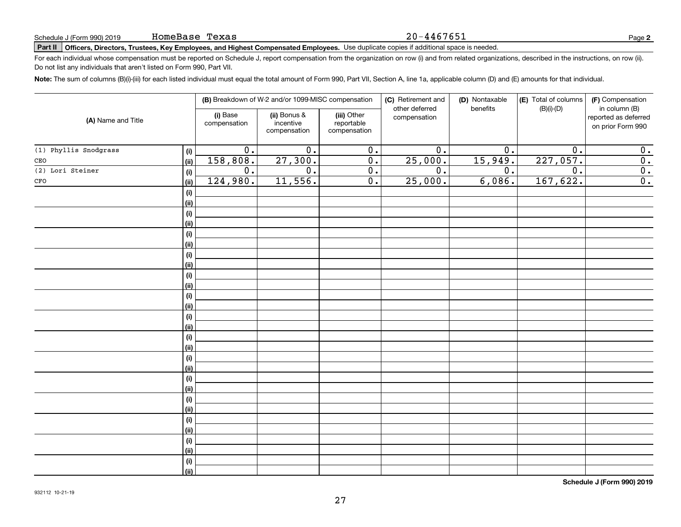#### 20-4467651

**2**

# Schedule J (Form 990) 2019 **HOMEBASE 'L'EXAS**<br>Part II **Officers, Directors, Trustees, Key Employees, and Highest Compensated Employees.** Use duplicate copies if additional space is needed.

For each individual whose compensation must be reported on Schedule J, report compensation from the organization on row (i) and from related organizations, described in the instructions, on row (ii). Do not list any individuals that aren't listed on Form 990, Part VII.

**Note:**  The sum of columns (B)(i)-(iii) for each listed individual must equal the total amount of Form 990, Part VII, Section A, line 1a, applicable column (D) and (E) amounts for that individual.

| (A) Name and Title    |             | (B) Breakdown of W-2 and/or 1099-MISC compensation |                                           | (C) Retirement and<br>(D) Nontaxable<br>other deferred<br>benefits |                  | (E) Total of columns<br>(F) Compensation<br>$(B)(i)-(D)$<br>in column (B) |                  |                                           |
|-----------------------|-------------|----------------------------------------------------|-------------------------------------------|--------------------------------------------------------------------|------------------|---------------------------------------------------------------------------|------------------|-------------------------------------------|
|                       |             | (i) Base<br>compensation                           | (ii) Bonus &<br>incentive<br>compensation | (iii) Other<br>reportable<br>compensation                          | compensation     |                                                                           |                  | reported as deferred<br>on prior Form 990 |
| (1) Phyllis Snodgrass | (i)         | 0.                                                 | $\overline{0}$ .                          | 0.                                                                 | 0.               | 0.                                                                        | 0.               | 0.                                        |
| CEO                   | (ii)        | 158,808.                                           | 27,300.                                   | $\overline{0}$ .                                                   | 25,000.          | 15,949.                                                                   | 227,057.         | 0.                                        |
| (2) Lori Steiner      | (i)         | 0.                                                 | 0.                                        | 0.                                                                 | $\overline{0}$ . | 0.                                                                        | $\overline{0}$ . | 0.                                        |
| CFO                   | (ii)        | 124,980.                                           | 11,556.                                   | $\overline{0}$ .                                                   | 25,000.          | 6,086.                                                                    | 167,622.         | 0.                                        |
|                       | (i)         |                                                    |                                           |                                                                    |                  |                                                                           |                  |                                           |
|                       | (ii)        |                                                    |                                           |                                                                    |                  |                                                                           |                  |                                           |
|                       | (i)         |                                                    |                                           |                                                                    |                  |                                                                           |                  |                                           |
|                       | (ii)        |                                                    |                                           |                                                                    |                  |                                                                           |                  |                                           |
|                       | (i)         |                                                    |                                           |                                                                    |                  |                                                                           |                  |                                           |
|                       | (ii)        |                                                    |                                           |                                                                    |                  |                                                                           |                  |                                           |
|                       | (i)         |                                                    |                                           |                                                                    |                  |                                                                           |                  |                                           |
|                       | (ii)        |                                                    |                                           |                                                                    |                  |                                                                           |                  |                                           |
|                       | (i)         |                                                    |                                           |                                                                    |                  |                                                                           |                  |                                           |
|                       | (ii)        |                                                    |                                           |                                                                    |                  |                                                                           |                  |                                           |
|                       | (i)         |                                                    |                                           |                                                                    |                  |                                                                           |                  |                                           |
|                       | (ii)        |                                                    |                                           |                                                                    |                  |                                                                           |                  |                                           |
|                       | (i)         |                                                    |                                           |                                                                    |                  |                                                                           |                  |                                           |
|                       | (ii)        |                                                    |                                           |                                                                    |                  |                                                                           |                  |                                           |
|                       | (i)<br>(ii) |                                                    |                                           |                                                                    |                  |                                                                           |                  |                                           |
|                       | (i)         |                                                    |                                           |                                                                    |                  |                                                                           |                  |                                           |
|                       | (ii)        |                                                    |                                           |                                                                    |                  |                                                                           |                  |                                           |
|                       | (i)         |                                                    |                                           |                                                                    |                  |                                                                           |                  |                                           |
|                       | (ii)        |                                                    |                                           |                                                                    |                  |                                                                           |                  |                                           |
|                       | (i)         |                                                    |                                           |                                                                    |                  |                                                                           |                  |                                           |
|                       | (ii)        |                                                    |                                           |                                                                    |                  |                                                                           |                  |                                           |
|                       | (i)         |                                                    |                                           |                                                                    |                  |                                                                           |                  |                                           |
|                       | (ii)        |                                                    |                                           |                                                                    |                  |                                                                           |                  |                                           |
|                       | (i)         |                                                    |                                           |                                                                    |                  |                                                                           |                  |                                           |
|                       | (ii)        |                                                    |                                           |                                                                    |                  |                                                                           |                  |                                           |
|                       | (i)         |                                                    |                                           |                                                                    |                  |                                                                           |                  |                                           |
|                       | (ii)        |                                                    |                                           |                                                                    |                  |                                                                           |                  |                                           |

**Schedule J (Form 990) 2019**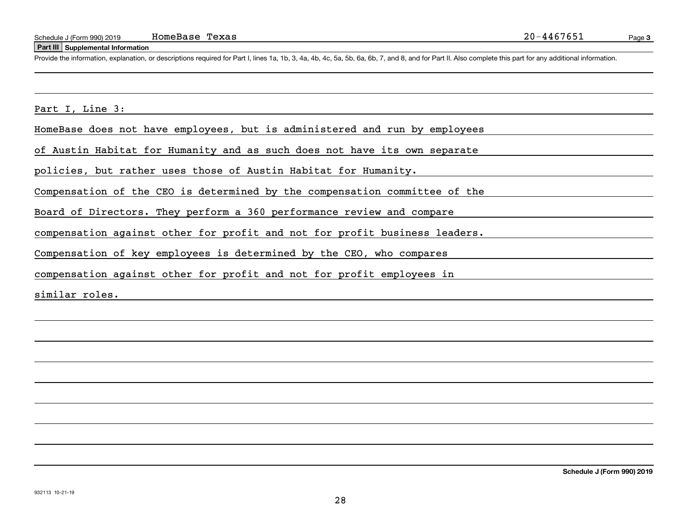#### **Part III Supplemental Information**

Schedule J (Form 990) 2019 HomeBase Texas 20-4467651<br>
Part III Supplemental Information<br>
Provide the information, explanation, or descriptions required for Part I, lines 1a, 1b, 3, 4a, 4b, 4c, 5a, 5b, 6a, 6b, 7, and 8, an

Part I, Line 3:

HomeBase does not have employees, but is administered and run by employees

of Austin Habitat for Humanity and as such does not have its own separate

policies, but rather uses those of Austin Habitat for Humanity.

Compensation of the CEO is determined by the compensation committee of the

Board of Directors. They perform a 360 performance review and compare

compensation against other for profit and not for profit business leaders.

Compensation of key employees is determined by the CEO, who compares

compensation against other for profit and not for profit employees in

similar roles.

**Schedule J (Form 990) 2019**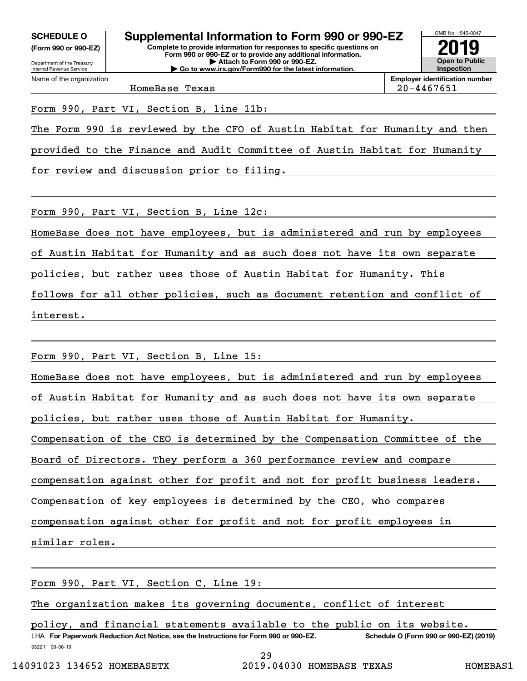**(Form 990 or 990-EZ)**

Department of the Treasury Internal Revenue Service Name of the organization

**Complete to provide information for responses to specific questions on Form 990 or 990-EZ or to provide any additional information. | Attach to Form 990 or 990-EZ. | Go to www.irs.gov/Form990 for the latest information. SCHEDULE O Supplemental Information to Form 990 or 990-EZ**



**Employer identification number** HomeBase Texas 20-4467651

Form 990, Part VI, Section B, line 11b:

The Form 990 is reviewed by the CFO of Austin Habitat for Humanity and then

provided to the Finance and Audit Committee of Austin Habitat for Humanity

for review and discussion prior to filing.

Form 990, Part VI, Section B, Line 12c:

HomeBase does not have employees, but is administered and run by employees

of Austin Habitat for Humanity and as such does not have its own separate

policies, but rather uses those of Austin Habitat for Humanity. This

follows for all other policies, such as document retention and conflict of

interest.

Form 990, Part VI, Section B, Line 15:

HomeBase does not have employees, but is administered and run by employees

of Austin Habitat for Humanity and as such does not have its own separate

policies, but rather uses those of Austin Habitat for Humanity.

Compensation of the CEO is determined by the Compensation Committee of the

Board of Directors. They perform a 360 performance review and compare

compensation against other for profit and not for profit business leaders.

Compensation of key employees is determined by the CEO, who compares

compensation against other for profit and not for profit employees in

similar roles.

Form 990, Part VI, Section C, Line 19:

The organization makes its governing documents, conflict of interest

932211 09-06-19 LHA For Paperwork Reduction Act Notice, see the Instructions for Form 990 or 990-EZ. Schedule O (Form 990 or 990-EZ) (2019) policy, and financial statements available to the public on its website.

29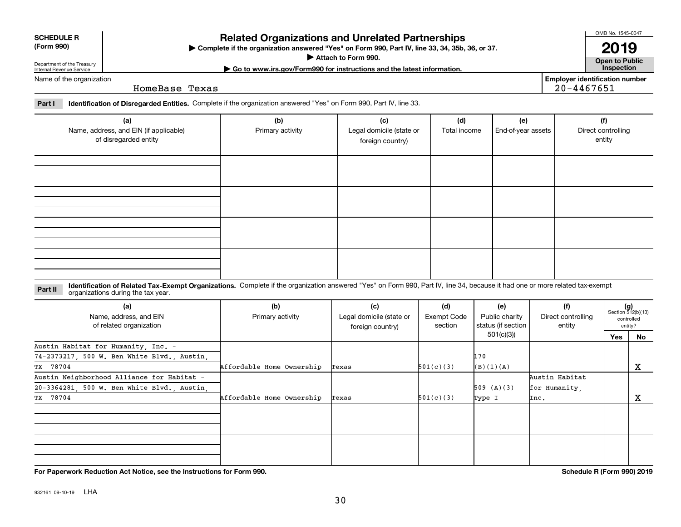TX 78704

TX 78704

932161 09-10-19 LHA

#### $(g)$ <br>Section 512(b)(13) **Identification of Related Tax-Exempt Organizations.** Complete if the organization answered "Yes" on Form 990, Part IV, line 34, because it had one or more related tax-exempt **Part II (a) (b) (c) (d) (e) (f) (g)** organizations during the tax year. Name, address, and EIN Primary activity **Legal domicile (state or** Exempt Code Public charity Direct controlling

Texas

Texas

Affordable Home Ownership

Affordable Home Ownership

foreign country)

section

501(c)(3)

501(c)(3)

status (if section 501(c)(3))

509 (A)(3)

Type I

(B)(1)(A)

170

| of disregarded entity |  | foreign country) |  | entity |
|-----------------------|--|------------------|--|--------|
|                       |  |                  |  |        |
|                       |  |                  |  |        |
|                       |  |                  |  |        |
|                       |  |                  |  |        |
|                       |  |                  |  |        |
|                       |  |                  |  |        |
|                       |  |                  |  |        |
|                       |  |                  |  |        |

Primary activity **Legal domicile (state or** 

# **| Go to www.irs.gov/Form990 for instructions and the latest information. Inspection**

Name of the organization

**(a)**

Name, address, and EIN (if applicable)

of related organization

Austin Neighborhood Alliance for Habitat -

20-3364281, 500 W. Ben White Blvd., Austin,

74-2373217, 500 W. Ben White Blvd., Austin,

Austin Habitat for Humanity, Inc. -

Department of the Treasury Internal Revenue Service

**SCHEDULE R (Form 990)**

HomeBase Texas

| Part I | <sup>1</sup> Identification of Disregarded Entities. Complete if the organization answered "Yes" on Form 990, Part IV, line 33. |  |
|--------|---------------------------------------------------------------------------------------------------------------------------------|--|

**Complete if the organization answered "Yes" on Form 990, Part IV, line 33, 34, 35b, 36, or 37.** |

**(b) (c) (d) (e) (f)**

**Attach to Form 990.**  |

OMB No. 1545-0047

**Open to Public 2019**

**Employer identification number**

20-4467651

Total income | End-of-year assets | Direct controlling

**For Paperwork Reduction Act Notice, see the Instructions for Form 990. Schedule R (Form 990) 2019**

controlledentity?

**No**

X

X

**Yes**

entity

Austin Habitat for Humanity,

Inc.

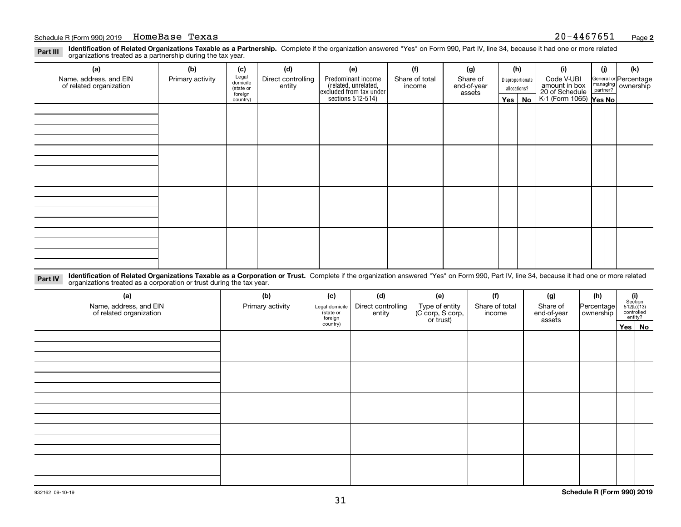**Identification of Related Organizations Taxable as a Partnership.** Complete if the organization answered "Yes" on Form 990, Part IV, line 34, because it had one or more related **Part III** organizations treated as a partnership during the tax year.

| (a)                                               | (b)              | (c)                  | (d)                | (e)                                                                  | (f)                                                             | (g)    |              | (h)           | (i)                                                       | (j)              | (k) |  |  |            |  |                                                           |
|---------------------------------------------------|------------------|----------------------|--------------------|----------------------------------------------------------------------|-----------------------------------------------------------------|--------|--------------|---------------|-----------------------------------------------------------|------------------|-----|--|--|------------|--|-----------------------------------------------------------|
| Name, address, and EIN<br>of related organization | Primary activity | Legal<br>domicile    | Direct controlling | entity                                                               | Predominant income<br>Share of total<br>Share of<br>end-of-year |        |              | income        |                                                           | Disproportionate |     |  |  | Code V-UBI |  | General or Percentage<br>managing<br>partner?<br>partner? |
|                                                   |                  | (state or<br>foreign |                    |                                                                      |                                                                 | assets | allocations? |               |                                                           |                  |     |  |  |            |  |                                                           |
|                                                   |                  | country)             |                    | (related, unrelated,<br>excluded from tax under<br>sections 512-514) |                                                                 |        |              | $Yes \mid No$ | amount in box<br>20 of Schedule<br>K-1 (Form 1065) Yes No |                  |     |  |  |            |  |                                                           |
|                                                   |                  |                      |                    |                                                                      |                                                                 |        |              |               |                                                           |                  |     |  |  |            |  |                                                           |
|                                                   |                  |                      |                    |                                                                      |                                                                 |        |              |               |                                                           |                  |     |  |  |            |  |                                                           |
|                                                   |                  |                      |                    |                                                                      |                                                                 |        |              |               |                                                           |                  |     |  |  |            |  |                                                           |
|                                                   |                  |                      |                    |                                                                      |                                                                 |        |              |               |                                                           |                  |     |  |  |            |  |                                                           |
|                                                   |                  |                      |                    |                                                                      |                                                                 |        |              |               |                                                           |                  |     |  |  |            |  |                                                           |
|                                                   |                  |                      |                    |                                                                      |                                                                 |        |              |               |                                                           |                  |     |  |  |            |  |                                                           |
|                                                   |                  |                      |                    |                                                                      |                                                                 |        |              |               |                                                           |                  |     |  |  |            |  |                                                           |
|                                                   |                  |                      |                    |                                                                      |                                                                 |        |              |               |                                                           |                  |     |  |  |            |  |                                                           |
|                                                   |                  |                      |                    |                                                                      |                                                                 |        |              |               |                                                           |                  |     |  |  |            |  |                                                           |
|                                                   |                  |                      |                    |                                                                      |                                                                 |        |              |               |                                                           |                  |     |  |  |            |  |                                                           |
|                                                   |                  |                      |                    |                                                                      |                                                                 |        |              |               |                                                           |                  |     |  |  |            |  |                                                           |
|                                                   |                  |                      |                    |                                                                      |                                                                 |        |              |               |                                                           |                  |     |  |  |            |  |                                                           |
|                                                   |                  |                      |                    |                                                                      |                                                                 |        |              |               |                                                           |                  |     |  |  |            |  |                                                           |
|                                                   |                  |                      |                    |                                                                      |                                                                 |        |              |               |                                                           |                  |     |  |  |            |  |                                                           |
|                                                   |                  |                      |                    |                                                                      |                                                                 |        |              |               |                                                           |                  |     |  |  |            |  |                                                           |
|                                                   |                  |                      |                    |                                                                      |                                                                 |        |              |               |                                                           |                  |     |  |  |            |  |                                                           |
|                                                   |                  |                      |                    |                                                                      |                                                                 |        |              |               |                                                           |                  |     |  |  |            |  |                                                           |

**Identification of Related Organizations Taxable as a Corporation or Trust.** Complete if the organization answered "Yes" on Form 990, Part IV, line 34, because it had one or more related **Part IV** organizations treated as a corporation or trust during the tax year.

| (a)<br>Name, address, and EIN<br>of related organization | (b)<br>Primary activity | (c)<br>Legal domicile<br>(state or<br>foreign | (d)<br>Direct controlling<br>entity | (e)<br>Type of entity<br>(C corp, S corp,<br>or trust) | (f)<br>Share of total<br>income | (g)<br>Share of<br>end-of-year<br>assets | (h)<br>Percentage<br>ownership | $\begin{array}{c} \textbf{(i)}\\ \text{Section}\\ 512 \text{(b)} \text{(13)}\\ \text{controlled}\end{array}$<br>entity? |
|----------------------------------------------------------|-------------------------|-----------------------------------------------|-------------------------------------|--------------------------------------------------------|---------------------------------|------------------------------------------|--------------------------------|-------------------------------------------------------------------------------------------------------------------------|
|                                                          |                         | country)                                      |                                     |                                                        |                                 |                                          |                                | Yes No                                                                                                                  |
|                                                          |                         |                                               |                                     |                                                        |                                 |                                          |                                |                                                                                                                         |
|                                                          |                         |                                               |                                     |                                                        |                                 |                                          |                                |                                                                                                                         |
|                                                          |                         |                                               |                                     |                                                        |                                 |                                          |                                |                                                                                                                         |
|                                                          |                         |                                               |                                     |                                                        |                                 |                                          |                                |                                                                                                                         |
|                                                          |                         |                                               |                                     |                                                        |                                 |                                          |                                |                                                                                                                         |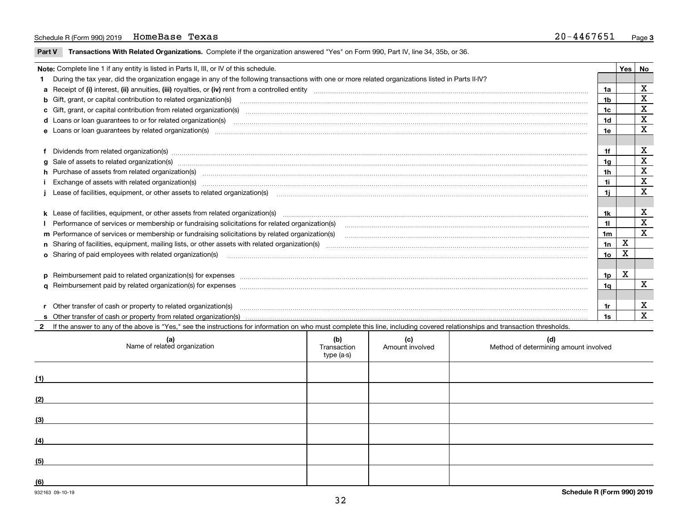#### Schedule R (Form 990) 2019 Page HomeBase Texas 20-4467651

**Part V** T**ransactions With Related Organizations.** Complete if the organization answered "Yes" on Form 990, Part IV, line 34, 35b, or 36.

| Note: Complete line 1 if any entity is listed in Parts II, III, or IV of this schedule.                                                                                                                                        |     | Yes | No          |
|--------------------------------------------------------------------------------------------------------------------------------------------------------------------------------------------------------------------------------|-----|-----|-------------|
| During the tax year, did the organization engage in any of the following transactions with one or more related organizations listed in Parts II-IV?                                                                            |     |     |             |
|                                                                                                                                                                                                                                |     |     | X           |
|                                                                                                                                                                                                                                | 1b  |     | X           |
| c Gift, grant, or capital contribution from related organization(s) matches contains and content and contribution from related organization(s) matches contains and contribution from related organization(s) matches contains | 1c  |     | X           |
|                                                                                                                                                                                                                                | 1d  |     | X           |
|                                                                                                                                                                                                                                | 1e  |     | X           |
|                                                                                                                                                                                                                                |     |     |             |
| f Dividends from related organization(s) manufactured contains and contained a state of the contact of the contact of the contact of the contact of the contact of the contact of the contact of the contact of the contact of | 1f  |     | х           |
| g Sale of assets to related organization(s) www.assettion.com/www.assettion.com/www.assettion.com/www.assettion.com/www.assettion.com/www.assettion.com/www.assettion.com/www.assettion.com/www.assettion.com/www.assettion.co | 1g  |     | X           |
| h Purchase of assets from related organization(s) www.assettion.com/www.assettion.com/www.assettion.com/www.assettion.com/www.assettion.com/www.assettion.com/www.assettion.com/www.assettion.com/www.assettion.com/www.assett | 1h  |     | X           |
| Exchange of assets with related organization(s) www.communically.communically contract and a set set of the state organization(s) www.communically.com and a set of the state or set of the state of the state of the state of | 1i  |     | X           |
|                                                                                                                                                                                                                                | 1i. |     | $\mathbf X$ |
|                                                                                                                                                                                                                                |     |     |             |
| k Lease of facilities, equipment, or other assets from related organization(s) manufaction content and content and content and content and content and content and content and content and content and content and content and | 1k  |     | X           |
| Performance of services or membership or fundraising solicitations for related organization(s)                                                                                                                                 | 11  |     | X           |
| m Performance of services or membership or fundraising solicitations by related organization(s)                                                                                                                                | 1m  |     | X           |
|                                                                                                                                                                                                                                | 1n  | X   |             |
| o Sharing of paid employees with related organization(s) matches and contain an account of the star of paid employees with related organization(s) matches and contained and contained and contained and contained and contain | 1о  | х   |             |
|                                                                                                                                                                                                                                |     |     |             |
| p Reimbursement paid to related organization(s) for expenses [111] and the material content of the set of the set of the set of the set of the set of the set of the set of the set of the set of the set of the set of the se | 1p  | х   |             |
|                                                                                                                                                                                                                                | 1a  |     | X           |
|                                                                                                                                                                                                                                |     |     |             |
| r Other transfer of cash or property to related organization(s)                                                                                                                                                                |     |     | х           |
|                                                                                                                                                                                                                                | 1s  |     | X           |

932163 09-10-19 **2**If the answer to any of the above is "Yes," see the instructions for information on who must complete this line, including covered relationships and transaction thresholds. **(a) (b) (c) (d) (1) (2) (3) (4) (5) (6)Schedule R (Form 990) 2019** Name of related organization  $\vert$  Transaction type (a-s) Amount involved letter are method of determining amount involved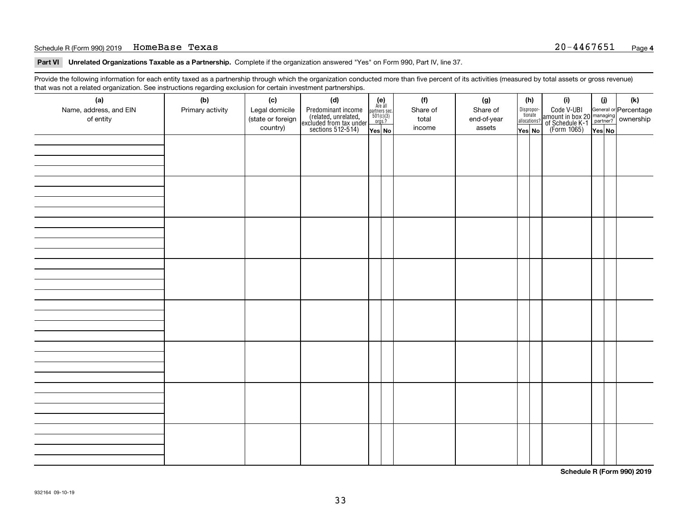#### Schedule R (Form 990) 2019 Page HomeBase Texas 20-4467651

**Part VI Unrelated Organizations Taxable as a Partnership. Complete if the organization answered "Yes" on Form 990, Part IV, line 37.** 

Provide the following information for each entity taxed as a partnership through which the organization conducted more than five percent of its activities (measured by total assets or gross revenue) that was not a related organization. See instructions regarding exclusion for certain investment partnerships.

| ັ                      | ັ<br>ັ           |                   |                                                                                            |                                                                                               |  |          |             |                                  |  |                                                                                                  |        |     |
|------------------------|------------------|-------------------|--------------------------------------------------------------------------------------------|-----------------------------------------------------------------------------------------------|--|----------|-------------|----------------------------------|--|--------------------------------------------------------------------------------------------------|--------|-----|
| (a)                    | (b)              | (c)               | (d)                                                                                        | $(e)$<br>Are all                                                                              |  | (f)      | (g)         | (h)                              |  | (i)                                                                                              | (i)    | (k) |
| Name, address, and EIN | Primary activity | Legal domicile    | Predominant income<br>(related, unrelated,<br>excluded from tax under<br>sections 512-514) |                                                                                               |  | Share of | Share of    | Disproportionate<br>allocations? |  | Code V-UBI<br>amount in box 20 managing<br>of Schedule K-1<br>(Form 1065)<br>$\overline{Yes}$ No |        |     |
| of entity              |                  | (state or foreign |                                                                                            | $\begin{array}{c}\n\text{partners} & \text{sec.} \\ 501(c)(3) & \text{orgs.?} \\ \end{array}$ |  | total    | end-of-year |                                  |  |                                                                                                  |        |     |
|                        |                  | country)          |                                                                                            |                                                                                               |  | income   | assets      |                                  |  |                                                                                                  |        |     |
|                        |                  |                   |                                                                                            | Yes No                                                                                        |  |          |             | Yes No                           |  |                                                                                                  | Yes No |     |
|                        |                  |                   |                                                                                            |                                                                                               |  |          |             |                                  |  |                                                                                                  |        |     |
|                        |                  |                   |                                                                                            |                                                                                               |  |          |             |                                  |  |                                                                                                  |        |     |
|                        |                  |                   |                                                                                            |                                                                                               |  |          |             |                                  |  |                                                                                                  |        |     |
|                        |                  |                   |                                                                                            |                                                                                               |  |          |             |                                  |  |                                                                                                  |        |     |
|                        |                  |                   |                                                                                            |                                                                                               |  |          |             |                                  |  |                                                                                                  |        |     |
|                        |                  |                   |                                                                                            |                                                                                               |  |          |             |                                  |  |                                                                                                  |        |     |
|                        |                  |                   |                                                                                            |                                                                                               |  |          |             |                                  |  |                                                                                                  |        |     |
|                        |                  |                   |                                                                                            |                                                                                               |  |          |             |                                  |  |                                                                                                  |        |     |
|                        |                  |                   |                                                                                            |                                                                                               |  |          |             |                                  |  |                                                                                                  |        |     |
|                        |                  |                   |                                                                                            |                                                                                               |  |          |             |                                  |  |                                                                                                  |        |     |
|                        |                  |                   |                                                                                            |                                                                                               |  |          |             |                                  |  |                                                                                                  |        |     |
|                        |                  |                   |                                                                                            |                                                                                               |  |          |             |                                  |  |                                                                                                  |        |     |
|                        |                  |                   |                                                                                            |                                                                                               |  |          |             |                                  |  |                                                                                                  |        |     |
|                        |                  |                   |                                                                                            |                                                                                               |  |          |             |                                  |  |                                                                                                  |        |     |
|                        |                  |                   |                                                                                            |                                                                                               |  |          |             |                                  |  |                                                                                                  |        |     |
|                        |                  |                   |                                                                                            |                                                                                               |  |          |             |                                  |  |                                                                                                  |        |     |
|                        |                  |                   |                                                                                            |                                                                                               |  |          |             |                                  |  |                                                                                                  |        |     |
|                        |                  |                   |                                                                                            |                                                                                               |  |          |             |                                  |  |                                                                                                  |        |     |
|                        |                  |                   |                                                                                            |                                                                                               |  |          |             |                                  |  |                                                                                                  |        |     |
|                        |                  |                   |                                                                                            |                                                                                               |  |          |             |                                  |  |                                                                                                  |        |     |
|                        |                  |                   |                                                                                            |                                                                                               |  |          |             |                                  |  |                                                                                                  |        |     |
|                        |                  |                   |                                                                                            |                                                                                               |  |          |             |                                  |  |                                                                                                  |        |     |
|                        |                  |                   |                                                                                            |                                                                                               |  |          |             |                                  |  |                                                                                                  |        |     |
|                        |                  |                   |                                                                                            |                                                                                               |  |          |             |                                  |  |                                                                                                  |        |     |
|                        |                  |                   |                                                                                            |                                                                                               |  |          |             |                                  |  |                                                                                                  |        |     |
|                        |                  |                   |                                                                                            |                                                                                               |  |          |             |                                  |  |                                                                                                  |        |     |
|                        |                  |                   |                                                                                            |                                                                                               |  |          |             |                                  |  |                                                                                                  |        |     |
|                        |                  |                   |                                                                                            |                                                                                               |  |          |             |                                  |  |                                                                                                  |        |     |
|                        |                  |                   |                                                                                            |                                                                                               |  |          |             |                                  |  |                                                                                                  |        |     |
|                        |                  |                   |                                                                                            |                                                                                               |  |          |             |                                  |  |                                                                                                  |        |     |
|                        |                  |                   |                                                                                            |                                                                                               |  |          |             |                                  |  |                                                                                                  |        |     |
|                        |                  |                   |                                                                                            |                                                                                               |  |          |             |                                  |  |                                                                                                  |        |     |
|                        |                  |                   |                                                                                            |                                                                                               |  |          |             |                                  |  |                                                                                                  |        |     |
|                        |                  |                   |                                                                                            |                                                                                               |  |          |             |                                  |  |                                                                                                  |        |     |
|                        |                  |                   |                                                                                            |                                                                                               |  |          |             |                                  |  |                                                                                                  |        |     |
|                        |                  |                   |                                                                                            |                                                                                               |  |          |             |                                  |  |                                                                                                  |        |     |
|                        |                  |                   |                                                                                            |                                                                                               |  |          |             |                                  |  |                                                                                                  |        |     |
|                        |                  |                   |                                                                                            |                                                                                               |  |          |             |                                  |  |                                                                                                  |        |     |
|                        |                  |                   |                                                                                            |                                                                                               |  |          |             |                                  |  |                                                                                                  |        |     |
|                        |                  |                   |                                                                                            |                                                                                               |  |          |             |                                  |  |                                                                                                  |        |     |
|                        |                  |                   |                                                                                            |                                                                                               |  |          |             |                                  |  |                                                                                                  |        |     |
|                        |                  |                   |                                                                                            |                                                                                               |  |          |             |                                  |  |                                                                                                  |        |     |
|                        |                  |                   |                                                                                            |                                                                                               |  |          |             |                                  |  |                                                                                                  |        |     |

**Schedule R (Form 990) 2019**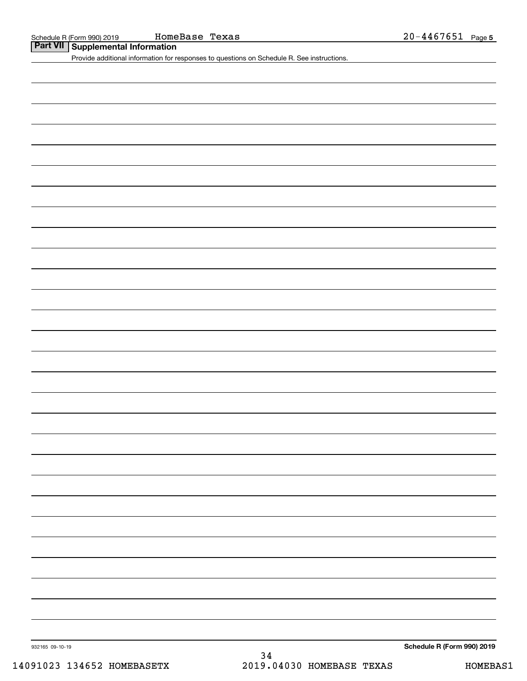**Part VII Supplemental Information**

Provide additional information for responses to questions on Schedule R. See instructions.

932165 09-10-19

**Schedule R (Form 990) 2019**